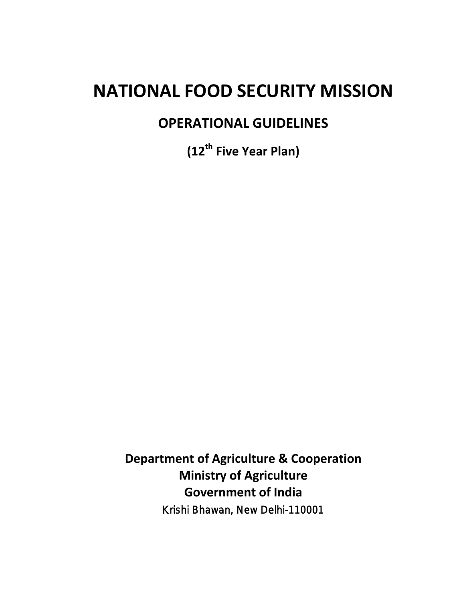# **NATIONAL FOOD SECURITY MISSION**

## **OPERATIONAL GUIDELINES**

**(12th Five Year Plan)**

**Department of Agriculture & Cooperation Ministry of Agriculture Government of India** Krishi Bhawan, New Delhi-110001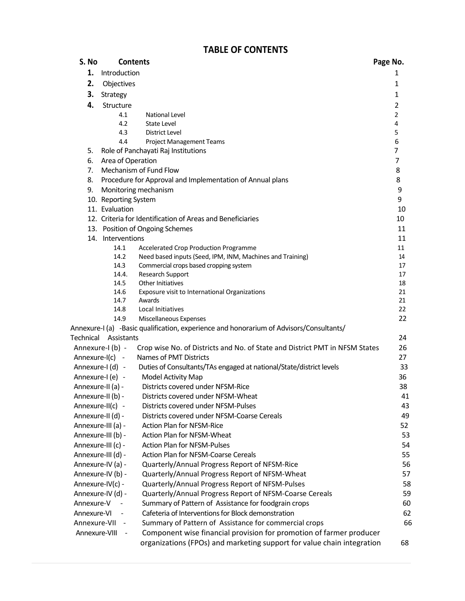### **TABLE OF CONTENTS**

| S. No                     |                      | <b>Contents</b>                                                                                            | Page No.       |
|---------------------------|----------------------|------------------------------------------------------------------------------------------------------------|----------------|
| 1.                        | Introduction         |                                                                                                            | 1              |
| 2.                        | Objectives           |                                                                                                            | 1              |
| 3.                        | Strategy             |                                                                                                            | 1              |
| 4.                        | Structure            |                                                                                                            | 2              |
|                           | 4.1                  | <b>National Level</b>                                                                                      | $\overline{2}$ |
|                           | 4.2                  | <b>State Level</b>                                                                                         | 4              |
|                           | 4.3                  | District Level                                                                                             | 5              |
|                           | 4.4                  | <b>Project Management Teams</b>                                                                            | 6              |
| 5.                        |                      | Role of Panchayati Raj Institutions                                                                        | 7              |
| 6.                        | Area of Operation    |                                                                                                            | 7              |
| 7.                        |                      | Mechanism of Fund Flow                                                                                     | 8              |
| 8.                        |                      | Procedure for Approval and Implementation of Annual plans                                                  | 8              |
| 9.                        |                      | Monitoring mechanism                                                                                       | 9              |
|                           | 10. Reporting System |                                                                                                            | 9              |
|                           | 11. Evaluation       |                                                                                                            | 10             |
|                           |                      | 12. Criteria for Identification of Areas and Beneficiaries                                                 | 10             |
|                           |                      | 13. Position of Ongoing Schemes                                                                            | 11             |
|                           | 14. Interventions    |                                                                                                            | 11             |
|                           | 14.1                 | Accelerated Crop Production Programme                                                                      | 11             |
|                           | 14.2<br>14.3         | Need based inputs (Seed, IPM, INM, Machines and Training)<br>Commercial crops based cropping system        | 14<br>17       |
|                           | 14.4.                | Research Support                                                                                           | 17             |
|                           | 14.5                 | Other Initiatives                                                                                          | 18             |
|                           | 14.6                 | Exposure visit to International Organizations                                                              | 21             |
|                           | 14.7                 | Awards                                                                                                     | 21             |
|                           | 14.8                 | Local Initiatives                                                                                          | 22             |
|                           | 14.9                 | Miscellaneous Expenses                                                                                     | 22             |
|                           |                      | Annexure-I (a) -Basic qualification, experience and honorarium of Advisors/Consultants/                    |                |
|                           | Technical Assistants |                                                                                                            | 24             |
|                           | Annexure-I (b) -     | Crop wise No. of Districts and No. of State and District PMT in NFSM States                                | 26             |
|                           | Annexure-I(c) -      | Names of PMT Districts                                                                                     | 27             |
|                           | Annexure-I (d) -     | Duties of Consultants/TAs engaged at national/State/district levels                                        | 33             |
|                           | Annexure-I (e) -     | Model Activity Map                                                                                         | 36             |
|                           | Annexure-II (a) -    | Districts covered under NFSM-Rice                                                                          | 38             |
|                           | Annexure-II (b) -    | Districts covered under NFSM-Wheat                                                                         | 41             |
|                           | Annexure-II(c) -     | Districts covered under NFSM-Pulses                                                                        | 43             |
|                           | Annexure-II (d) -    | Districts covered under NFSM-Coarse Cereals                                                                | 49             |
|                           | Annexure-III (a) -   | <b>Action Plan for NFSM-Rice</b>                                                                           | 52             |
|                           | Annexure-III (b) -   | Action Plan for NFSM-Wheat                                                                                 | 53             |
|                           | Annexure-III (c) -   | <b>Action Plan for NFSM-Pulses</b>                                                                         | 54             |
|                           | Annexure-III (d) -   | Action Plan for NFSM-Coarse Cereals                                                                        | 55             |
|                           | Annexure-IV (a) -    | Quarterly/Annual Progress Report of NFSM-Rice                                                              | 56             |
|                           | Annexure-IV (b) -    | Quarterly/Annual Progress Report of NFSM-Wheat                                                             | 57<br>58       |
|                           | Annexure-IV(c) -     | Quarterly/Annual Progress Report of NFSM-Pulses                                                            | 59             |
|                           | Annexure-IV (d) -    | Quarterly/Annual Progress Report of NFSM-Coarse Cereals                                                    |                |
| Annexure-V<br>Annexure-VI |                      | Summary of Pattern of Assistance for foodgrain crops<br>Cafeteria of Interventions for Block demonstration | 60<br>62       |
| Annexure-VII              |                      | Summary of Pattern of Assistance for commercial crops                                                      | 66             |
| Annexure-VIII             | $\sim$ $-$           | Component wise financial provision for promotion of farmer producer                                        |                |
|                           |                      | organizations (FPOs) and marketing support for value chain integration                                     | 68             |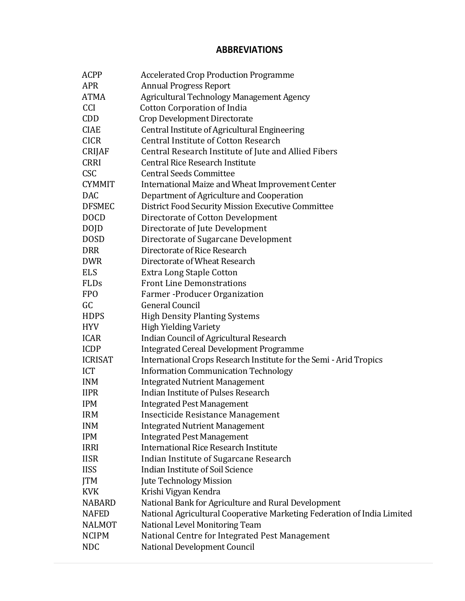#### **ABBREVIATIONS**

| <b>ACPP</b>    | <b>Accelerated Crop Production Programme</b>                            |
|----------------|-------------------------------------------------------------------------|
| <b>APR</b>     | <b>Annual Progress Report</b>                                           |
| <b>ATMA</b>    | Agricultural Technology Management Agency                               |
| <b>CCI</b>     | <b>Cotton Corporation of India</b>                                      |
| <b>CDD</b>     | Crop Development Directorate                                            |
| <b>CIAE</b>    | Central Institute of Agricultural Engineering                           |
| <b>CICR</b>    | <b>Central Institute of Cotton Research</b>                             |
| <b>CRIJAF</b>  | Central Research Institute of Jute and Allied Fibers                    |
| <b>CRRI</b>    | <b>Central Rice Research Institute</b>                                  |
| <b>CSC</b>     | <b>Central Seeds Committee</b>                                          |
| <b>CYMMIT</b>  | International Maize and Wheat Improvement Center                        |
| <b>DAC</b>     | Department of Agriculture and Cooperation                               |
| <b>DFSMEC</b>  | District Food Security Mission Executive Committee                      |
| <b>DOCD</b>    | Directorate of Cotton Development                                       |
| <b>DOJD</b>    | Directorate of Jute Development                                         |
| <b>DOSD</b>    | Directorate of Sugarcane Development                                    |
| <b>DRR</b>     | Directorate of Rice Research                                            |
| <b>DWR</b>     | Directorate of Wheat Research                                           |
| <b>ELS</b>     | <b>Extra Long Staple Cotton</b>                                         |
| <b>FLDs</b>    | <b>Front Line Demonstrations</b>                                        |
| <b>FPO</b>     | Farmer - Producer Organization                                          |
| GC             | <b>General Council</b>                                                  |
| <b>HDPS</b>    | <b>High Density Planting Systems</b>                                    |
| <b>HYV</b>     | <b>High Yielding Variety</b>                                            |
| <b>ICAR</b>    | <b>Indian Council of Agricultural Research</b>                          |
| <b>ICDP</b>    | <b>Integrated Cereal Development Programme</b>                          |
| <b>ICRISAT</b> | International Crops Research Institute for the Semi - Arid Tropics      |
| <b>ICT</b>     | <b>Information Communication Technology</b>                             |
| <b>INM</b>     | <b>Integrated Nutrient Management</b>                                   |
| <b>IIPR</b>    | Indian Institute of Pulses Research                                     |
| <b>IPM</b>     | <b>Integrated Pest Management</b>                                       |
| <b>IRM</b>     | Insecticide Resistance Management                                       |
| <b>INM</b>     | <b>Integrated Nutrient Management</b>                                   |
| <b>IPM</b>     | <b>Integrated Pest Management</b>                                       |
| <b>IRRI</b>    | International Rice Research Institute                                   |
| <b>IISR</b>    | Indian Institute of Sugarcane Research                                  |
| <b>IISS</b>    | <b>Indian Institute of Soil Science</b>                                 |
| <b>JTM</b>     | Jute Technology Mission                                                 |
| <b>KVK</b>     | Krishi Vigyan Kendra                                                    |
| <b>NABARD</b>  | National Bank for Agriculture and Rural Development                     |
| <b>NAFED</b>   | National Agricultural Cooperative Marketing Federation of India Limited |
| <b>NALMOT</b>  | National Level Monitoring Team                                          |
| <b>NCIPM</b>   | National Centre for Integrated Pest Management                          |
| <b>NDC</b>     | National Development Council                                            |
|                |                                                                         |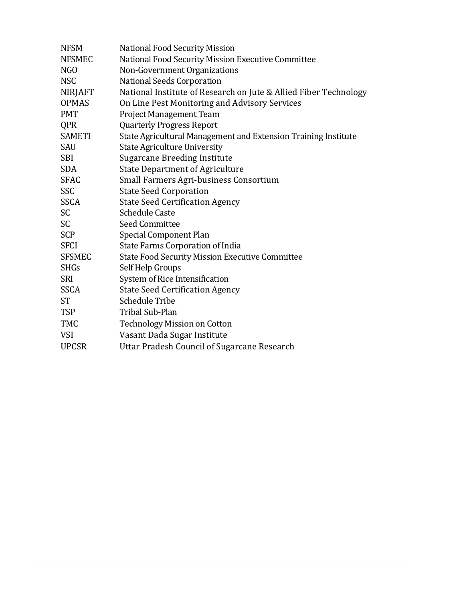| <b>NFSM</b>   | <b>National Food Security Mission</b>                            |
|---------------|------------------------------------------------------------------|
| <b>NFSMEC</b> | National Food Security Mission Executive Committee               |
| NGO           | Non-Government Organizations                                     |
| <b>NSC</b>    | National Seeds Corporation                                       |
| NIRJAFT       | National Institute of Research on Jute & Allied Fiber Technology |
| <b>OPMAS</b>  | On Line Pest Monitoring and Advisory Services                    |
| <b>PMT</b>    | <b>Project Management Team</b>                                   |
| QPR           | <b>Quarterly Progress Report</b>                                 |
| <b>SAMETI</b> | State Agricultural Management and Extension Training Institute   |
| SAU           | <b>State Agriculture University</b>                              |
| <b>SBI</b>    | <b>Sugarcane Breeding Institute</b>                              |
| <b>SDA</b>    | <b>State Department of Agriculture</b>                           |
| <b>SFAC</b>   | Small Farmers Agri-business Consortium                           |
| SSC           | <b>State Seed Corporation</b>                                    |
| <b>SSCA</b>   | <b>State Seed Certification Agency</b>                           |
| <b>SC</b>     | <b>Schedule Caste</b>                                            |
| <b>SC</b>     | <b>Seed Committee</b>                                            |
| <b>SCP</b>    | <b>Special Component Plan</b>                                    |
| <b>SFCI</b>   | State Farms Corporation of India                                 |
| <b>SFSMEC</b> | <b>State Food Security Mission Executive Committee</b>           |
| <b>SHGs</b>   | Self Help Groups                                                 |
| <b>SRI</b>    | System of Rice Intensification                                   |
| <b>SSCA</b>   | <b>State Seed Certification Agency</b>                           |
| <b>ST</b>     | <b>Schedule Tribe</b>                                            |
| <b>TSP</b>    | <b>Tribal Sub-Plan</b>                                           |
| <b>TMC</b>    | <b>Technology Mission on Cotton</b>                              |
| <b>VSI</b>    | Vasant Dada Sugar Institute                                      |
| <b>UPCSR</b>  | Uttar Pradesh Council of Sugarcane Research                      |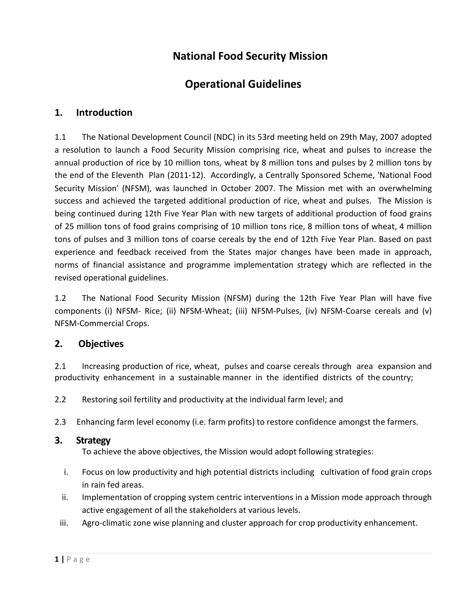## **National Food Security Mission**

## **Operational Guidelines**

#### **1. Introduction**

1.1 The National Development Council (NDC) in its 53rd meeting held on 29th May, 2007 adopted a resolution to launch a Food Security Mission comprising rice, wheat and pulses to increase the annual production of rice by 10 million tons, wheat by 8 million tons and pulses by 2 million tons by the end of the Eleventh Plan (2011-12). Accordingly, a Centrally Sponsored Scheme, 'National Food Security Mission' (NFSM), was launched in October 2007. The Mission met with an overwhelming success and achieved the targeted additional production of rice, wheat and pulses. The Mission is being continued during 12th Five Year Plan with new targets of additional production of food grains of 25 million tons of food grains comprising of 10 million tons rice, 8 million tons of wheat, 4 million tons of pulses and 3 million tons of coarse cereals by the end of 12th Five Year Plan. Based on past experience and feedback received from the States major changes have been made in approach, norms of financial assistance and programme implementation strategy which are reflected in the revised operational guidelines.

1.2 The National Food Security Mission (NFSM) during the 12th Five Year Plan will have five components (i) NFSM- Rice; (ii) NFSM-Wheat; (iii) NFSM-Pulses, (iv) NFSM-Coarse cereals and (v) NFSM-Commercial Crops.

#### **2. Objectives**

2.1 Increasing production of rice, wheat, pulses and coarse cereals through area expansion and productivity enhancement in a sustainable manner in the identified districts of the country;

- 2.2 Restoring soil fertility and productivity at the individual farm level; and
- 2.3 Enhancing farm level economy (i.e. farm profits) to restore confidence amongst the farmers.

#### **3. Strategy**

To achieve the above objectives, the Mission would adopt following strategies:

- i. Focus on low productivity and high potential districts including cultivation of food grain crops in rain fed areas.
- ii. Implementation of cropping system centric interventions in a Mission mode approach through active engagement of all the stakeholders at various levels.
- iii. Agro-climatic zone wise planning and cluster approach for crop productivity enhancement.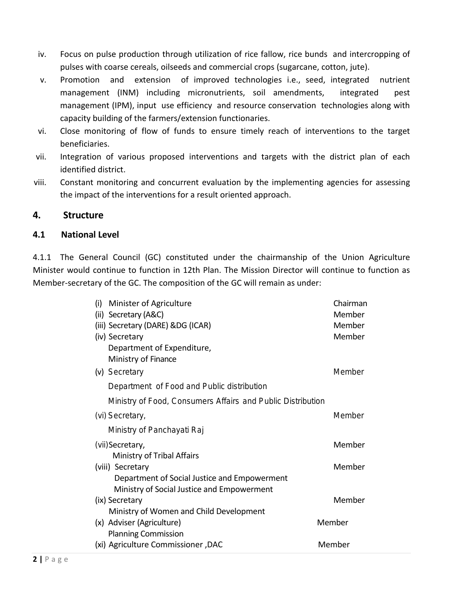- iv. Focus on pulse production through utilization of rice fallow, rice bunds and intercropping of pulses with coarse cereals, oilseeds and commercial crops (sugarcane, cotton, jute).
- v. Promotion and extension of improved technologies i.e., seed, integrated nutrient management (INM) including micronutrients, soil amendments, integrated pest management (IPM), input use efficiency and resource conservation technologies along with capacity building of the farmers/extension functionaries.
- vi. Close monitoring of flow of funds to ensure timely reach of interventions to the target beneficiaries.
- vii. Integration of various proposed interventions and targets with the district plan of each identified district.
- viii. Constant monitoring and concurrent evaluation by the implementing agencies for assessing the impact of the interventions for a result oriented approach.

#### **4. Structure**

#### **4.1 National Level**

4.1.1 The General Council (GC) constituted under the chairmanship of the Union Agriculture Minister would continue to function in 12th Plan. The Mission Director will continue to function as Member-secretary of the GC. The composition of the GC will remain as under:

| (i)<br>Minister of Agriculture                              | Chairman |
|-------------------------------------------------------------|----------|
| (ii) Secretary (A&C)                                        | Member   |
| (iii) Secretary (DARE) &DG (ICAR)                           | Member   |
| (iv) Secretary                                              | Member   |
| Department of Expenditure,                                  |          |
| Ministry of Finance                                         |          |
| (v) Secretary                                               | Member   |
| Department of Food and Public distribution                  |          |
| Ministry of Food, Consumers Affairs and Public Distribution |          |
| (vi) Secretary,                                             | Member   |
| Ministry of Panchayati Raj                                  |          |
| (vii) Secretary,                                            | Member   |
| Ministry of Tribal Affairs                                  |          |
| (viii) Secretary                                            | Member   |
| Department of Social Justice and Empowerment                |          |
| Ministry of Social Justice and Empowerment                  |          |
| (ix) Secretary                                              | Member   |
| Ministry of Women and Child Development                     |          |
| (x) Adviser (Agriculture)                                   | Member   |
| <b>Planning Commission</b>                                  |          |
| (xi) Agriculture Commissioner, DAC                          | Member   |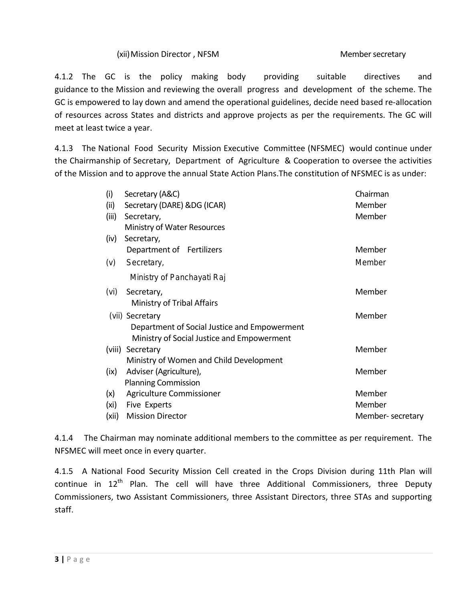#### (xii) Mission Director, NFSM Member secretary

4.1.2 The GC is the policy making body providing suitable directives and guidance to the Mission and reviewing the overall progress and development of the scheme. The GC is empowered to lay down and amend the operational guidelines, decide need based re-allocation of resources across States and districts and approve projects as per the requirements. The GC will meet at least twice a year.

4.1.3 The National Food Security Mission Executive Committee (NFSMEC) would continue under the Chairmanship of Secretary, Department of Agriculture & Cooperation to oversee the activities of the Mission and to approve the annual State Action Plans.The constitution of NFSMEC is as under:

| (i)   | Secretary (A&C)                              | Chairman         |
|-------|----------------------------------------------|------------------|
| (ii)  | Secretary (DARE) &DG (ICAR)                  | Member           |
| (iii) | Secretary,                                   | Member           |
|       | Ministry of Water Resources                  |                  |
| (iv)  | Secretary,                                   |                  |
|       | Department of Fertilizers                    | Member           |
| (v)   | Secretary,                                   | Member           |
|       | Ministry of Panchayati Raj                   |                  |
| (vi)  | Secretary,                                   | Member           |
|       | Ministry of Tribal Affairs                   |                  |
|       | (vii) Secretary                              | Member           |
|       | Department of Social Justice and Empowerment |                  |
|       | Ministry of Social Justice and Empowerment   |                  |
|       | (viii) Secretary                             | Member           |
|       | Ministry of Women and Child Development      |                  |
| (ix)  | Adviser (Agriculture),                       | Member           |
|       | <b>Planning Commission</b>                   |                  |
| (x)   | Agriculture Commissioner                     | Member           |
| (xi)  | Five Experts                                 | Member           |
| (xii) | <b>Mission Director</b>                      | Member-secretary |
|       |                                              |                  |

4.1.4 The Chairman may nominate additional members to the committee as per requirement. The NFSMEC will meet once in every quarter.

4.1.5 A National Food Security Mission Cell created in the Crops Division during 11th Plan will continue in 12<sup>th</sup> Plan. The cell will have three Additional Commissioners, three Deputy Commissioners, two Assistant Commissioners, three Assistant Directors, three STAs and supporting staff.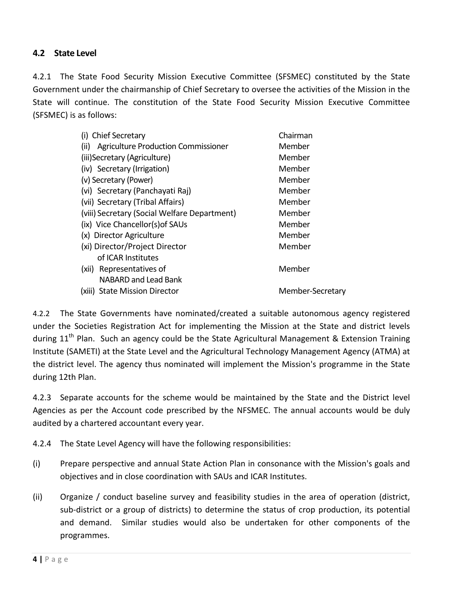#### **4.2 State Level**

4.2.1 The State Food Security Mission Executive Committee (SFSMEC) constituted by the State Government under the chairmanship of Chief Secretary to oversee the activities of the Mission in the State will continue. The constitution of the State Food Security Mission Executive Committee (SFSMEC) is as follows:

| (i) Chief Secretary<br>Chairman                        |                  |  |  |  |
|--------------------------------------------------------|------------------|--|--|--|
| Agriculture Production Commissioner<br>(iii)           | Member           |  |  |  |
| (iii) Secretary (Agriculture)                          | Member           |  |  |  |
| (iv) Secretary (Irrigation)                            | Member           |  |  |  |
| (v) Secretary (Power)                                  | Member           |  |  |  |
| (vi) Secretary (Panchayati Raj)                        | Member           |  |  |  |
| (vii) Secretary (Tribal Affairs)                       | Member           |  |  |  |
| (viii) Secretary (Social Welfare Department)<br>Member |                  |  |  |  |
| (ix) Vice Chancellor(s) of SAUs<br>Member              |                  |  |  |  |
| Member<br>(x) Director Agriculture                     |                  |  |  |  |
| (xi) Director/Project Director<br>Member               |                  |  |  |  |
| of ICAR Institutes                                     |                  |  |  |  |
| (xii) Representatives of                               | Member           |  |  |  |
| NABARD and Lead Bank                                   |                  |  |  |  |
| <b>State Mission Director</b><br>(XIII)                | Member-Secretary |  |  |  |
|                                                        |                  |  |  |  |

4.2.2 The State Governments have nominated/created a suitable autonomous agency registered under the Societies Registration Act for implementing the Mission at the State and district levels during  $11<sup>th</sup>$  Plan. Such an agency could be the State Agricultural Management & Extension Training Institute (SAMETI) at the State Level and the Agricultural Technology Management Agency (ATMA) at the district level. The agency thus nominated will implement the Mission's programme in the State during 12th Plan.

4.2.3 Separate accounts for the scheme would be maintained by the State and the District level Agencies as per the Account code prescribed by the NFSMEC. The annual accounts would be duly audited by a chartered accountant every year.

4.2.4 The State Level Agency will have the following responsibilities:

- (i) Prepare perspective and annual State Action Plan in consonance with the Mission's goals and objectives and in close coordination with SAUs and ICAR Institutes.
- (ii) Organize / conduct baseline survey and feasibility studies in the area of operation (district, sub-district or a group of districts) to determine the status of crop production, its potential and demand. Similar studies would also be undertaken for other components of the programmes.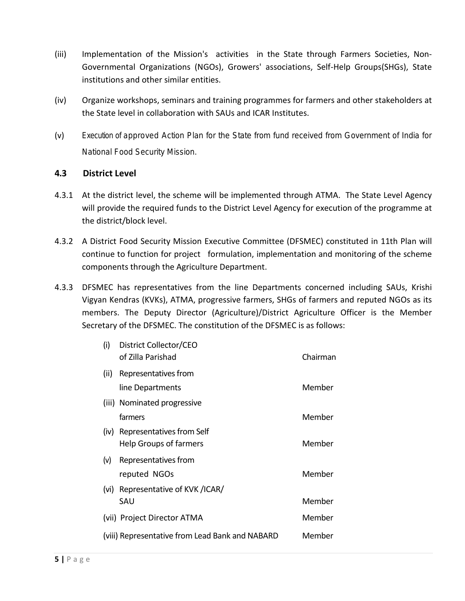- (iii) Implementation of the Mission's activities in the State through Farmers Societies, Non-Governmental Organizations (NGOs), Growers' associations, Self-Help Groups(SHGs), State institutions and other similar entities.
- (iv) Organize workshops, seminars and training programmes for farmers and other stakeholders at the State level in collaboration with SAUs and ICAR Institutes.
- (v) Execution of approved Action Plan for the State from fund received from Government of India for National Food Security Mission.

#### **4.3 District Level**

- 4.3.1 At the district level, the scheme will be implemented through ATMA. The State Level Agency will provide the required funds to the District Level Agency for execution of the programme at the district/block level.
- 4.3.2 A District Food Security Mission Executive Committee (DFSMEC) constituted in 11th Plan will continue to function for project formulation, implementation and monitoring of the scheme components through the Agriculture Department.
- 4.3.3 DFSMEC has representatives from the line Departments concerned including SAUs, Krishi Vigyan Kendras (KVKs), ATMA, progressive farmers, SHGs of farmers and reputed NGOs as its members. The Deputy Director (Agriculture)/District Agriculture Officer is the Member Secretary of the DFSMEC. The constitution of the DFSMEC is as follows:

| District Collector/CEO<br>of Zilla Parishad                     | Chairman |
|-----------------------------------------------------------------|----------|
| Representatives from                                            |          |
| line Departments                                                | Member   |
| (iii) Nominated progressive                                     |          |
| farmers                                                         | Member   |
| (iv) Representatives from Self<br><b>Help Groups of farmers</b> | Member   |
| Representatives from                                            |          |
| reputed NGOs                                                    | Member   |
| Representative of KVK /ICAR/                                    |          |
| SAU                                                             | Member   |
| (vii) Project Director ATMA                                     | Member   |
| (viii) Representative from Lead Bank and NABARD                 | Member   |
|                                                                 |          |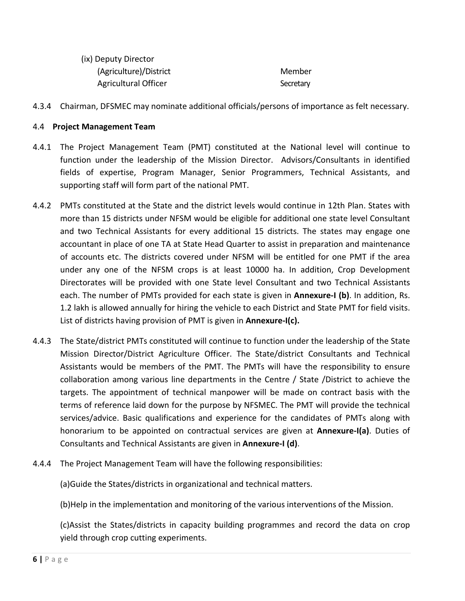| (ix) Deputy Director   |           |
|------------------------|-----------|
| (Agriculture)/District | Member    |
| Agricultural Officer   | Secretary |

4.3.4 Chairman, DFSMEC may nominate additional officials/persons of importance as felt necessary.

#### 4.4 **Project Management Team**

- 4.4.1 The Project Management Team (PMT) constituted at the National level will continue to function under the leadership of the Mission Director. Advisors/Consultants in identified fields of expertise, Program Manager, Senior Programmers, Technical Assistants, and supporting staff will form part of the national PMT.
- 4.4.2 PMTs constituted at the State and the district levels would continue in 12th Plan. States with more than 15 districts under NFSM would be eligible for additional one state level Consultant and two Technical Assistants for every additional 15 districts. The states may engage one accountant in place of one TA at State Head Quarter to assist in preparation and maintenance of accounts etc. The districts covered under NFSM will be entitled for one PMT if the area under any one of the NFSM crops is at least 10000 ha. In addition, Crop Development Directorates will be provided with one State level Consultant and two Technical Assistants each. The number of PMTs provided for each state is given in **Annexure-I (b)**. In addition, Rs. 1.2 lakh is allowed annually for hiring the vehicle to each District and State PMT for field visits. List of districts having provision of PMT is given in **Annexure-I(c).**
- 4.4.3 The State/district PMTs constituted will continue to function under the leadership of the State Mission Director/District Agriculture Officer. The State/district Consultants and Technical Assistants would be members of the PMT. The PMTs will have the responsibility to ensure collaboration among various line departments in the Centre / State /District to achieve the targets. The appointment of technical manpower will be made on contract basis with the terms of reference laid down for the purpose by NFSMEC. The PMT will provide the technical services/advice. Basic qualifications and experience for the candidates of PMTs along with honorarium to be appointed on contractual services are given at **Annexure-I(a)**. Duties of Consultants and Technical Assistants are given in **Annexure-I (d)**.
- 4.4.4 The Project Management Team will have the following responsibilities:

(a)Guide the States/districts in organizational and technical matters.

(b)Help in the implementation and monitoring of the various interventions of the Mission.

(c)Assist the States/districts in capacity building programmes and record the data on crop yield through crop cutting experiments.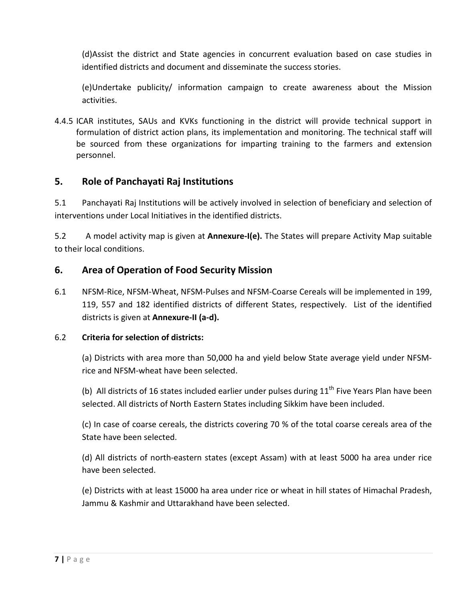(d)Assist the district and State agencies in concurrent evaluation based on case studies in identified districts and document and disseminate the success stories.

(e)Undertake publicity/ information campaign to create awareness about the Mission activities.

4.4.5 ICAR institutes, SAUs and KVKs functioning in the district will provide technical support in formulation of district action plans, its implementation and monitoring. The technical staff will be sourced from these organizations for imparting training to the farmers and extension personnel.

#### **5. Role of Panchayati Raj Institutions**

5.1 Panchayati Raj Institutions will be actively involved in selection of beneficiary and selection of interventions under Local Initiatives in the identified districts.

5.2 A model activity map is given at **Annexure-I(e).** The States will prepare Activity Map suitable to their local conditions.

#### **6. Area of Operation of Food Security Mission**

6.1 NFSM-Rice, NFSM-Wheat, NFSM-Pulses and NFSM-Coarse Cereals will be implemented in 199, 119, 557 and 182 identified districts of different States, respectively. List of the identified districts is given at **Annexure-II (a-d).**

#### 6.2 **Criteria for selection of districts:**

(a) Districts with area more than 50,000 ha and yield below State average yield under NFSMrice and NFSM-wheat have been selected.

(b) All districts of 16 states included earlier under pulses during  $11<sup>th</sup>$  Five Years Plan have been selected. All districts of North Eastern States including Sikkim have been included.

(c) In case of coarse cereals, the districts covering 70 % of the total coarse cereals area of the State have been selected.

(d) All districts of north-eastern states (except Assam) with at least 5000 ha area under rice have been selected.

(e) Districts with at least 15000 ha area under rice or wheat in hill states of Himachal Pradesh, Jammu & Kashmir and Uttarakhand have been selected.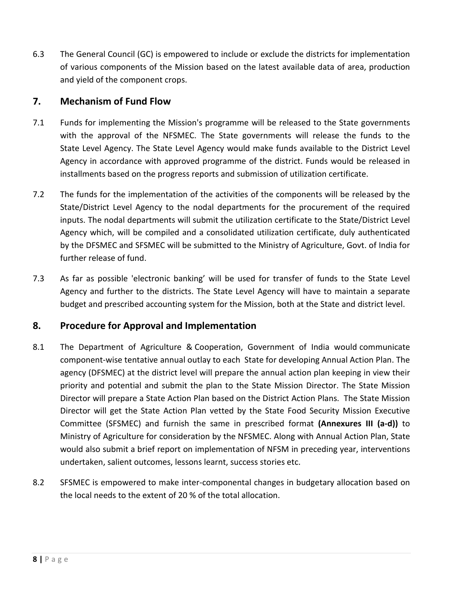6.3 The General Council (GC) is empowered to include or exclude the districts for implementation of various components of the Mission based on the latest available data of area, production and yield of the component crops.

#### **7. Mechanism of Fund Flow**

- 7.1 Funds for implementing the Mission's programme will be released to the State governments with the approval of the NFSMEC. The State governments will release the funds to the State Level Agency. The State Level Agency would make funds available to the District Level Agency in accordance with approved programme of the district. Funds would be released in installments based on the progress reports and submission of utilization certificate.
- 7.2 The funds for the implementation of the activities of the components will be released by the State/District Level Agency to the nodal departments for the procurement of the required inputs. The nodal departments will submit the utilization certificate to the State/District Level Agency which, will be compiled and a consolidated utilization certificate, duly authenticated by the DFSMEC and SFSMEC will be submitted to the Ministry of Agriculture, Govt. of India for further release of fund.
- 7.3 As far as possible 'electronic banking' will be used for transfer of funds to the State Level Agency and further to the districts. The State Level Agency will have to maintain a separate budget and prescribed accounting system for the Mission, both at the State and district level.

#### **8. Procedure for Approval and Implementation**

- 8.1 The Department of Agriculture & Cooperation, Government of India would communicate component-wise tentative annual outlay to each State for developing Annual Action Plan. The agency (DFSMEC) at the district level will prepare the annual action plan keeping in view their priority and potential and submit the plan to the State Mission Director. The State Mission Director will prepare a State Action Plan based on the District Action Plans. The State Mission Director will get the State Action Plan vetted by the State Food Security Mission Executive Committee (SFSMEC) and furnish the same in prescribed format **(Annexures III (a-d))** to Ministry of Agriculture for consideration by the NFSMEC. Along with Annual Action Plan, State would also submit a brief report on implementation of NFSM in preceding year, interventions undertaken, salient outcomes, lessons learnt, success stories etc.
- 8.2 SFSMEC is empowered to make inter-componental changes in budgetary allocation based on the local needs to the extent of 20 % of the total allocation.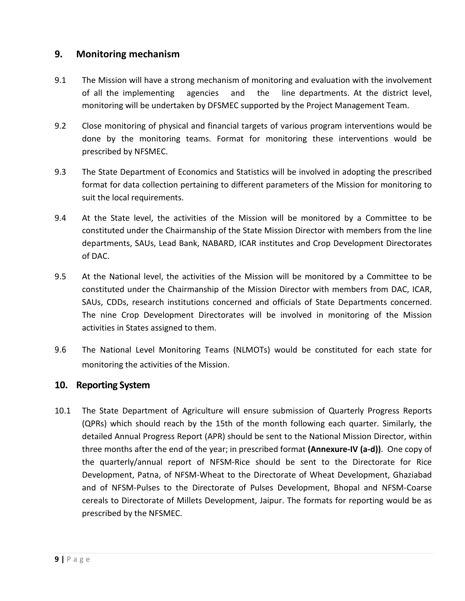#### **9. Monitoring mechanism**

- 9.1 The Mission will have a strong mechanism of monitoring and evaluation with the involvement of all the implementing agencies and the line departments. At the district level, monitoring will be undertaken by DFSMEC supported by the Project Management Team.
- 9.2 Close monitoring of physical and financial targets of various program interventions would be done by the monitoring teams. Format for monitoring these interventions would be prescribed by NFSMEC.
- 9.3 The State Department of Economics and Statistics will be involved in adopting the prescribed format for data collection pertaining to different parameters of the Mission for monitoring to suit the local requirements.
- 9.4 At the State level, the activities of the Mission will be monitored by a Committee to be constituted under the Chairmanship of the State Mission Director with members from the line departments, SAUs, Lead Bank, NABARD, ICAR institutes and Crop Development Directorates of DAC.
- 9.5 At the National level, the activities of the Mission will be monitored by a Committee to be constituted under the Chairmanship of the Mission Director with members from DAC, ICAR, SAUs, CDDs, research institutions concerned and officials of State Departments concerned. The nine Crop Development Directorates will be involved in monitoring of the Mission activities in States assigned to them.
- 9.6 The National Level Monitoring Teams (NLMOTs) would be constituted for each state for monitoring the activities of the Mission.

#### **10. Reporting System**

10.1 The State Department of Agriculture will ensure submission of Quarterly Progress Reports (QPRs) which should reach by the 15th of the month following each quarter. Similarly, the detailed Annual Progress Report (APR) should be sent to the National Mission Director, within three months after the end of the year; in prescribed format **(Annexure-IV (a-d))**. One copy of the quarterly/annual report of NFSM-Rice should be sent to the Directorate for Rice Development, Patna, of NFSM-Wheat to the Directorate of Wheat Development, Ghaziabad and of NFSM-Pulses to the Directorate of Pulses Development, Bhopal and NFSM-Coarse cereals to Directorate of Millets Development, Jaipur. The formats for reporting would be as prescribed by the NFSMEC.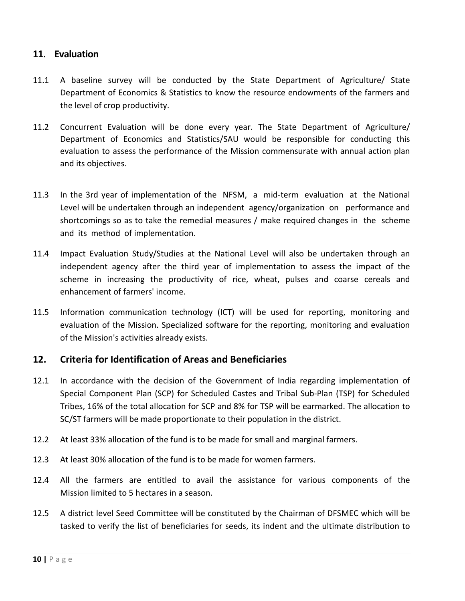#### **11. Evaluation**

- 11.1 A baseline survey will be conducted by the State Department of Agriculture/ State Department of Economics & Statistics to know the resource endowments of the farmers and the level of crop productivity.
- 11.2 Concurrent Evaluation will be done every year. The State Department of Agriculture/ Department of Economics and Statistics/SAU would be responsible for conducting this evaluation to assess the performance of the Mission commensurate with annual action plan and its objectives.
- 11.3 In the 3rd year of implementation of the NFSM, a mid-term evaluation at the National Level will be undertaken through an independent agency/organization on performance and shortcomings so as to take the remedial measures / make required changes in the scheme and its method of implementation.
- 11.4 Impact Evaluation Study/Studies at the National Level will also be undertaken through an independent agency after the third year of implementation to assess the impact of the scheme in increasing the productivity of rice, wheat, pulses and coarse cereals and enhancement of farmers' income.
- 11.5 Information communication technology (ICT) will be used for reporting, monitoring and evaluation of the Mission. Specialized software for the reporting, monitoring and evaluation of the Mission's activities already exists.

#### **12. Criteria for Identification of Areas and Beneficiaries**

- 12.1 In accordance with the decision of the Government of India regarding implementation of Special Component Plan (SCP) for Scheduled Castes and Tribal Sub-Plan (TSP) for Scheduled Tribes, 16% of the total allocation for SCP and 8% for TSP will be earmarked. The allocation to SC/ST farmers will be made proportionate to their population in the district.
- 12.2 At least 33% allocation of the fund is to be made for small and marginal farmers.
- 12.3 At least 30% allocation of the fund is to be made for women farmers.
- 12.4 All the farmers are entitled to avail the assistance for various components of the Mission limited to 5 hectares in a season.
- 12.5 A district level Seed Committee will be constituted by the Chairman of DFSMEC which will be tasked to verify the list of beneficiaries for seeds, its indent and the ultimate distribution to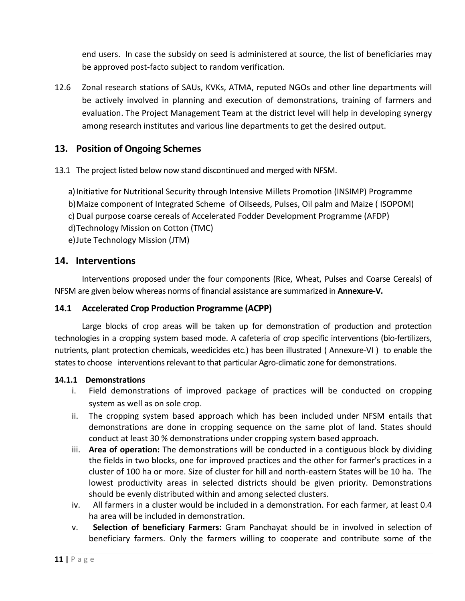end users. In case the subsidy on seed is administered at source, the list of beneficiaries may be approved post-facto subject to random verification.

12.6 Zonal research stations of SAUs, KVKs, ATMA, reputed NGOs and other line departments will be actively involved in planning and execution of demonstrations, training of farmers and evaluation. The Project Management Team at the district level will help in developing synergy among research institutes and various line departments to get the desired output.

#### **13. Position of Ongoing Schemes**

13.1 The project listed below now stand discontinued and merged with NFSM.

a) Initiative for Nutritional Security through Intensive Millets Promotion (INSIMP) Programme b)Maize component of Integrated Scheme of Oilseeds, Pulses, Oil palm and Maize ( ISOPOM) c) Dual purpose coarse cereals of Accelerated Fodder Development Programme (AFDP) d)Technology Mission on Cotton (TMC)

e)Jute Technology Mission (JTM)

#### **14. Interventions**

Interventions proposed under the four components (Rice, Wheat, Pulses and Coarse Cereals) of NFSM are given below whereas norms of financial assistance are summarized in **Annexure-V.**

#### **14.1 Accelerated Crop Production Programme (ACPP)**

Large blocks of crop areas will be taken up for demonstration of production and protection technologies in a cropping system based mode. A cafeteria of crop specific interventions (bio-fertilizers, nutrients, plant protection chemicals, weedicides etc.) has been illustrated ( Annexure-VI ) to enable the states to choose interventions relevant to that particular Agro-climatic zone for demonstrations.

#### **14.1.1 Demonstrations**

- i. Field demonstrations of improved package of practices will be conducted on cropping system as well as on sole crop.
- ii. The cropping system based approach which has been included under NFSM entails that demonstrations are done in cropping sequence on the same plot of land. States should conduct at least 30 % demonstrations under cropping system based approach.
- iii. **Area of operation:** The demonstrations will be conducted in a contiguous block by dividing the fields in two blocks, one for improved practices and the other for farmer's practices in a cluster of 100 ha or more. Size of cluster for hill and north-eastern States will be 10 ha. The lowest productivity areas in selected districts should be given priority. Demonstrations should be evenly distributed within and among selected clusters.
- iv. All farmers in a cluster would be included in a demonstration. For each farmer, at least 0.4 ha area will be included in demonstration.
- v. **Selection of beneficiary Farmers:** Gram Panchayat should be in involved in selection of beneficiary farmers. Only the farmers willing to cooperate and contribute some of the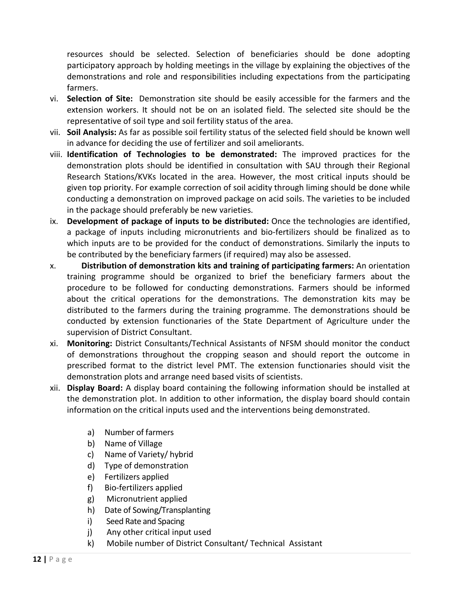resources should be selected. Selection of beneficiaries should be done adopting participatory approach by holding meetings in the village by explaining the objectives of the demonstrations and role and responsibilities including expectations from the participating farmers.

- vi. **Selection of Site:** Demonstration site should be easily accessible for the farmers and the extension workers. It should not be on an isolated field. The selected site should be the representative of soil type and soil fertility status of the area.
- vii. **Soil Analysis:** As far as possible soil fertility status of the selected field should be known well in advance for deciding the use of fertilizer and soil ameliorants.
- viii. **Identification of Technologies to be demonstrated:** The improved practices for the demonstration plots should be identified in consultation with SAU through their Regional Research Stations/KVKs located in the area. However, the most critical inputs should be given top priority. For example correction of soil acidity through liming should be done while conducting a demonstration on improved package on acid soils. The varieties to be included in the package should preferably be new varieties.
- ix. **Development of package of inputs to be distributed:** Once the technologies are identified, a package of inputs including micronutrients and bio-fertilizers should be finalized as to which inputs are to be provided for the conduct of demonstrations. Similarly the inputs to be contributed by the beneficiary farmers (if required) may also be assessed.
- x. **Distribution of demonstration kits and training of participating farmers:** An orientation training programme should be organized to brief the beneficiary farmers about the procedure to be followed for conducting demonstrations. Farmers should be informed about the critical operations for the demonstrations. The demonstration kits may be distributed to the farmers during the training programme. The demonstrations should be conducted by extension functionaries of the State Department of Agriculture under the supervision of District Consultant.
- xi. **Monitoring:** District Consultants/Technical Assistants of NFSM should monitor the conduct of demonstrations throughout the cropping season and should report the outcome in prescribed format to the district level PMT. The extension functionaries should visit the demonstration plots and arrange need based visits of scientists.
- xii. **Display Board:** A display board containing the following information should be installed at the demonstration plot. In addition to other information, the display board should contain information on the critical inputs used and the interventions being demonstrated.
	- a) Number of farmers
	- b) Name of Village
	- c) Name of Variety/ hybrid
	- d) Type of demonstration
	- e) Fertilizers applied
	- f) Bio-fertilizers applied
	- g) Micronutrient applied
	- h) Date of Sowing/Transplanting
	- i) Seed Rate and Spacing
	- j) Any other critical input used
	- k) Mobile number of District Consultant/ Technical Assistant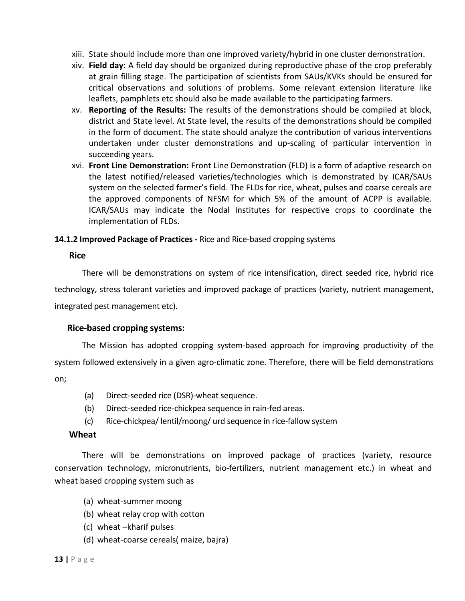- xiii. State should include more than one improved variety/hybrid in one cluster demonstration.
- xiv. **Field day**: A field day should be organized during reproductive phase of the crop preferably at grain filling stage. The participation of scientists from SAUs/KVKs should be ensured for critical observations and solutions of problems. Some relevant extension literature like leaflets, pamphlets etc should also be made available to the participating farmers.
- xv. **Reporting of the Results:** The results of the demonstrations should be compiled at block, district and State level. At State level, the results of the demonstrations should be compiled in the form of document. The state should analyze the contribution of various interventions undertaken under cluster demonstrations and up-scaling of particular intervention in succeeding years.
- xvi. **Front Line Demonstration:** Front Line Demonstration (FLD) is a form of adaptive research on the latest notified/released varieties/technologies which is demonstrated by ICAR/SAUs system on the selected farmer's field. The FLDs for rice, wheat, pulses and coarse cereals are the approved components of NFSM for which 5% of the amount of ACPP is available. ICAR/SAUs may indicate the Nodal Institutes for respective crops to coordinate the implementation of FLDs.

#### **14.1.2 Improved Package of Practices -** Rice and Rice-based cropping systems

#### **Rice**

There will be demonstrations on system of rice intensification, direct seeded rice, hybrid rice

technology, stress tolerant varieties and improved package of practices (variety, nutrient management,

integrated pest management etc).

#### **Rice-based cropping systems:**

The Mission has adopted cropping system-based approach for improving productivity of the system followed extensively in a given agro-climatic zone. Therefore, there will be field demonstrations on;

- (a) Direct-seeded rice (DSR)-wheat sequence.
- (b) Direct-seeded rice-chickpea sequence in rain-fed areas.
- (c) Rice-chickpea/ lentil/moong/ urd sequence in rice-fallow system

#### **Wheat**

There will be demonstrations on improved package of practices (variety, resource conservation technology, micronutrients, bio-fertilizers, nutrient management etc.) in wheat and wheat based cropping system such as

- (a) wheat-summer moong
- (b) wheat relay crop with cotton
- (c) wheat –kharif pulses
- (d) wheat-coarse cereals( maize, bajra)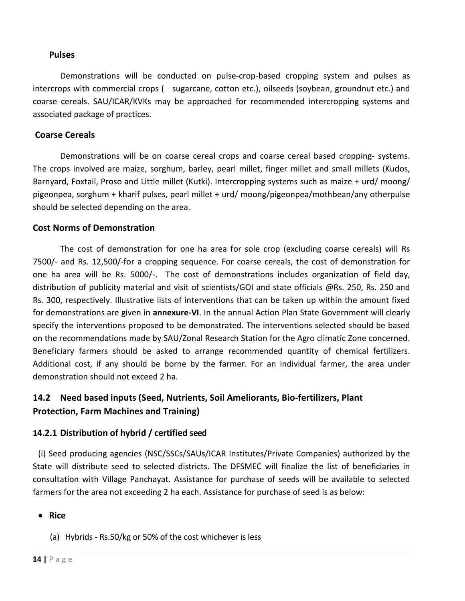#### **Pulses**

Demonstrations will be conducted on pulse-crop-based cropping system and pulses as intercrops with commercial crops ( sugarcane, cotton etc.), oilseeds (soybean, groundnut etc.) and coarse cereals. SAU/ICAR/KVKs may be approached for recommended intercropping systems and associated package of practices.

#### **Coarse Cereals**

Demonstrations will be on coarse cereal crops and coarse cereal based cropping- systems. The crops involved are maize, sorghum, barley, pearl millet, finger millet and small millets (Kudos, Barnyard, Foxtail, Proso and Little millet (Kutki). Intercropping systems such as maize + urd/ moong/ pigeonpea, sorghum + kharif pulses, pearl millet + urd/ moong/pigeonpea/mothbean/any otherpulse should be selected depending on the area.

#### **Cost Norms of Demonstration**

The cost of demonstration for one ha area for sole crop (excluding coarse cereals) will Rs 7500/- and Rs. 12,500/-for a cropping sequence. For coarse cereals, the cost of demonstration for one ha area will be Rs. 5000/-. The cost of demonstrations includes organization of field day, distribution of publicity material and visit of scientists/GOI and state officials @Rs. 250, Rs. 250 and Rs. 300, respectively. Illustrative lists of interventions that can be taken up within the amount fixed for demonstrations are given in **annexure-VI**. In the annual Action Plan State Government will clearly specify the interventions proposed to be demonstrated. The interventions selected should be based on the recommendations made by SAU/Zonal Research Station for the Agro climatic Zone concerned. Beneficiary farmers should be asked to arrange recommended quantity of chemical fertilizers. Additional cost, if any should be borne by the farmer. For an individual farmer, the area under demonstration should not exceed 2 ha.

### **14.2 Need based inputs (Seed, Nutrients, Soil Ameliorants, Bio-fertilizers, Plant Protection, Farm Machines and Training)**

#### **14.2.1 Distribution of hybrid / certified seed**

(i) Seed producing agencies (NSC/SSCs/SAUs/ICAR Institutes/Private Companies) authorized by the State will distribute seed to selected districts. The DFSMEC will finalize the list of beneficiaries in consultation with Village Panchayat. Assistance for purchase of seeds will be available to selected farmers for the area not exceeding 2 ha each. Assistance for purchase of seed is as below:

• **Rice** 

(a) Hybrids - Rs.50/kg or 50% of the cost whichever is less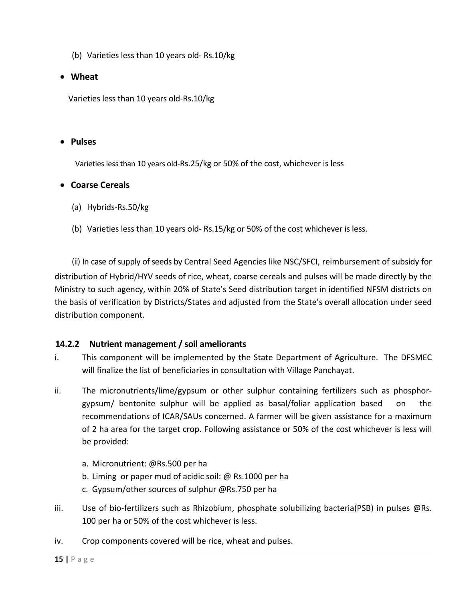- (b) Varieties less than 10 years old- Rs.10/kg
- **Wheat**

Varieties less than 10 years old-Rs.10/kg

#### • **Pulses**

Varieties less than 10 years old-Rs.25/kg or 50% of the cost, whichever is less

#### • **Coarse Cereals**

- (a) Hybrids-Rs.50/kg
- (b) Varieties less than 10 years old- Rs.15/kg or 50% of the cost whichever is less.

(ii) In case of supply of seeds by Central Seed Agencies like NSC/SFCI, reimbursement of subsidy for distribution of Hybrid/HYV seeds of rice, wheat, coarse cereals and pulses will be made directly by the Ministry to such agency, within 20% of State's Seed distribution target in identified NFSM districts on the basis of verification by Districts/States and adjusted from the State's overall allocation under seed distribution component.

#### **14.2.2 Nutrient management / soil ameliorants**

- i. This component will be implemented by the State Department of Agriculture. The DFSMEC will finalize the list of beneficiaries in consultation with Village Panchayat.
- ii. The micronutrients/lime/gypsum or other sulphur containing fertilizers such as phosphorgypsum/ bentonite sulphur will be applied as basal/foliar application based on the recommendations of ICAR/SAUs concerned. A farmer will be given assistance for a maximum of 2 ha area for the target crop. Following assistance or 50% of the cost whichever is less will be provided:
	- a. Micronutrient: @Rs.500 per ha
	- b. Liming or paper mud of acidic soil: @ Rs.1000 per ha
	- c. Gypsum/other sources of sulphur @Rs.750 per ha
- iii. Use of bio-fertilizers such as Rhizobium, phosphate solubilizing bacteria(PSB) in pulses @Rs. 100 per ha or 50% of the cost whichever is less.
- iv. Crop components covered will be rice, wheat and pulses.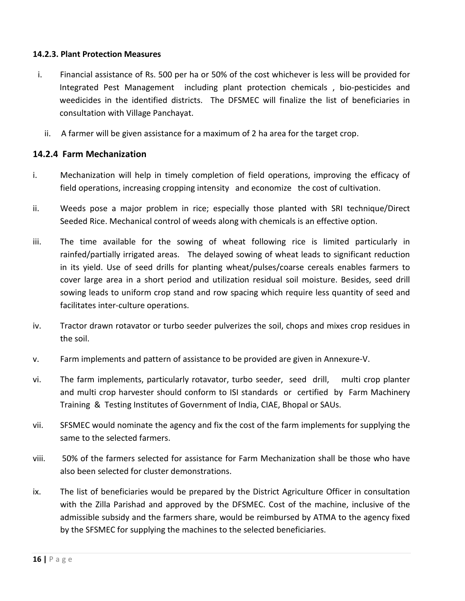#### **14.2.3. Plant Protection Measures**

- i.Financial assistance of Rs. 500 per ha or 50% of the cost whichever is less will be provided for Integrated Pest Management including plant protection chemicals , bio-pesticides and weedicides in the identified districts. The DFSMEC will finalize the list of beneficiaries in consultation with Village Panchayat.
	- ii. A farmer will be given assistance for a maximum of 2 ha area for the target crop.

#### **14.2.4 Farm Mechanization**

- i. Mechanization will help in timely completion of field operations, improving the efficacy of field operations, increasing cropping intensity and economize the cost of cultivation.
- ii. Weeds pose a major problem in rice; especially those planted with SRI technique/Direct Seeded Rice. Mechanical control of weeds along with chemicals is an effective option.
- iii. The time available for the sowing of wheat following rice is limited particularly in rainfed/partially irrigated areas. The delayed sowing of wheat leads to significant reduction in its yield. Use of seed drills for planting wheat/pulses/coarse cereals enables farmers to cover large area in a short period and utilization residual soil moisture. Besides, seed drill sowing leads to uniform crop stand and row spacing which require less quantity of seed and facilitates inter-culture operations.
- iv. Tractor drawn rotavator or turbo seeder pulverizes the soil, chops and mixes crop residues in the soil.
- v. Farm implements and pattern of assistance to be provided are given in Annexure-V.
- vi. The farm implements, particularly rotavator, turbo seeder, seed drill, multi crop planter and multi crop harvester should conform to ISI standards or certified by Farm Machinery Training & Testing Institutes of Government of India, CIAE, Bhopal or SAUs.
- vii. SFSMEC would nominate the agency and fix the cost of the farm implements for supplying the same to the selected farmers.
- viii. 50% of the farmers selected for assistance for Farm Mechanization shall be those who have also been selected for cluster demonstrations.
- ix. The list of beneficiaries would be prepared by the District Agriculture Officer in consultation with the Zilla Parishad and approved by the DFSMEC. Cost of the machine, inclusive of the admissible subsidy and the farmers share, would be reimbursed by ATMA to the agency fixed by the SFSMEC for supplying the machines to the selected beneficiaries.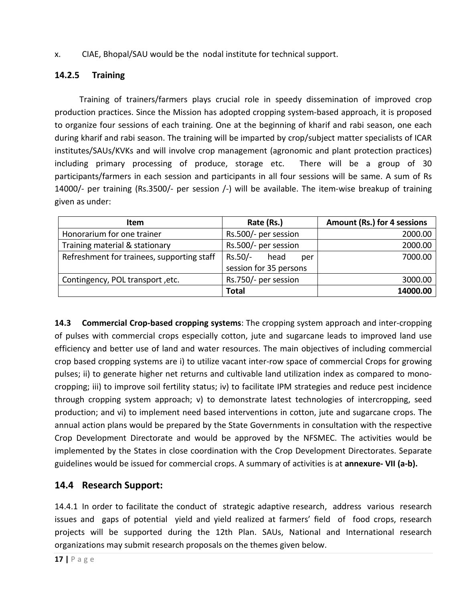x. CIAE, Bhopal/SAU would be the nodal institute for technical support.

#### **14.2.5 Training**

 Training of trainers/farmers plays crucial role in speedy dissemination of improved crop production practices. Since the Mission has adopted cropping system-based approach, it is proposed to organize four sessions of each training. One at the beginning of kharif and rabi season, one each during kharif and rabi season. The training will be imparted by crop/subject matter specialists of ICAR institutes/SAUs/KVKs and will involve crop management (agronomic and plant protection practices) including primary processing of produce, storage etc. There will be a group of 30 participants/farmers in each session and participants in all four sessions will be same. A sum of Rs 14000/- per training (Rs.3500/- per session /-) will be available. The item-wise breakup of training given as under:

| <b>Item</b>                                | Rate (Rs.)             | Amount (Rs.) for 4 sessions |  |
|--------------------------------------------|------------------------|-----------------------------|--|
| Honorarium for one trainer                 | Rs.500/- per session   | 2000.00                     |  |
| Training material & stationary             | Rs.500/- per session   | 2000.00                     |  |
| Refreshment for trainees, supporting staff | Rs.50/-<br>head<br>per | 7000.00                     |  |
|                                            | session for 35 persons |                             |  |
| Contingency, POL transport, etc.           | Rs.750/- per session   | 3000.00                     |  |
|                                            | <b>Total</b>           | 14000.00                    |  |

**14.3 Commercial Crop-based cropping systems**: The cropping system approach and inter-cropping of pulses with commercial crops especially cotton, jute and sugarcane leads to improved land use efficiency and better use of land and water resources. The main objectives of including commercial crop based cropping systems are i) to utilize vacant inter-row space of commercial Crops for growing pulses; ii) to generate higher net returns and cultivable land utilization index as compared to monocropping; iii) to improve soil fertility status; iv) to facilitate IPM strategies and reduce pest incidence through cropping system approach; v) to demonstrate latest technologies of intercropping, seed production; and vi) to implement need based interventions in cotton, jute and sugarcane crops. The annual action plans would be prepared by the State Governments in consultation with the respective Crop Development Directorate and would be approved by the NFSMEC. The activities would be implemented by the States in close coordination with the Crop Development Directorates. Separate guidelines would be issued for commercial crops. A summary of activities is at **annexure- VII (a-b).**

#### **14.4 Research Support:**

14.4.1 In order to facilitate the conduct of strategic adaptive research, address various research issues and gaps of potential yield and yield realized at farmers' field of food crops, research projects will be supported during the 12th Plan. SAUs, National and International research organizations may submit research proposals on the themes given below.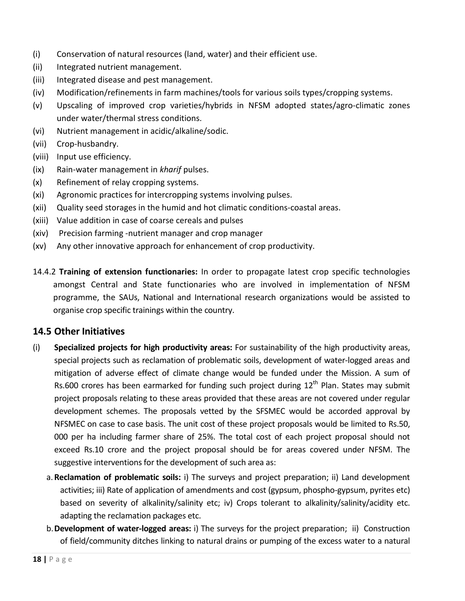- (i) Conservation of natural resources (land, water) and their efficient use.
- (ii) Integrated nutrient management.
- (iii) Integrated disease and pest management.
- (iv) Modification/refinements in farm machines/tools for various soils types/cropping systems.
- (v) Upscaling of improved crop varieties/hybrids in NFSM adopted states/agro-climatic zones under water/thermal stress conditions.
- (vi) Nutrient management in acidic/alkaline/sodic.
- (vii) Crop-husbandry.
- (viii) Input use efficiency.
- (ix) Rain-water management in *kharif* pulses.
- (x) Refinement of relay cropping systems.
- (xi) Agronomic practices for intercropping systems involving pulses.
- (xii) Quality seed storages in the humid and hot climatic conditions-coastal areas.
- (xiii) Value addition in case of coarse cereals and pulses
- (xiv) Precision farming -nutrient manager and crop manager
- (xv) Any other innovative approach for enhancement of crop productivity.
- 14.4.2 **Training of extension functionaries:** In order to propagate latest crop specific technologies amongst Central and State functionaries who are involved in implementation of NFSM programme, the SAUs, National and International research organizations would be assisted to organise crop specific trainings within the country.

#### **14.5 Other Initiatives**

- (i) **Specialized projects for high productivity areas:** For sustainability of the high productivity areas, special projects such as reclamation of problematic soils, development of water-logged areas and mitigation of adverse effect of climate change would be funded under the Mission. A sum of Rs.600 crores has been earmarked for funding such project during  $12<sup>th</sup>$  Plan. States may submit project proposals relating to these areas provided that these areas are not covered under regular development schemes. The proposals vetted by the SFSMEC would be accorded approval by NFSMEC on case to case basis. The unit cost of these project proposals would be limited to Rs.50, 000 per ha including farmer share of 25%. The total cost of each project proposal should not exceed Rs.10 crore and the project proposal should be for areas covered under NFSM. The suggestive interventions for the development of such area as:
	- a.**Reclamation of problematic soils:** i) The surveys and project preparation; ii) Land development activities; iii) Rate of application of amendments and cost (gypsum, phospho-gypsum, pyrites etc) based on severity of alkalinity/salinity etc; iv) Crops tolerant to alkalinity/salinity/acidity etc. adapting the reclamation packages etc.
	- b.**Development of water-logged areas:** i) The surveys for the project preparation; ii) Construction of field/community ditches linking to natural drains or pumping of the excess water to a natural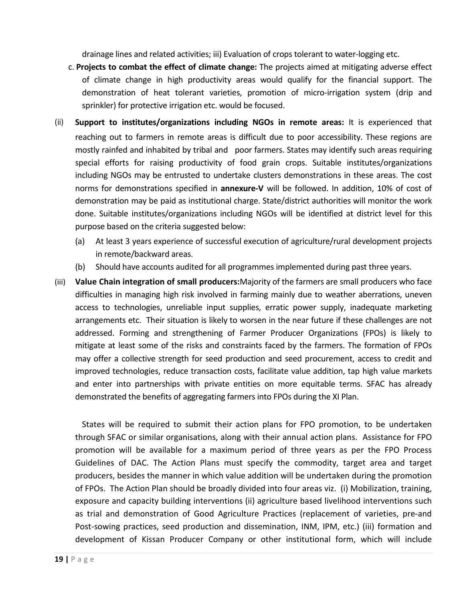drainage lines and related activities; iii) Evaluation of crops tolerant to water-logging etc.

- c. **Projects to combat the effect of climate change:** The projects aimed at mitigating adverse effect of climate change in high productivity areas would qualify for the financial support. The demonstration of heat tolerant varieties, promotion of micro-irrigation system (drip and sprinkler) for protective irrigation etc. would be focused.
- (ii) **Support to institutes/organizations including NGOs in remote areas:** It is experienced that reaching out to farmers in remote areas is difficult due to poor accessibility. These regions are mostly rainfed and inhabited by tribal and poor farmers. States may identify such areas requiring special efforts for raising productivity of food grain crops. Suitable institutes/organizations including NGOs may be entrusted to undertake clusters demonstrations in these areas. The cost norms for demonstrations specified in **annexure-V** will be followed. In addition, 10% of cost of demonstration may be paid as institutional charge. State/district authorities will monitor the work done. Suitable institutes/organizations including NGOs will be identified at district level for this purpose based on the criteria suggested below:
	- (a) At least 3 years experience of successful execution of agriculture/rural development projects in remote/backward areas.
	- (b) Should have accounts audited for all programmes implemented during past three years.
- (iii) **Value Chain integration of small producers:**Majority of the farmers are small producers who face difficulties in managing high risk involved in farming mainly due to weather aberrations, uneven access to technologies, unreliable input supplies, erratic power supply, inadequate marketing arrangements etc. Their situation is likely to worsen in the near future if these challenges are not addressed. Forming and strengthening of Farmer Producer Organizations (FPOs) is likely to mitigate at least some of the risks and constraints faced by the farmers. The formation of FPOs may offer a collective strength for seed production and seed procurement, access to credit and improved technologies, reduce transaction costs, facilitate value addition, tap high value markets and enter into partnerships with private entities on more equitable terms. SFAC has already demonstrated the benefits of aggregating farmers into FPOs during the XI Plan.

States will be required to submit their action plans for FPO promotion, to be undertaken through SFAC or similar organisations, along with their annual action plans. Assistance for FPO promotion will be available for a maximum period of three years as per the FPO Process Guidelines of DAC. The Action Plans must specify the commodity, target area and target producers, besides the manner in which value addition will be undertaken during the promotion of FPOs. The Action Plan should be broadly divided into four areas viz. (i) Mobilization, training, exposure and capacity building interventions (ii) agriculture based livelihood interventions such as trial and demonstration of Good Agriculture Practices (replacement of varieties, pre-and Post-sowing practices, seed production and dissemination, INM, IPM, etc.) (iii) formation and development of Kissan Producer Company or other institutional form, which will include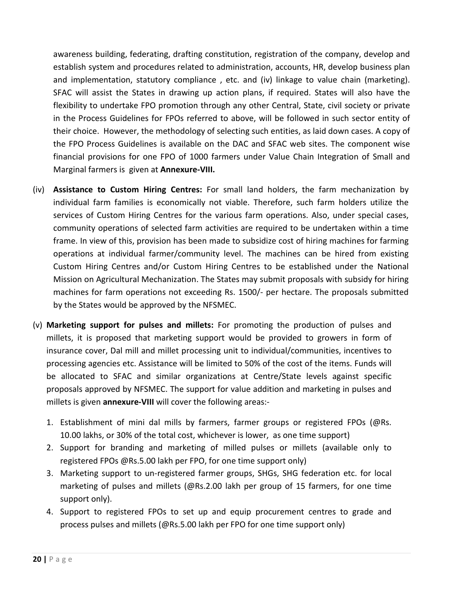awareness building, federating, drafting constitution, registration of the company, develop and establish system and procedures related to administration, accounts, HR, develop business plan and implementation, statutory compliance , etc. and (iv) linkage to value chain (marketing). SFAC will assist the States in drawing up action plans, if required. States will also have the flexibility to undertake FPO promotion through any other Central, State, civil society or private in the Process Guidelines for FPOs referred to above, will be followed in such sector entity of their choice. However, the methodology of selecting such entities, as laid down cases. A copy of the FPO Process Guidelines is available on the DAC and SFAC web sites. The component wise financial provisions for one FPO of 1000 farmers under Value Chain Integration of Small and Marginal farmers is given at **Annexure-VIII.**

- (iv) **Assistance to Custom Hiring Centres:** For small land holders, the farm mechanization by individual farm families is economically not viable. Therefore, such farm holders utilize the services of Custom Hiring Centres for the various farm operations. Also, under special cases, community operations of selected farm activities are required to be undertaken within a time frame. In view of this, provision has been made to subsidize cost of hiring machines for farming operations at individual farmer/community level. The machines can be hired from existing Custom Hiring Centres and/or Custom Hiring Centres to be established under the National Mission on Agricultural Mechanization. The States may submit proposals with subsidy for hiring machines for farm operations not exceeding Rs. 1500/- per hectare. The proposals submitted by the States would be approved by the NFSMEC.
- (v) **Marketing support for pulses and millets:** For promoting the production of pulses and millets, it is proposed that marketing support would be provided to growers in form of insurance cover, Dal mill and millet processing unit to individual/communities, incentives to processing agencies etc. Assistance will be limited to 50% of the cost of the items. Funds will be allocated to SFAC and similar organizations at Centre/State levels against specific proposals approved by NFSMEC. The support for value addition and marketing in pulses and millets is given **annexure-VIII** will cover the following areas:-
	- 1. Establishment of mini dal mills by farmers, farmer groups or registered FPOs (@Rs. 10.00 lakhs, or 30% of the total cost, whichever is lower, as one time support)
	- 2. Support for branding and marketing of milled pulses or millets (available only to registered FPOs @Rs.5.00 lakh per FPO, for one time support only)
	- 3. Marketing support to un-registered farmer groups, SHGs, SHG federation etc. for local marketing of pulses and millets (@Rs.2.00 lakh per group of 15 farmers, for one time support only).
	- 4. Support to registered FPOs to set up and equip procurement centres to grade and process pulses and millets (@Rs.5.00 lakh per FPO for one time support only)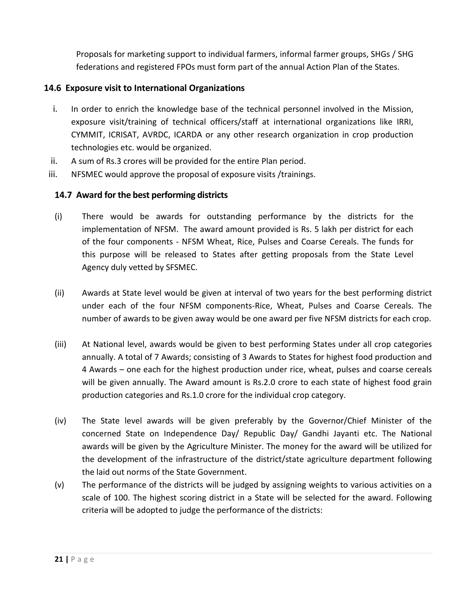Proposals for marketing support to individual farmers, informal farmer groups, SHGs / SHG federations and registered FPOs must form part of the annual Action Plan of the States.

#### **14.6 Exposure visit to International Organizations**

- i. In order to enrich the knowledge base of the technical personnel involved in the Mission, exposure visit/training of technical officers/staff at international organizations like IRRI, CYMMIT, ICRISAT, AVRDC, ICARDA or any other research organization in crop production technologies etc. would be organized.
- ii. A sum of Rs.3 crores will be provided for the entire Plan period.
- iii. NFSMEC would approve the proposal of exposure visits /trainings.

#### **14.7 Award for the best performing districts**

- (i) There would be awards for outstanding performance by the districts for the implementation of NFSM. The award amount provided is Rs. 5 lakh per district for each of the four components - NFSM Wheat, Rice, Pulses and Coarse Cereals. The funds for this purpose will be released to States after getting proposals from the State Level Agency duly vetted by SFSMEC.
- (ii) Awards at State level would be given at interval of two years for the best performing district under each of the four NFSM components-Rice, Wheat, Pulses and Coarse Cereals. The number of awards to be given away would be one award per five NFSM districts for each crop.
- (iii) At National level, awards would be given to best performing States under all crop categories annually. A total of 7 Awards; consisting of 3 Awards to States for highest food production and 4 Awards – one each for the highest production under rice, wheat, pulses and coarse cereals will be given annually. The Award amount is Rs.2.0 crore to each state of highest food grain production categories and Rs.1.0 crore for the individual crop category.
- (iv) The State level awards will be given preferably by the Governor/Chief Minister of the concerned State on Independence Day/ Republic Day/ Gandhi Jayanti etc. The National awards will be given by the Agriculture Minister. The money for the award will be utilized for the development of the infrastructure of the district/state agriculture department following the laid out norms of the State Government.
- (v) The performance of the districts will be judged by assigning weights to various activities on a scale of 100. The highest scoring district in a State will be selected for the award. Following criteria will be adopted to judge the performance of the districts: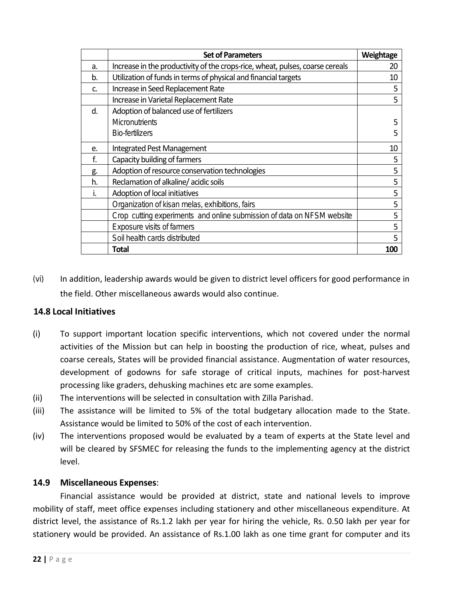|    | <b>Set of Parameters</b>                                                      | Weightage  |
|----|-------------------------------------------------------------------------------|------------|
| a. | Increase in the productivity of the crops-rice, wheat, pulses, coarse cereals | 20         |
| b. | Utilization of funds in terms of physical and financial targets               | 10         |
| c. | Increase in Seed Replacement Rate                                             | 5          |
|    | Increase in Varietal Replacement Rate                                         | 5          |
| d. | Adoption of balanced use of fertilizers                                       |            |
|    | <b>Micronutrients</b>                                                         | 5          |
|    | <b>Bio-fertilizers</b>                                                        | 5          |
| e. | Integrated Pest Management                                                    | 10         |
| f. | Capacity building of farmers                                                  | 5          |
| g. | Adoption of resource conservation technologies                                | 5          |
| h. | Reclamation of alkaline/acidic soils                                          | 5          |
| ı. | Adoption of local initiatives                                                 | 5          |
|    | Organization of kisan melas, exhibitions, fairs                               | 5          |
|    | Crop cutting experiments and online submission of data on NFSM website        | 5          |
|    | <b>Exposure visits of farmers</b>                                             | 5          |
|    | Soil health cards distributed                                                 | 5          |
|    | Total                                                                         | <b>100</b> |

(vi) In addition, leadership awards would be given to district level officers for good performance in the field. Other miscellaneous awards would also continue.

#### **14.8 Local Initiatives**

- (i) To support important location specific interventions, which not covered under the normal activities of the Mission but can help in boosting the production of rice, wheat, pulses and coarse cereals, States will be provided financial assistance. Augmentation of water resources, development of godowns for safe storage of critical inputs, machines for post-harvest processing like graders, dehusking machines etc are some examples.
- (ii) The interventions will be selected in consultation with Zilla Parishad.
- (iii) The assistance will be limited to 5% of the total budgetary allocation made to the State. Assistance would be limited to 50% of the cost of each intervention.
- (iv) The interventions proposed would be evaluated by a team of experts at the State level and will be cleared by SFSMEC for releasing the funds to the implementing agency at the district level.

#### **14.9 Miscellaneous Expenses**:

 Financial assistance would be provided at district, state and national levels to improve mobility of staff, meet office expenses including stationery and other miscellaneous expenditure. At district level, the assistance of Rs.1.2 lakh per year for hiring the vehicle, Rs. 0.50 lakh per year for stationery would be provided. An assistance of Rs.1.00 lakh as one time grant for computer and its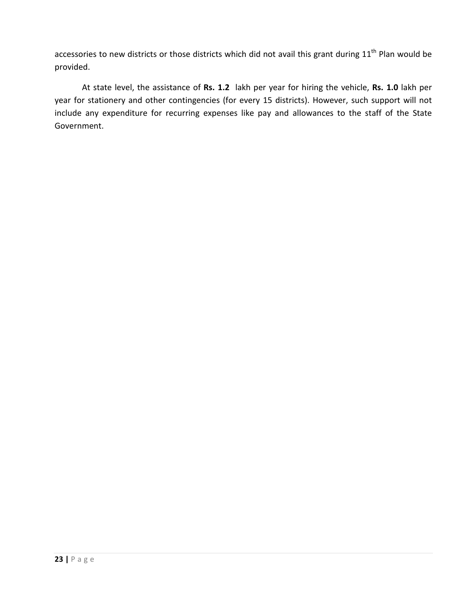accessories to new districts or those districts which did not avail this grant during  $11<sup>th</sup>$  Plan would be provided.

At state level, the assistance of **Rs. 1.2** lakh per year for hiring the vehicle, **Rs. 1.0** lakh per year for stationery and other contingencies (for every 15 districts). However, such support will not include any expenditure for recurring expenses like pay and allowances to the staff of the State Government.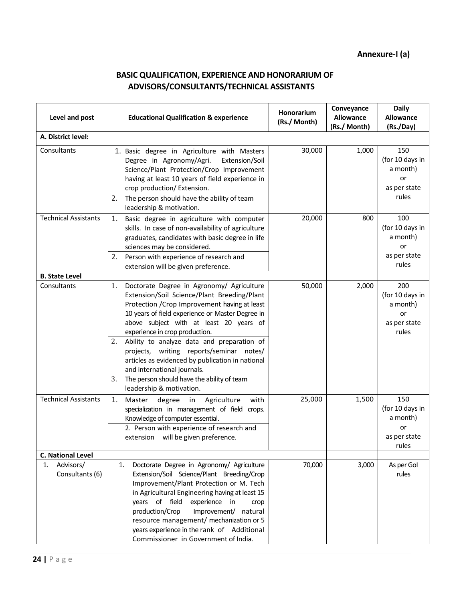#### **BASIC QUALIFICATION, EXPERIENCE AND HONORARIUM OF ADVISORS/CONSULTANTS/TECHNICAL ASSISTANTS**

| Level and post                     | <b>Educational Qualification &amp; experience</b>                                                                                                                                                                                                                                                                                                                                                                                                                                                                                                   | Honorarium<br>(Rs./ Month) | Conveyance<br><b>Allowance</b><br>(Rs./ Month) | <b>Daily</b><br><b>Allowance</b><br>(Rs./Day)                     |
|------------------------------------|-----------------------------------------------------------------------------------------------------------------------------------------------------------------------------------------------------------------------------------------------------------------------------------------------------------------------------------------------------------------------------------------------------------------------------------------------------------------------------------------------------------------------------------------------------|----------------------------|------------------------------------------------|-------------------------------------------------------------------|
| A. District level:                 |                                                                                                                                                                                                                                                                                                                                                                                                                                                                                                                                                     |                            |                                                |                                                                   |
| Consultants                        | 1. Basic degree in Agriculture with Masters<br>Degree in Agronomy/Agri.<br>Extension/Soil<br>Science/Plant Protection/Crop Improvement<br>having at least 10 years of field experience in<br>crop production/ Extension.<br>The person should have the ability of team<br>2.<br>leadership & motivation.                                                                                                                                                                                                                                            | 30,000                     | 1,000                                          | 150<br>(for 10 days in<br>a month)<br>or<br>as per state<br>rules |
| <b>Technical Assistants</b>        | Basic degree in agriculture with computer<br>1.<br>skills. In case of non-availability of agriculture<br>graduates, candidates with basic degree in life<br>sciences may be considered.<br>2.<br>Person with experience of research and<br>extension will be given preference.                                                                                                                                                                                                                                                                      | 20,000                     | 800                                            | 100<br>(for 10 days in<br>a month)<br>or<br>as per state<br>rules |
| <b>B. State Level</b>              |                                                                                                                                                                                                                                                                                                                                                                                                                                                                                                                                                     |                            |                                                |                                                                   |
| Consultants                        | Doctorate Degree in Agronomy/ Agriculture<br>1.<br>Extension/Soil Science/Plant Breeding/Plant<br>Protection / Crop Improvement having at least<br>10 years of field experience or Master Degree in<br>above subject with at least 20 years of<br>experience in crop production.<br>Ability to analyze data and preparation of<br>2.<br>projects, writing reports/seminar notes/<br>articles as evidenced by publication in national<br>and international journals.<br>The person should have the ability of team<br>3.<br>leadership & motivation. | 50,000                     | 2,000                                          | 200<br>(for 10 days in<br>a month)<br>or<br>as per state<br>rules |
| <b>Technical Assistants</b>        | 1.<br>Agriculture<br>Master<br>degree<br>with<br>in<br>specialization in management of field crops.<br>Knowledge of computer essential.<br>2. Person with experience of research and<br>extension will be given preference.                                                                                                                                                                                                                                                                                                                         | 25,000                     | 1,500                                          | 150<br>(for 10 days in<br>a month)<br>or<br>as per state<br>rules |
| <b>C. National Level</b>           |                                                                                                                                                                                                                                                                                                                                                                                                                                                                                                                                                     |                            |                                                |                                                                   |
| Advisors/<br>1.<br>Consultants (6) | Doctorate Degree in Agronomy/ Agriculture<br>1.<br>Extension/Soil Science/Plant Breeding/Crop<br>Improvement/Plant Protection or M. Tech<br>in Agricultural Engineering having at least 15<br>years of field<br>experience in<br>crop<br>production/Crop<br>Improvement/ natural<br>resource management/ mechanization or 5<br>years experience in the rank of Additional<br>Commissioner in Government of India.                                                                                                                                   | 70,000                     | 3,000                                          | As per Gol<br>rules                                               |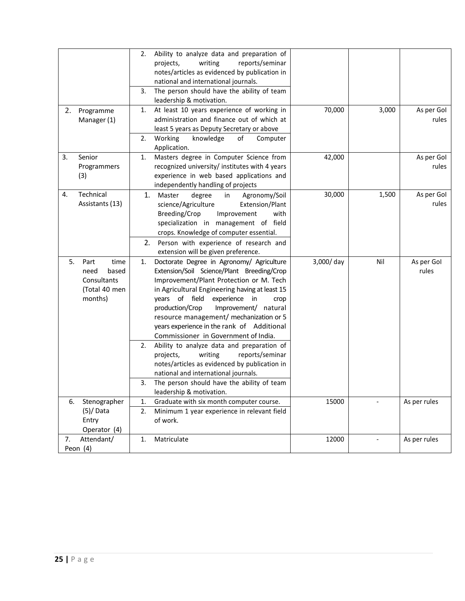|    |                        | 2. | Ability to analyze data and preparation of     |           |       |              |
|----|------------------------|----|------------------------------------------------|-----------|-------|--------------|
|    |                        |    | writing<br>reports/seminar<br>projects,        |           |       |              |
|    |                        |    | notes/articles as evidenced by publication in  |           |       |              |
|    |                        |    | national and international journals.           |           |       |              |
|    |                        | 3. | The person should have the ability of team     |           |       |              |
|    |                        |    | leadership & motivation.                       |           |       |              |
| 2. | Programme              | 1. | At least 10 years experience of working in     | 70,000    | 3,000 | As per Gol   |
|    | Manager (1)            |    | administration and finance out of which at     |           |       | rules        |
|    |                        |    | least 5 years as Deputy Secretary or above     |           |       |              |
|    |                        | 2. | Working<br>knowledge<br>оf<br>Computer         |           |       |              |
|    |                        |    | Application.                                   |           |       |              |
| 3. | Senior                 | 1. | Masters degree in Computer Science from        | 42,000    |       | As per Gol   |
|    | Programmers            |    | recognized university/ institutes with 4 years |           |       | rules        |
|    | (3)                    |    | experience in web based applications and       |           |       |              |
|    |                        |    | independently handling of projects             |           |       |              |
| 4. | Technical              | 1. | Agronomy/Soil<br>Master<br>degree<br>in        | 30,000    | 1,500 | As per Gol   |
|    | Assistants (13)        |    | science/Agriculture<br>Extension/Plant         |           |       | rules        |
|    |                        |    | Breeding/Crop<br>Improvement<br>with           |           |       |              |
|    |                        |    | specialization in management of field          |           |       |              |
|    |                        |    | crops. Knowledge of computer essential.        |           |       |              |
|    |                        | 2. | Person with experience of research and         |           |       |              |
|    |                        |    | extension will be given preference.            |           |       |              |
| 5. | Part<br>time           | 1. | Doctorate Degree in Agronomy/ Agriculture      | 3,000/day | Nil   | As per Gol   |
|    | need<br>based          |    | Extension/Soil Science/Plant Breeding/Crop     |           |       | rules        |
|    | Consultants            |    | Improvement/Plant Protection or M. Tech        |           |       |              |
|    | (Total 40 men          |    | in Agricultural Engineering having at least 15 |           |       |              |
|    | months)                |    | years of field<br>experience in<br>crop        |           |       |              |
|    |                        |    | production/Crop<br>Improvement/ natural        |           |       |              |
|    |                        |    | resource management/ mechanization or 5        |           |       |              |
|    |                        |    | years experience in the rank of Additional     |           |       |              |
|    |                        |    | Commissioner in Government of India.           |           |       |              |
|    |                        | 2. | Ability to analyze data and preparation of     |           |       |              |
|    |                        |    | reports/seminar<br>writing<br>projects,        |           |       |              |
|    |                        |    | notes/articles as evidenced by publication in  |           |       |              |
|    |                        |    | national and international journals.           |           |       |              |
|    |                        | 3. | The person should have the ability of team     |           |       |              |
|    |                        |    | leadership & motivation.                       |           |       |              |
| 6. | Stenographer           | 1. | Graduate with six month computer course.       | 15000     |       | As per rules |
|    | $(5)/$ Data            | 2. | Minimum 1 year experience in relevant field    |           |       |              |
|    | Entry                  |    | of work.                                       |           |       |              |
|    | Operator (4)           |    |                                                |           |       |              |
| 7. | Attendant/<br>Peon (4) | 1. | Matriculate                                    | 12000     |       | As per rules |
|    |                        |    |                                                |           |       |              |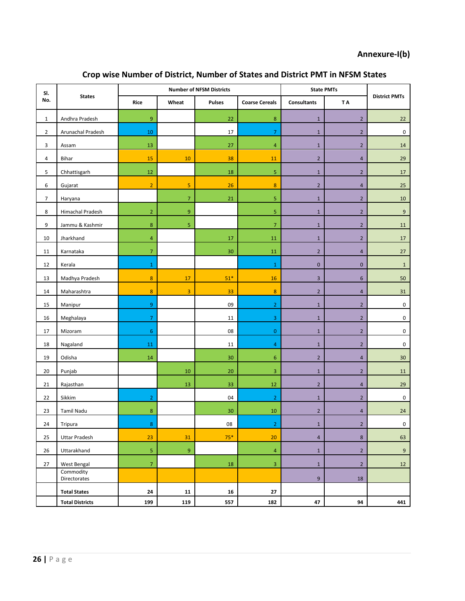#### **Annexure-I(b)**

| SI.            | <b>States</b>             | <b>Number of NFSM Districts</b> |                  |               |                       | <b>State PMTs</b>  |                         |                      |
|----------------|---------------------------|---------------------------------|------------------|---------------|-----------------------|--------------------|-------------------------|----------------------|
| No.            |                           | Rice                            | Wheat            | <b>Pulses</b> | <b>Coarse Cereals</b> | <b>Consultants</b> | T A                     | <b>District PMTs</b> |
| $\mathbf{1}$   | Andhra Pradesh            | 9                               |                  | 22            | $\bf 8$               | $\mathbf 1$        | $\overline{2}$          | 22                   |
| $\overline{2}$ | Arunachal Pradesh         | $10\,$                          |                  | 17            | $\overline{7}$        | $\mathbf 1$        | $\overline{2}$          | $\mathbf 0$          |
| 3              | Assam                     | $13\,$                          |                  | 27            | 4                     | $\mathbf 1$        | $\overline{2}$          | 14                   |
| $\overline{4}$ | Bihar                     | 15                              | 10               | 38            | 11                    | $\overline{2}$     | $\overline{\mathbf{4}}$ | 29                   |
| 5              | Chhattisgarh              | 12                              |                  | 18            | 5                     | $1\,$              | $\overline{2}$          | 17                   |
| 6              | Gujarat                   | $\overline{2}$                  | $\overline{5}$   | 26            | $\bf 8$               | $\mathbf 2$        | $\overline{\mathbf{4}}$ | 25                   |
| $\overline{7}$ | Haryana                   |                                 | $\overline{7}$   | 21            | 5                     | $\mathbf{1}$       | $\overline{2}$          | 10                   |
| 8              | Himachal Pradesh          | $\overline{2}$                  | $9\,$            |               | 5                     | $\mathbf{1}$       | $\overline{2}$          | 9                    |
| 9              | Jammu & Kashmir           | $\bf 8$                         | 5                |               | $\overline{7}$        | $\mathbf{1}$       | $\overline{2}$          | 11                   |
| 10             | Jharkhand                 | $\overline{4}$                  |                  | 17            | 11                    | $\mathbf{1}$       | $\overline{2}$          | 17                   |
| 11             | Karnataka                 | $\overline{7}$                  |                  | $30\,$        | 11                    | $\overline{2}$     | $\overline{a}$          | 27                   |
| 12             | Kerala                    | $\mathbf{1}$                    |                  |               | $\mathbf 1$           | $\pmb{0}$          | $\pmb{0}$               | $\mathbf 1$          |
| 13             | Madhya Pradesh            | 8                               | 17               | $51*$         | 16                    | $\overline{3}$     | 6                       | 50                   |
| 14             | Maharashtra               | $\boldsymbol{8}$                | $\overline{3}$   | 33            | 8                     | $\overline{2}$     | $\overline{4}$          | 31                   |
| 15             | Manipur                   | 9                               |                  | 09            | $\overline{2}$        | $\mathbf 1$        | $\overline{2}$          | $\pmb{0}$            |
| 16             | Meghalaya                 | $\overline{7}$                  |                  | 11            | 3                     | $\mathbf{1}$       | $\overline{2}$          | 0                    |
| 17             | Mizoram                   | 6                               |                  | 08            | $\pmb{0}$             | $1\,$              | $\overline{2}$          | 0                    |
| 18             | Nagaland                  | 11                              |                  | 11            | 4                     | $\mathbf 1$        | $\overline{2}$          | $\pmb{0}$            |
| 19             | Odisha                    | 14                              |                  | 30            | 6                     | $\overline{2}$     | $\overline{\mathbf{4}}$ | 30                   |
| 20             | Punjab                    |                                 | 10               | 20            | 3                     | $\mathbf{1}$       | $\overline{2}$          | 11                   |
| 21             | Rajasthan                 |                                 | 13               | 33            | 12                    | $\overline{2}$     | 4                       | 29                   |
| 22             | Sikkim                    | $\overline{2}$                  |                  | 04            | $\overline{2}$        | $\mathbf{1}$       | $\overline{2}$          | $\mathbf 0$          |
| 23             | <b>Tamil Nadu</b>         | 8                               |                  | $30\,$        | 10                    | $\overline{2}$     | $\overline{4}$          | 24                   |
| 24             | Tripura                   | $\bf 8$                         |                  | 08            | $\overline{2}$        | $\mathbf{1}$       | $\overline{2}$          | $\mathbf 0$          |
| 25             | <b>Uttar Pradesh</b>      | 23                              | 31               | $75*$         | 20                    | $\overline{4}$     | 8                       | 63                   |
| 26             | Uttarakhand               | 5                               | $\boldsymbol{9}$ |               | $\overline{4}$        | $\mathbf{1}$       | $\overline{2}$          | $\boldsymbol{9}$     |
| 27             | West Bengal               | $\overline{7}$                  |                  | 18            | 3                     | $\mathbf{1}$       | $\overline{2}$          | 12                   |
|                | Commodity<br>Directorates |                                 |                  |               |                       | $\boldsymbol{9}$   | 18                      |                      |
|                | <b>Total States</b>       | 24                              | 11               | 16            | 27                    |                    |                         |                      |
|                | <b>Total Districts</b>    | 199                             | 119              | 557           | 182                   | 47                 | 94                      | 441                  |

#### **Crop wise Number of District, Number of States and District PMT in NFSM States**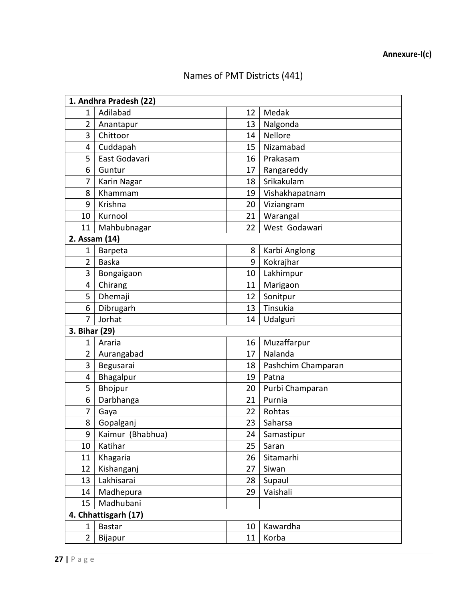## Names of PMT Districts (441)

| 1. Andhra Pradesh (22) |                  |    |                    |  |
|------------------------|------------------|----|--------------------|--|
| 1                      | Adilabad         | 12 | Medak              |  |
| $\overline{2}$         | Anantapur        | 13 | Nalgonda           |  |
| 3                      | Chittoor         | 14 | Nellore            |  |
| 4                      | Cuddapah         | 15 | Nizamabad          |  |
| 5                      | East Godavari    | 16 | Prakasam           |  |
| 6                      | Guntur           | 17 | Rangareddy         |  |
| 7                      | Karin Nagar      | 18 | Srikakulam         |  |
| 8                      | Khammam          | 19 | Vishakhapatnam     |  |
| 9                      | Krishna          | 20 | Viziangram         |  |
| 10                     | Kurnool          | 21 | Warangal           |  |
| 11                     | Mahbubnagar      | 22 | West Godawari      |  |
| 2. Assam (14)          |                  |    |                    |  |
| $\mathbf 1$            | Barpeta          | 8  | Karbi Anglong      |  |
| 2                      | <b>Baska</b>     | 9  | Kokrajhar          |  |
| 3                      | Bongaigaon       | 10 | Lakhimpur          |  |
| 4                      | Chirang          | 11 | Marigaon           |  |
| 5                      | Dhemaji          | 12 | Sonitpur           |  |
| 6                      | Dibrugarh        | 13 | Tinsukia           |  |
| 7                      | Jorhat           | 14 | Udalguri           |  |
| 3. Bihar (29)          |                  |    |                    |  |
| 1                      | Araria           | 16 | Muzaffarpur        |  |
| 2                      | Aurangabad       | 17 | Nalanda            |  |
| 3                      | Begusarai        | 18 | Pashchim Champaran |  |
| 4                      | Bhagalpur        | 19 | Patna              |  |
| 5                      | Bhojpur          | 20 | Purbi Champaran    |  |
| 6                      | Darbhanga        | 21 | Purnia             |  |
| 7                      | Gaya             | 22 | Rohtas             |  |
| 8                      | Gopalganj        | 23 | Saharsa            |  |
| 9                      | Kaimur (Bhabhua) | 24 | Samastipur         |  |
| 10                     | Katihar          | 25 | Saran              |  |
| 11                     | Khagaria         | 26 | Sitamarhi          |  |
| 12                     | Kishanganj       | 27 | Siwan              |  |
| 13                     | Lakhisarai       | 28 | Supaul             |  |
| 14                     | Madhepura        | 29 | Vaishali           |  |
| 15                     | Madhubani        |    |                    |  |
| 4. Chhattisgarh (17)   |                  |    |                    |  |
| 1                      | <b>Bastar</b>    | 10 | Kawardha           |  |
| $\overline{2}$         | Bijapur          | 11 | Korba              |  |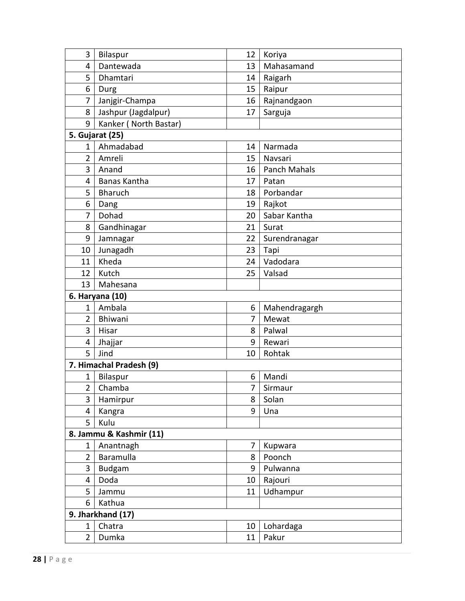| 3                       | <b>Bilaspur</b>         | 12 | Koriya        |  |
|-------------------------|-------------------------|----|---------------|--|
| 4                       | Dantewada               | 13 | Mahasamand    |  |
| 5                       | Dhamtari                | 14 | Raigarh       |  |
| 6                       | Durg                    | 15 | Raipur        |  |
| 7                       | Janjgir-Champa          | 16 | Rajnandgaon   |  |
| 8                       | Jashpur (Jagdalpur)     | 17 | Sarguja       |  |
| 9                       | Kanker (North Bastar)   |    |               |  |
|                         | 5. Gujarat (25)         |    |               |  |
| 1                       | Ahmadabad               | 14 | Narmada       |  |
| $\overline{2}$          | Amreli                  | 15 | Navsari       |  |
| 3                       | Anand                   | 16 | Panch Mahals  |  |
| 4                       | Banas Kantha            | 17 | Patan         |  |
| 5                       | <b>Bharuch</b>          | 18 | Porbandar     |  |
| 6                       | Dang                    | 19 | Rajkot        |  |
| 7                       | Dohad                   | 20 | Sabar Kantha  |  |
| 8                       | Gandhinagar             | 21 | Surat         |  |
| 9                       | Jamnagar                | 22 | Surendranagar |  |
| 10                      | Junagadh                | 23 | Tapi          |  |
| 11                      | Kheda                   | 24 | Vadodara      |  |
| 12                      | Kutch                   | 25 | Valsad        |  |
| 13                      | Mahesana                |    |               |  |
|                         | 6. Haryana (10)         |    |               |  |
| 1                       | Ambala                  | 6  | Mahendragargh |  |
| $\overline{2}$          | Bhiwani                 | 7  | Mewat         |  |
| 3                       | Hisar                   | 8  | Palwal        |  |
| 4                       | Jhajjar                 | 9  | Rewari        |  |
| 5                       | Jind                    | 10 | Rohtak        |  |
|                         | 7. Himachal Pradesh (9) |    |               |  |
| 1                       | Bilaspur                | 6  | Mandi         |  |
| $\overline{2}$          | Chamba                  | 7  | Sirmaur       |  |
| 3                       | Hamirpur                | 8  | Solan         |  |
| 4                       | Kangra                  | 9  | Una           |  |
| 5                       | Kulu                    |    |               |  |
| 8. Jammu & Kashmir (11) |                         |    |               |  |
| 1                       | Anantnagh               | 7  | Kupwara       |  |
| $\overline{2}$          | Baramulla               | 8  | Poonch        |  |
| 3                       | <b>Budgam</b>           | 9  | Pulwanna      |  |
| 4                       | Doda                    | 10 | Rajouri       |  |
| 5                       | Jammu                   | 11 | Udhampur      |  |
| 6                       | Kathua                  |    |               |  |
| 9. Jharkhand (17)       |                         |    |               |  |
| 1                       | Chatra                  | 10 | Lohardaga     |  |
| $\overline{2}$          | Dumka                   | 11 | Pakur         |  |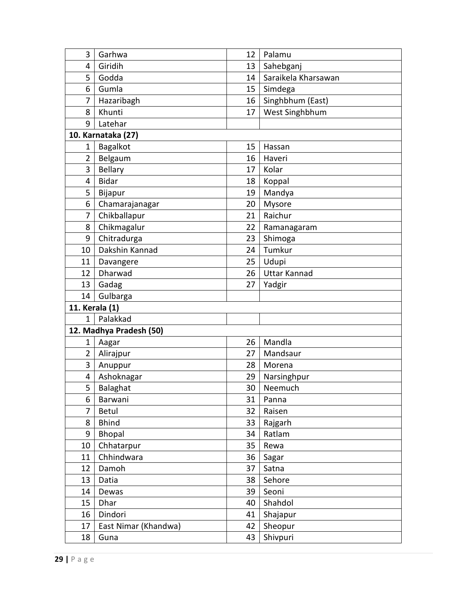| 3              | Garhwa                  | 12 | Palamu              |
|----------------|-------------------------|----|---------------------|
| 4              | Giridih                 | 13 | Sahebganj           |
| 5              | Godda                   | 14 | Saraikela Kharsawan |
| 6              | Gumla                   | 15 | Simdega             |
| 7              | Hazaribagh              | 16 | Singhbhum (East)    |
| 8              | Khunti                  | 17 | West Singhbhum      |
| 9              | Latehar                 |    |                     |
|                | 10. Karnataka (27)      |    |                     |
| $\mathbf 1$    | Bagalkot                | 15 | Hassan              |
| 2              | Belgaum                 | 16 | Haveri              |
| 3              | <b>Bellary</b>          | 17 | Kolar               |
| 4              | <b>Bidar</b>            | 18 | Koppal              |
| 5              | Bijapur                 | 19 | Mandya              |
| 6              | Chamarajanagar          | 20 | Mysore              |
| 7              | Chikballapur            | 21 | Raichur             |
| 8              | Chikmagalur             | 22 | Ramanagaram         |
| 9              | Chitradurga             | 23 | Shimoga             |
| 10             | Dakshin Kannad          | 24 | Tumkur              |
| 11             | Davangere               | 25 | Udupi               |
| 12             | Dharwad                 | 26 | <b>Uttar Kannad</b> |
| 13             | Gadag                   | 27 | Yadgir              |
| 14             | Gulbarga                |    |                     |
| 11. Kerala (1) |                         |    |                     |
| $\mathbf{1}$   | Palakkad                |    |                     |
|                | 12. Madhya Pradesh (50) |    |                     |
| 1              | Aagar                   | 26 | Mandla              |
| $\overline{2}$ | Alirajpur               | 27 | Mandsaur            |
| 3              | Anuppur                 | 28 | Morena              |
| 4              | Ashoknagar              | 29 | Narsinghpur         |
| 5              | Balaghat                | 30 | Neemuch             |
| 6              | Barwani                 | 31 | Panna               |
| 7              | Betul                   | 32 | Raisen              |
| 8              | <b>Bhind</b>            | 33 | Rajgarh             |
| 9              | <b>Bhopal</b>           | 34 | Ratlam              |
| 10             | Chhatarpur              | 35 | Rewa                |
| 11             | Chhindwara              | 36 | Sagar               |
| 12             | Damoh                   | 37 | Satna               |
| 13             | Datia                   | 38 | Sehore              |
| 14             | Dewas                   | 39 | Seoni               |
| 15             | Dhar                    | 40 | Shahdol             |
| 16             | Dindori                 | 41 | Shajapur            |
| 17             | East Nimar (Khandwa)    | 42 | Sheopur             |
| 18             | Guna                    | 43 | Shivpuri            |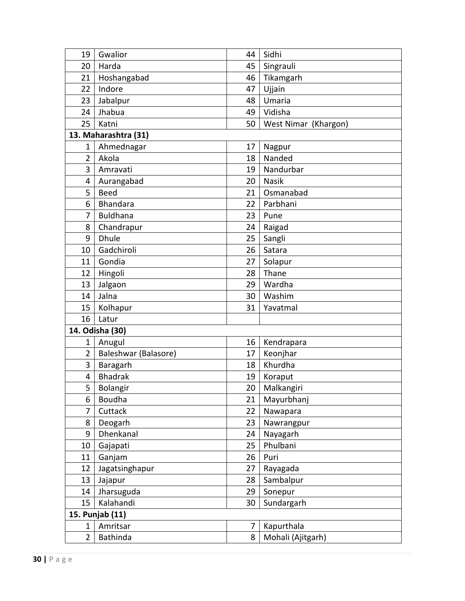| 19              | Gwalior              | 44 | Sidhi                |  |
|-----------------|----------------------|----|----------------------|--|
| 20              | Harda                | 45 | Singrauli            |  |
| 21              | Hoshangabad          | 46 | Tikamgarh            |  |
| 22              | Indore               | 47 | Ujjain               |  |
| 23              | Jabalpur             | 48 | Umaria               |  |
| 24              | Jhabua               | 49 | Vidisha              |  |
| 25              | Katni                | 50 | West Nimar (Khargon) |  |
|                 | 13. Maharashtra (31) |    |                      |  |
| 1               | Ahmednagar           | 17 | Nagpur               |  |
| $\overline{2}$  | Akola                | 18 | Nanded               |  |
| 3               | Amravati             | 19 | Nandurbar            |  |
| 4               | Aurangabad           | 20 | <b>Nasik</b>         |  |
| 5               | <b>Beed</b>          | 21 | Osmanabad            |  |
| 6               | Bhandara             | 22 | Parbhani             |  |
| 7               | <b>Buldhana</b>      | 23 | Pune                 |  |
| 8               | Chandrapur           | 24 | Raigad               |  |
| 9               | <b>Dhule</b>         | 25 | Sangli               |  |
| 10              | Gadchiroli           | 26 | Satara               |  |
| 11              | Gondia               | 27 | Solapur              |  |
| 12              | Hingoli              | 28 | Thane                |  |
| 13              | Jalgaon              | 29 | Wardha               |  |
| 14              | Jalna                | 30 | Washim               |  |
| 15              | Kolhapur             | 31 | Yavatmal             |  |
| 16              | Latur                |    |                      |  |
|                 | 14. Odisha (30)      |    |                      |  |
| 1               | Anugul               | 16 | Kendrapara           |  |
| 2               | Baleshwar (Balasore) | 17 | Keonjhar             |  |
| 3               | Baragarh             | 18 | Khurdha              |  |
| 4               | <b>Bhadrak</b>       | 19 | Koraput              |  |
| 5               | Bolangir             | 20 | Malkangiri           |  |
| 6               | Boudha               | 21 | Mayurbhanj           |  |
| 7               | Cuttack              | 22 | Nawapara             |  |
| 8               | Deogarh              | 23 | Nawrangpur           |  |
| 9               | Dhenkanal            | 24 | Nayagarh             |  |
| 10              | Gajapati             | 25 | Phulbani             |  |
| 11              | Ganjam               | 26 | Puri                 |  |
| 12              | Jagatsinghapur       | 27 | Rayagada             |  |
| 13              | Jajapur              | 28 | Sambalpur            |  |
| 14              | Jharsuguda           | 29 | Sonepur              |  |
| 15              | Kalahandi            | 30 | Sundargarh           |  |
| 15. Punjab (11) |                      |    |                      |  |
| 1               | Amritsar             | 7  | Kapurthala           |  |
| $\overline{2}$  | Bathinda             | 8  | Mohali (Ajitgarh)    |  |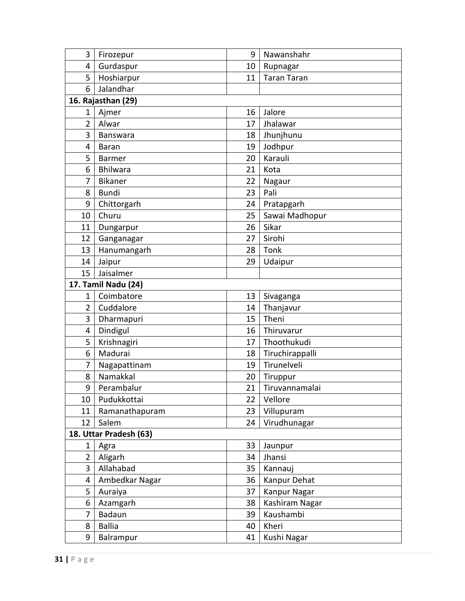| 3                      | Firozepur           | 9  | Nawanshahr         |  |
|------------------------|---------------------|----|--------------------|--|
| 4                      | Gurdaspur           | 10 | Rupnagar           |  |
| 5                      | Hoshiarpur          | 11 | <b>Taran Taran</b> |  |
| 6                      | Jalandhar           |    |                    |  |
|                        | 16. Rajasthan (29)  |    |                    |  |
| 1                      | Ajmer               | 16 | Jalore             |  |
| $\overline{2}$         | Alwar               | 17 | Jhalawar           |  |
| 3                      | Banswara            | 18 | Jhunjhunu          |  |
| 4                      | <b>Baran</b>        | 19 | Jodhpur            |  |
| 5                      | <b>Barmer</b>       | 20 | Karauli            |  |
| 6                      | <b>Bhilwara</b>     | 21 | Kota               |  |
| 7                      | <b>Bikaner</b>      | 22 | Nagaur             |  |
| 8                      | <b>Bundi</b>        | 23 | Pali               |  |
| 9                      | Chittorgarh         | 24 | Pratapgarh         |  |
| 10                     | Churu               | 25 | Sawai Madhopur     |  |
| 11                     | Dungarpur           | 26 | Sikar              |  |
| 12                     | Ganganagar          | 27 | Sirohi             |  |
| 13                     | Hanumangarh         | 28 | Tonk               |  |
| 14                     | Jaipur              | 29 | Udaipur            |  |
| 15                     | Jaisalmer           |    |                    |  |
|                        | 17. Tamil Nadu (24) |    |                    |  |
| 1                      | Coimbatore          | 13 | Sivaganga          |  |
| 2                      | Cuddalore           | 14 | Thanjavur          |  |
| 3                      | Dharmapuri          | 15 | Theni              |  |
| 4                      | Dindigul            | 16 | Thiruvarur         |  |
| 5                      | Krishnagiri         | 17 | Thoothukudi        |  |
| 6                      | Madurai             | 18 | Tiruchirappalli    |  |
| 7                      | Nagapattinam        | 19 | Tirunelveli        |  |
| 8                      | Namakkal            | 20 | Tiruppur           |  |
| 9                      | Perambalur          | 21 | Tiruvannamalai     |  |
| 10                     | Pudukkottai         | 22 | Vellore            |  |
| 11                     | Ramanathapuram      | 23 | Villupuram         |  |
| 12                     | Salem               | 24 | Virudhunagar       |  |
| 18. Uttar Pradesh (63) |                     |    |                    |  |
| 1                      | Agra                | 33 | Jaunpur            |  |
| $\overline{2}$         | Aligarh             | 34 | Jhansi             |  |
| 3                      | Allahabad           | 35 | Kannauj            |  |
| 4                      | Ambedkar Nagar      | 36 | Kanpur Dehat       |  |
| 5                      | Auraiya             | 37 | Kanpur Nagar       |  |
| 6                      | Azamgarh            | 38 | Kashiram Nagar     |  |
| 7                      | Badaun              | 39 | Kaushambi          |  |
| 8                      | <b>Ballia</b>       | 40 | Kheri              |  |
| 9                      | Balrampur           | 41 | Kushi Nagar        |  |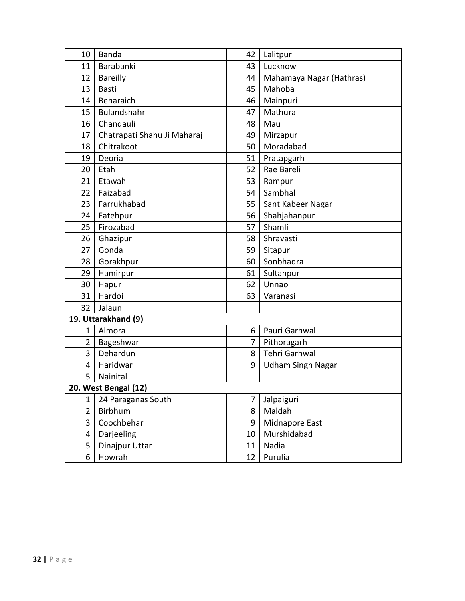| 10                   | Banda                       | 42 | Lalitpur                 |  |
|----------------------|-----------------------------|----|--------------------------|--|
| 11                   | Barabanki                   | 43 | Lucknow                  |  |
| 12                   | <b>Bareilly</b>             | 44 | Mahamaya Nagar (Hathras) |  |
| 13                   | <b>Basti</b>                | 45 | Mahoba                   |  |
| 14                   | Beharaich                   | 46 | Mainpuri                 |  |
| 15                   | Bulandshahr                 | 47 | Mathura                  |  |
| 16                   | Chandauli                   | 48 | Mau                      |  |
| 17                   | Chatrapati Shahu Ji Maharaj | 49 | Mirzapur                 |  |
| 18                   | Chitrakoot                  | 50 | Moradabad                |  |
| 19                   | Deoria                      | 51 | Pratapgarh               |  |
| 20                   | Etah                        | 52 | Rae Bareli               |  |
| 21                   | Etawah                      | 53 | Rampur                   |  |
| 22                   | Faizabad                    | 54 | Sambhal                  |  |
| 23                   | Farrukhabad                 | 55 | Sant Kabeer Nagar        |  |
| 24                   | Fatehpur                    | 56 | Shahjahanpur             |  |
| 25                   | Firozabad                   | 57 | Shamli                   |  |
| 26                   | Ghazipur                    | 58 | Shravasti                |  |
| 27                   | Gonda                       | 59 | Sitapur                  |  |
| 28                   | Gorakhpur                   | 60 | Sonbhadra                |  |
| 29                   | Hamirpur                    | 61 | Sultanpur                |  |
| 30                   | Hapur                       | 62 | Unnao                    |  |
| 31                   | Hardoi                      | 63 | Varanasi                 |  |
| 32                   | Jalaun                      |    |                          |  |
| 19. Uttarakhand (9)  |                             |    |                          |  |
| 1                    | Almora                      | 6  | Pauri Garhwal            |  |
| $\overline{2}$       | Bageshwar                   | 7  | Pithoragarh              |  |
| 3                    | Dehardun                    | 8  | <b>Tehri Garhwal</b>     |  |
| 4                    | Haridwar                    | 9  | <b>Udham Singh Nagar</b> |  |
| 5                    | Nainital                    |    |                          |  |
| 20. West Bengal (12) |                             |    |                          |  |
| 1                    | 24 Paraganas South          | 7  | Jalpaiguri               |  |
| $\overline{2}$       | Birbhum                     | 8  | Maldah                   |  |
| 3                    | Coochbehar                  | 9  | Midnapore East           |  |
| 4                    | Darjeeling                  | 10 | Murshidabad              |  |
| 5                    | Dinajpur Uttar              | 11 | Nadia                    |  |
| 6                    | Howrah                      | 12 | Purulia                  |  |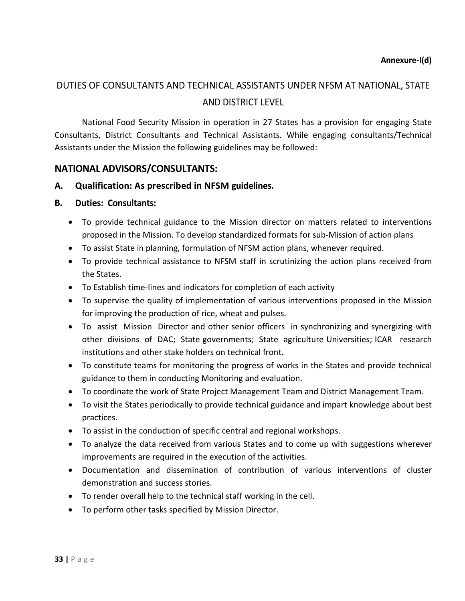## DUTIES OF CONSULTANTS AND TECHNICAL ASSISTANTS UNDER NFSM AT NATIONAL, STATE AND DISTRICT LEVEL

National Food Security Mission in operation in 27 States has a provision for engaging State Consultants, District Consultants and Technical Assistants. While engaging consultants/Technical Assistants under the Mission the following guidelines may be followed:

### **NATIONAL ADVISORS/CONSULTANTS:**

### **A. Qualification: As prescribed in NFSM guidelines.**

### **B. Duties: Consultants:**

- To provide technical guidance to the Mission director on matters related to interventions proposed in the Mission. To develop standardized formats for sub-Mission of action plans
- To assist State in planning, formulation of NFSM action plans, whenever required.
- To provide technical assistance to NFSM staff in scrutinizing the action plans received from the States.
- To Establish time-lines and indicators for completion of each activity
- To supervise the quality of implementation of various interventions proposed in the Mission for improving the production of rice, wheat and pulses.
- To assist Mission Director and other senior officers in synchronizing and synergizing with other divisions of DAC; State governments; State agriculture Universities; ICAR research institutions and other stake holders on technical front.
- To constitute teams for monitoring the progress of works in the States and provide technical guidance to them in conducting Monitoring and evaluation.
- To coordinate the work of State Project Management Team and District Management Team.
- To visit the States periodically to provide technical guidance and impart knowledge about best practices.
- To assist in the conduction of specific central and regional workshops.
- To analyze the data received from various States and to come up with suggestions wherever improvements are required in the execution of the activities.
- Documentation and dissemination of contribution of various interventions of cluster demonstration and success stories.
- To render overall help to the technical staff working in the cell.
- To perform other tasks specified by Mission Director.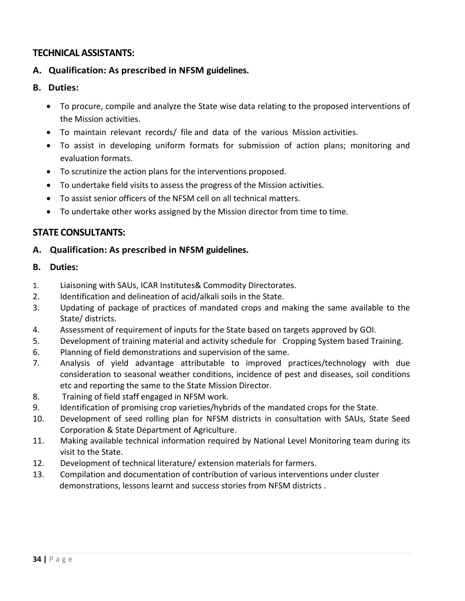## **TECHNICAL ASSISTANTS:**

### **A. Qualification: As prescribed in NFSM guidelines.**

- **B. Duties:**
	- To procure, compile and analyze the State wise data relating to the proposed interventions of the Mission activities.
	- To maintain relevant records/ file and data of the various Mission activities.
	- To assist in developing uniform formats for submission of action plans; monitoring and evaluation formats.
	- To scrutinize the action plans for the interventions proposed.
	- To undertake field visits to assess the progress of the Mission activities.
	- To assist senior officers of the NFSM cell on all technical matters.
	- To undertake other works assigned by the Mission director from time to time.

### **STATE CONSULTANTS:**

### **A. Qualification: As prescribed in NFSM guidelines.**

- **B. Duties:**
- 1. Liaisoning with SAUs, ICAR Institutes& Commodity Directorates.
- 2. Identification and delineation of acid/alkali soils in the State.
- 3. Updating of package of practices of mandated crops and making the same available to the State/ districts.
- 4. Assessment of requirement of inputs for the State based on targets approved by GOI.
- 5. Development of training material and activity schedule for Cropping System based Training.
- 6. Planning of field demonstrations and supervision of the same.
- 7. Analysis of yield advantage attributable to improved practices/technology with due consideration to seasonal weather conditions, incidence of pest and diseases, soil conditions etc and reporting the same to the State Mission Director.
- 8. Training of field staff engaged in NFSM work.
- 9. Identification of promising crop varieties/hybrids of the mandated crops for the State.
- 10. Development of seed rolling plan for NFSM districts in consultation with SAUs, State Seed Corporation & State Department of Agriculture.
- 11. Making available technical information required by National Level Monitoring team during its visit to the State.
- 12. Development of technical literature/ extension materials for farmers.
- 13. Compilation and documentation of contribution of various interventions under cluster demonstrations, lessons learnt and success stories from NFSM districts .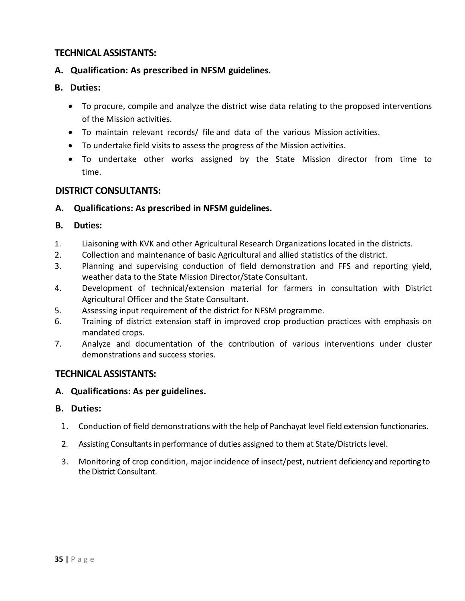## **TECHNICAL ASSISTANTS:**

### **A. Qualification: As prescribed in NFSM guidelines.**

### **B. Duties:**

- To procure, compile and analyze the district wise data relating to the proposed interventions of the Mission activities.
- To maintain relevant records/ file and data of the various Mission activities.
- To undertake field visits to assess the progress of the Mission activities.
- To undertake other works assigned by the State Mission director from time to time.

### **DISTRICT CONSULTANTS:**

### **A. Qualifications: As prescribed in NFSM guidelines.**

### **B. Duties:**

- 1. Liaisoning with KVK and other Agricultural Research Organizations located in the districts.
- 2. Collection and maintenance of basic Agricultural and allied statistics of the district.
- 3. Planning and supervising conduction of field demonstration and FFS and reporting yield, weather data to the State Mission Director/State Consultant.
- 4. Development of technical/extension material for farmers in consultation with District Agricultural Officer and the State Consultant.
- 5. Assessing input requirement of the district for NFSM programme.
- 6. Training of district extension staff in improved crop production practices with emphasis on mandated crops.
- 7. Analyze and documentation of the contribution of various interventions under cluster demonstrations and success stories.

### **TECHNICAL ASSISTANTS:**

### **A. Qualifications: As per guidelines.**

### **B. Duties:**

- 1. Conduction of field demonstrations with the help of Panchayat level field extension functionaries.
- 2. Assisting Consultants in performance of duties assigned to them at State/Districts level.
- 3. Monitoring of crop condition, major incidence of insect/pest, nutrient deficiency and reporting to the District Consultant.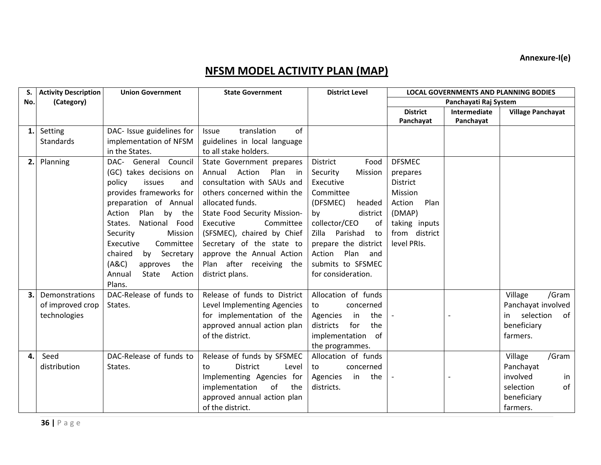**Annexure-I(e)**

# **NFSM MODEL ACTIVITY PLAN (MAP)**

| S.  | <b>Activity Description</b> | <b>Union Government</b>    | <b>State Government</b>           | <b>District Level</b>   | <b>LOCAL GOVERNMENTS AND PLANNING BODIES</b> |                       |                          |
|-----|-----------------------------|----------------------------|-----------------------------------|-------------------------|----------------------------------------------|-----------------------|--------------------------|
| No. | (Category)                  |                            |                                   |                         |                                              | Panchayati Raj System |                          |
|     |                             |                            |                                   |                         | <b>District</b>                              | <b>Intermediate</b>   | <b>Village Panchayat</b> |
|     |                             |                            |                                   |                         | Panchayat                                    | Panchayat             |                          |
| 1.  | Setting                     | DAC- Issue guidelines for  | translation<br>of<br><b>Issue</b> |                         |                                              |                       |                          |
|     | <b>Standards</b>            | implementation of NFSM     | guidelines in local language      |                         |                                              |                       |                          |
|     |                             | in the States.             | to all stake holders.             |                         |                                              |                       |                          |
| 2.  | Planning                    | DAC- General Council       | State Government prepares         | <b>District</b><br>Food | <b>DFSMEC</b>                                |                       |                          |
|     |                             | (GC) takes decisions on    | Annual<br>Action<br>Plan<br>in    | Mission<br>Security     | prepares                                     |                       |                          |
|     |                             | policy<br>issues<br>and    | consultation with SAUs and        | Executive               | <b>District</b>                              |                       |                          |
|     |                             | provides frameworks for    | others concerned within the       | Committee               | Mission                                      |                       |                          |
|     |                             | preparation of Annual      | allocated funds.                  | (DFSMEC)<br>headed      | Action<br>Plan                               |                       |                          |
|     |                             | Action<br>Plan by the      | State Food Security Mission-      | district<br>by          | (DMAP)                                       |                       |                          |
|     |                             | National Food<br>States.   | Executive<br>Committee            | collector/CEO<br>of     | taking inputs                                |                       |                          |
|     |                             | Security<br>Mission        | (SFSMEC), chaired by Chief        | Parishad<br>Zilla<br>to | from district                                |                       |                          |
|     |                             | Executive<br>Committee     | Secretary of the state to         | prepare the district    | level PRIs.                                  |                       |                          |
|     |                             | chaired<br>by<br>Secretary | approve the Annual Action         | Plan<br>Action<br>and   |                                              |                       |                          |
|     |                             | (ABC)<br>the<br>approves   | Plan after receiving the          | submits to SFSMEC       |                                              |                       |                          |
|     |                             | Annual<br>State<br>Action  | district plans.                   | for consideration.      |                                              |                       |                          |
|     |                             | Plans.                     |                                   |                         |                                              |                       |                          |
| 3.  | Demonstrations              | DAC-Release of funds to    | Release of funds to District      | Allocation of funds     |                                              |                       | Village<br>/Gram         |
|     | of improved crop            | States.                    | Level Implementing Agencies       | concerned<br>to         |                                              |                       | Panchayat involved       |
|     | technologies                |                            | for implementation of the         | the<br>Agencies<br>in   |                                              |                       | of<br>selection<br>in.   |
|     |                             |                            | approved annual action plan       | districts<br>for<br>the |                                              |                       | beneficiary              |
|     |                             |                            | of the district.                  | implementation of       |                                              |                       | farmers.                 |
|     |                             |                            |                                   | the programmes.         |                                              |                       |                          |
| 4.  | Seed                        | DAC-Release of funds to    | Release of funds by SFSMEC        | Allocation of funds     |                                              |                       | /Gram<br>Village         |
|     | distribution                | States.                    | <b>District</b><br>Level<br>to    | concerned<br>to         |                                              |                       | Panchayat                |
|     |                             |                            | Implementing Agencies for         | the<br>in<br>Agencies   |                                              |                       | involved<br>in           |
|     |                             |                            | of<br>implementation<br>the       | districts.              |                                              |                       | of<br>selection          |
|     |                             |                            | approved annual action plan       |                         |                                              |                       | beneficiary              |
|     |                             |                            | of the district.                  |                         |                                              |                       | farmers.                 |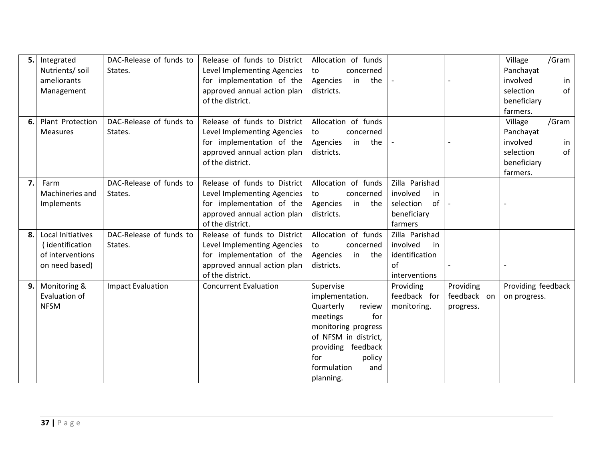| 5. | Integrated                                   | DAC-Release of funds to  | Release of funds to District | Allocation of funds                                                                                                                                                                             |                                          |                                       | /Gram<br>Village                   |
|----|----------------------------------------------|--------------------------|------------------------------|-------------------------------------------------------------------------------------------------------------------------------------------------------------------------------------------------|------------------------------------------|---------------------------------------|------------------------------------|
|    | Nutrients/ soil                              | States.                  | Level Implementing Agencies  | concerned<br>to                                                                                                                                                                                 |                                          |                                       | Panchayat                          |
|    | ameliorants                                  |                          | for implementation of the    | the<br>Agencies<br>in                                                                                                                                                                           |                                          |                                       | involved<br>in                     |
|    | Management                                   |                          | approved annual action plan  | districts.                                                                                                                                                                                      |                                          |                                       | of<br>selection                    |
|    |                                              |                          | of the district.             |                                                                                                                                                                                                 |                                          |                                       | beneficiary                        |
|    |                                              |                          |                              |                                                                                                                                                                                                 |                                          |                                       | farmers.                           |
| 6. | Plant Protection                             | DAC-Release of funds to  | Release of funds to District | Allocation of funds                                                                                                                                                                             |                                          |                                       | /Gram<br>Village                   |
|    | Measures                                     | States.                  | Level Implementing Agencies  | concerned<br>to                                                                                                                                                                                 |                                          |                                       | Panchayat                          |
|    |                                              |                          | for implementation of the    | the<br>in<br>Agencies                                                                                                                                                                           |                                          |                                       | involved<br>in                     |
|    |                                              |                          | approved annual action plan  | districts.                                                                                                                                                                                      |                                          |                                       | of<br>selection                    |
|    |                                              |                          | of the district.             |                                                                                                                                                                                                 |                                          |                                       | beneficiary                        |
|    |                                              |                          |                              |                                                                                                                                                                                                 |                                          |                                       | farmers.                           |
| 7. | Farm                                         | DAC-Release of funds to  | Release of funds to District | Allocation of funds                                                                                                                                                                             | Zilla Parishad                           |                                       |                                    |
|    | Machineries and                              | States.                  | Level Implementing Agencies  | concerned<br>to                                                                                                                                                                                 | involved<br>in                           |                                       |                                    |
|    | Implements                                   |                          | for implementation of the    | Agencies<br>in<br>the                                                                                                                                                                           | of<br>selection                          |                                       |                                    |
|    |                                              |                          | approved annual action plan  | districts.                                                                                                                                                                                      | beneficiary                              |                                       |                                    |
|    |                                              |                          | of the district.             |                                                                                                                                                                                                 | farmers                                  |                                       |                                    |
| 8. | Local Initiatives                            | DAC-Release of funds to  | Release of funds to District | Allocation of funds                                                                                                                                                                             | Zilla Parishad                           |                                       |                                    |
|    | (identification                              | States.                  | Level Implementing Agencies  | concerned<br>to                                                                                                                                                                                 | involved<br>in                           |                                       |                                    |
|    | of interventions                             |                          | for implementation of the    | Agencies<br>in<br>the                                                                                                                                                                           | identification                           |                                       |                                    |
|    | on need based)                               |                          | approved annual action plan  | districts.                                                                                                                                                                                      | of                                       |                                       |                                    |
|    |                                              |                          | of the district.             |                                                                                                                                                                                                 | interventions                            |                                       |                                    |
|    |                                              |                          |                              |                                                                                                                                                                                                 |                                          |                                       |                                    |
|    |                                              |                          |                              |                                                                                                                                                                                                 |                                          |                                       |                                    |
|    |                                              |                          |                              |                                                                                                                                                                                                 |                                          |                                       |                                    |
|    |                                              |                          |                              |                                                                                                                                                                                                 |                                          |                                       |                                    |
|    |                                              |                          |                              |                                                                                                                                                                                                 |                                          |                                       |                                    |
|    |                                              |                          |                              |                                                                                                                                                                                                 |                                          |                                       |                                    |
|    |                                              |                          |                              |                                                                                                                                                                                                 |                                          |                                       |                                    |
|    |                                              |                          |                              |                                                                                                                                                                                                 |                                          |                                       |                                    |
|    |                                              |                          |                              |                                                                                                                                                                                                 |                                          |                                       |                                    |
| 9. | Monitoring &<br>Evaluation of<br><b>NFSM</b> | <b>Impact Evaluation</b> | <b>Concurrent Evaluation</b> | Supervise<br>implementation.<br>Quarterly<br>review<br>for<br>meetings<br>monitoring progress<br>of NFSM in district,<br>providing feedback<br>for<br>policy<br>formulation<br>and<br>planning. | Providing<br>feedback for<br>monitoring. | Providing<br>feedback on<br>progress. | Providing feedback<br>on progress. |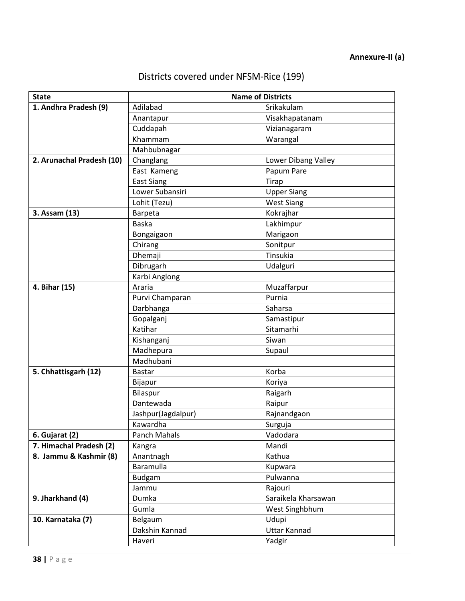| Districts covered under NFSM-Rice (199) |  |  |  |
|-----------------------------------------|--|--|--|
|-----------------------------------------|--|--|--|

| <b>State</b>              | <b>Name of Districts</b> |                     |  |
|---------------------------|--------------------------|---------------------|--|
| 1. Andhra Pradesh (9)     | Adilabad                 | Srikakulam          |  |
|                           | Anantapur                | Visakhapatanam      |  |
|                           | Cuddapah                 | Vizianagaram        |  |
|                           | Khammam                  | Warangal            |  |
|                           | Mahbubnagar              |                     |  |
| 2. Arunachal Pradesh (10) | Changlang                | Lower Dibang Valley |  |
|                           | East Kameng              | Papum Pare          |  |
|                           | <b>East Siang</b>        | Tirap               |  |
|                           | Lower Subansiri          | <b>Upper Siang</b>  |  |
|                           | Lohit (Tezu)             | <b>West Siang</b>   |  |
| 3. Assam (13)             | Barpeta                  | Kokrajhar           |  |
|                           | <b>Baska</b>             | Lakhimpur           |  |
|                           | Bongaigaon               | Marigaon            |  |
|                           | Chirang                  | Sonitpur            |  |
|                           | Dhemaji                  | <b>Tinsukia</b>     |  |
|                           | Dibrugarh                | Udalguri            |  |
|                           | Karbi Anglong            |                     |  |
| 4. Bihar (15)             | Araria                   | Muzaffarpur         |  |
|                           | Purvi Champaran          | Purnia              |  |
|                           | Darbhanga                | Saharsa             |  |
|                           | Gopalganj                | Samastipur          |  |
|                           | Katihar                  | Sitamarhi           |  |
|                           | Kishanganj               | Siwan               |  |
|                           | Madhepura                | Supaul              |  |
|                           | Madhubani                |                     |  |
| 5. Chhattisgarh (12)      | <b>Bastar</b>            | Korba               |  |
|                           | Bijapur                  | Koriya              |  |
|                           | Bilaspur                 | Raigarh             |  |
|                           | Dantewada                | Raipur              |  |
|                           | Jashpur(Jagdalpur)       | Rajnandgaon         |  |
|                           | Kawardha                 | Surguja             |  |
| 6. Gujarat (2)            | Panch Mahals             | Vadodara            |  |
| 7. Himachal Pradesh (2)   | Kangra                   | Mandi               |  |
| 8. Jammu & Kashmir (8)    | Anantnagh                | Kathua              |  |
|                           | Baramulla                | Kupwara             |  |
|                           | Budgam                   | Pulwanna            |  |
|                           | Jammu                    | Rajouri             |  |
| 9. Jharkhand (4)          | Dumka                    | Saraikela Kharsawan |  |
|                           | Gumla                    | West Singhbhum      |  |
| 10. Karnataka (7)         | Belgaum                  | Udupi               |  |
|                           | Dakshin Kannad           | <b>Uttar Kannad</b> |  |
|                           | Haveri                   | Yadgir              |  |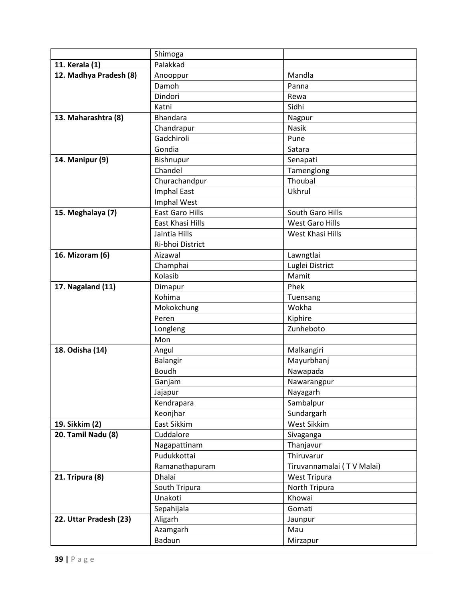|                           | Shimoga                 |                           |
|---------------------------|-------------------------|---------------------------|
| 11. Kerala (1)            | Palakkad                |                           |
| 12. Madhya Pradesh (8)    | Anooppur                | Mandla                    |
|                           | Damoh                   | Panna                     |
|                           | Dindori                 | Rewa                      |
|                           | Katni                   | Sidhi                     |
| 13. Maharashtra (8)       | <b>Bhandara</b>         | Nagpur                    |
|                           | Chandrapur              | Nasik                     |
|                           | Gadchiroli              | Pune                      |
|                           | Gondia                  | Satara                    |
| 14. Manipur (9)           | Bishnupur               | Senapati                  |
|                           | Chandel                 | Tamenglong                |
|                           | Churachandpur           | Thoubal                   |
|                           | <b>Imphal East</b>      | Ukhrul                    |
|                           | Imphal West             |                           |
| 15. Meghalaya (7)         | <b>East Garo Hills</b>  | South Garo Hills          |
|                           | <b>East Khasi Hills</b> | <b>West Garo Hills</b>    |
|                           | Jaintia Hills           | West Khasi Hills          |
|                           | Ri-bhoi District        |                           |
| 16. Mizoram (6)           | Aizawal                 | Lawngtlai                 |
|                           | Champhai                | Luglei District           |
|                           | Kolasib                 | Mamit                     |
| 17. Nagaland (11)         | Dimapur                 | Phek                      |
|                           | Kohima                  | Tuensang                  |
|                           | Mokokchung              | Wokha                     |
|                           | Peren                   | Kiphire                   |
|                           | Longleng                | Zunheboto                 |
|                           | Mon                     |                           |
| 18. Odisha (14)           | Angul                   | Malkangiri                |
|                           | Balangir                | Mayurbhanj                |
|                           | <b>Boudh</b>            | Nawapada                  |
|                           | Ganjam                  | Nawarangpur               |
|                           | Jajapur                 | Nayagarh                  |
|                           | Kendrapara              | Sambalpur                 |
|                           | Keonjhar                | Sundargarh                |
| 19. Sikkim (2)            | East Sikkim             | <b>West Sikkim</b>        |
| <b>20. Tamil Nadu (8)</b> | Cuddalore               | Sivaganga                 |
|                           | Nagapattinam            | Thanjavur                 |
|                           | Pudukkottai             | Thiruvarur                |
|                           | Ramanathapuram          | Tiruvannamalai (TV Malai) |
| 21. Tripura (8)           | Dhalai                  | <b>West Tripura</b>       |
|                           | South Tripura           | North Tripura             |
|                           | Unakoti                 | Khowai                    |
|                           | Sepahijala              | Gomati                    |
| 22. Uttar Pradesh (23)    | Aligarh                 | Jaunpur                   |
|                           | Azamgarh                | Mau                       |
|                           | Badaun                  | Mirzapur                  |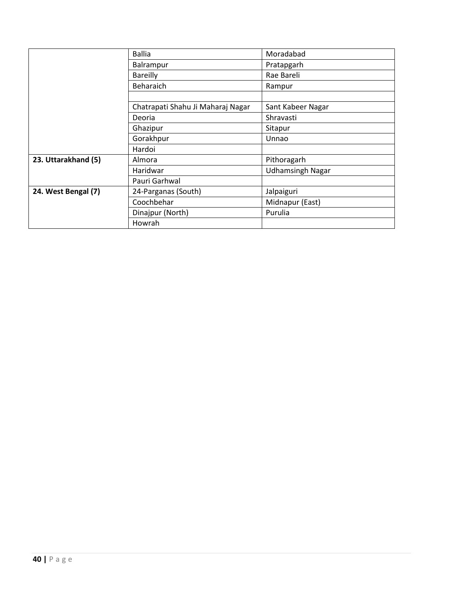|                     | <b>Ballia</b>                     | Moradabad               |
|---------------------|-----------------------------------|-------------------------|
|                     | Balrampur                         | Pratapgarh              |
|                     | <b>Bareilly</b>                   | Rae Bareli              |
|                     | <b>Beharaich</b>                  | Rampur                  |
|                     |                                   |                         |
|                     | Chatrapati Shahu Ji Maharaj Nagar | Sant Kabeer Nagar       |
|                     | Deoria                            | Shravasti               |
|                     | Ghazipur                          | Sitapur                 |
|                     | Gorakhpur                         | Unnao                   |
|                     | Hardoi                            |                         |
| 23. Uttarakhand (5) | Almora                            | Pithoragarh             |
|                     | Haridwar                          | <b>Udhamsingh Nagar</b> |
|                     | Pauri Garhwal                     |                         |
| 24. West Bengal (7) | 24-Parganas (South)               | Jalpaiguri              |
|                     | Coochbehar                        | Midnapur (East)         |
|                     | Dinajpur (North)                  | Purulia                 |
|                     | Howrah                            |                         |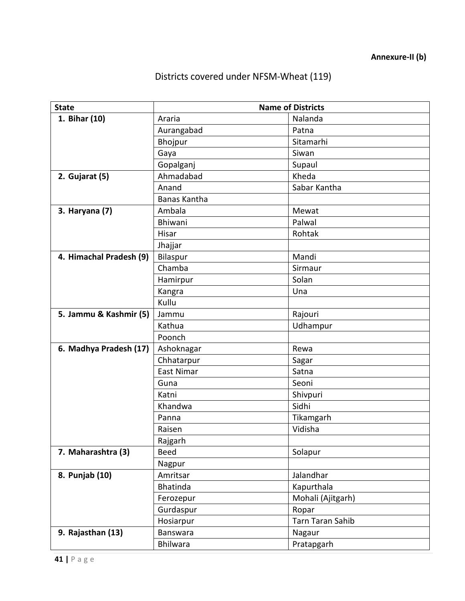# Districts covered under NFSM-Wheat (119)

| <b>State</b>            |              | <b>Name of Districts</b> |  |
|-------------------------|--------------|--------------------------|--|
| 1. Bihar (10)           | Araria       | Nalanda                  |  |
|                         | Aurangabad   | Patna                    |  |
|                         | Bhojpur      | Sitamarhi                |  |
|                         | Gaya         | Siwan                    |  |
|                         | Gopalganj    | Supaul                   |  |
| 2. Gujarat (5)          | Ahmadabad    | Kheda                    |  |
|                         | Anand        | Sabar Kantha             |  |
|                         | Banas Kantha |                          |  |
| 3. Haryana (7)          | Ambala       | Mewat                    |  |
|                         | Bhiwani      | Palwal                   |  |
|                         | Hisar        | Rohtak                   |  |
|                         | Jhajjar      |                          |  |
| 4. Himachal Pradesh (9) | Bilaspur     | Mandi                    |  |
|                         | Chamba       | Sirmaur                  |  |
|                         | Hamirpur     | Solan                    |  |
|                         | Kangra       | Una                      |  |
|                         | Kullu        |                          |  |
| 5. Jammu & Kashmir (5)  | Jammu        | Rajouri                  |  |
|                         | Kathua       | Udhampur                 |  |
|                         | Poonch       |                          |  |
| 6. Madhya Pradesh (17)  | Ashoknagar   | Rewa                     |  |
|                         | Chhatarpur   | Sagar                    |  |
|                         | East Nimar   | Satna                    |  |
|                         | Guna         | Seoni                    |  |
|                         | Katni        | Shivpuri                 |  |
|                         | Khandwa      | Sidhi                    |  |
|                         | Panna        | Tikamgarh                |  |
|                         | Raisen       | Vidisha                  |  |
|                         | Rajgarh      |                          |  |
| 7. Maharashtra (3)      | <b>Beed</b>  | Solapur                  |  |
|                         | Nagpur       |                          |  |
| 8. Punjab (10)          | Amritsar     | Jalandhar                |  |
|                         | Bhatinda     | Kapurthala               |  |
|                         | Ferozepur    | Mohali (Ajitgarh)        |  |
|                         | Gurdaspur    | Ropar                    |  |
|                         | Hosiarpur    | <b>Tarn Taran Sahib</b>  |  |
| 9. Rajasthan (13)       | Banswara     | Nagaur                   |  |
|                         | Bhilwara     | Pratapgarh               |  |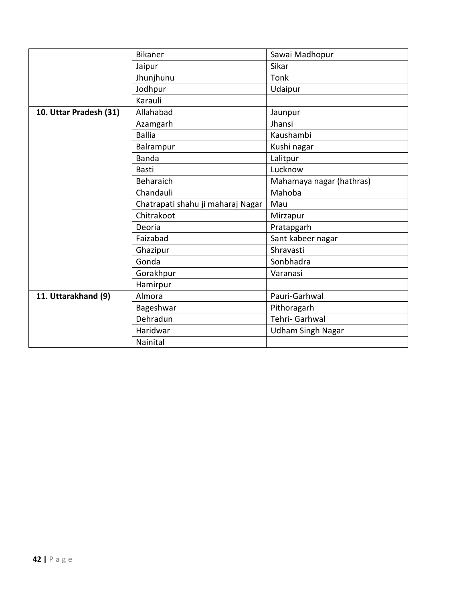|                        | <b>Bikaner</b>                    | Sawai Madhopur           |
|------------------------|-----------------------------------|--------------------------|
|                        | Jaipur                            | Sikar                    |
|                        | Jhunjhunu                         | Tonk                     |
|                        | Jodhpur                           | Udaipur                  |
|                        | Karauli                           |                          |
| 10. Uttar Pradesh (31) | Allahabad                         | Jaunpur                  |
|                        | Azamgarh                          | Jhansi                   |
|                        | <b>Ballia</b>                     | Kaushambi                |
|                        | Balrampur                         | Kushi nagar              |
|                        | <b>Banda</b>                      | Lalitpur                 |
|                        | <b>Basti</b>                      | Lucknow                  |
|                        | Beharaich                         | Mahamaya nagar (hathras) |
|                        | Chandauli                         | Mahoba                   |
|                        | Chatrapati shahu ji maharaj Nagar | Mau                      |
|                        | Chitrakoot                        | Mirzapur                 |
|                        | Deoria                            | Pratapgarh               |
|                        | Faizabad                          | Sant kabeer nagar        |
|                        | Ghazipur                          | Shravasti                |
|                        | Gonda                             | Sonbhadra                |
|                        | Gorakhpur                         | Varanasi                 |
|                        | Hamirpur                          |                          |
| 11. Uttarakhand (9)    | Almora                            | Pauri-Garhwal            |
|                        | Bageshwar                         | Pithoragarh              |
|                        | Dehradun                          | Tehri- Garhwal           |
|                        | Haridwar                          | <b>Udham Singh Nagar</b> |
|                        |                                   |                          |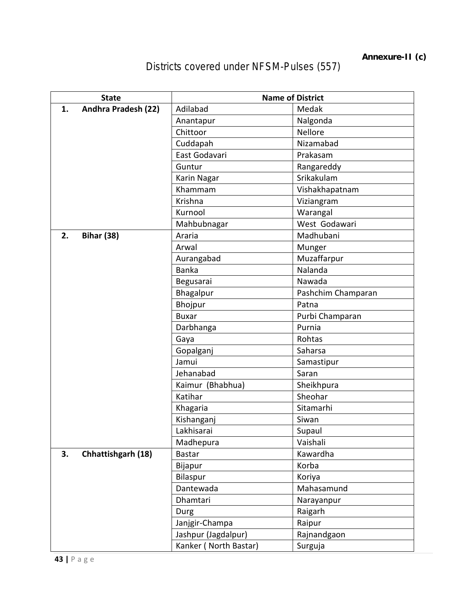Districts covered under NFSM-Pulses (557)

|    | <b>State</b>        | <b>Name of District</b> |                    |  |
|----|---------------------|-------------------------|--------------------|--|
| 1. | Andhra Pradesh (22) | Adilabad                | Medak              |  |
|    |                     | Anantapur               | Nalgonda           |  |
|    |                     | Chittoor                | Nellore            |  |
|    |                     | Cuddapah                | Nizamabad          |  |
|    |                     | East Godavari           | Prakasam           |  |
|    |                     | Guntur                  | Rangareddy         |  |
|    |                     | Karin Nagar             | Srikakulam         |  |
|    |                     | Khammam                 | Vishakhapatnam     |  |
|    |                     | Krishna                 | Viziangram         |  |
|    |                     | Kurnool                 | Warangal           |  |
|    |                     | Mahbubnagar             | West Godawari      |  |
| 2. | <b>Bihar (38)</b>   | Araria                  | Madhubani          |  |
|    |                     | Arwal                   | Munger             |  |
|    |                     | Aurangabad              | Muzaffarpur        |  |
|    |                     | <b>Banka</b>            | Nalanda            |  |
|    |                     | Begusarai               | Nawada             |  |
|    |                     | Bhagalpur               | Pashchim Champaran |  |
|    |                     | Bhojpur                 | Patna              |  |
|    |                     | <b>Buxar</b>            | Purbi Champaran    |  |
|    |                     | Darbhanga               | Purnia             |  |
|    |                     | Gaya                    | Rohtas             |  |
|    |                     | Gopalganj               | Saharsa            |  |
|    |                     | Jamui                   | Samastipur         |  |
|    |                     | Jehanabad               | Saran              |  |
|    |                     | Kaimur (Bhabhua)        | Sheikhpura         |  |
|    |                     | Katihar                 | Sheohar            |  |
|    |                     | Khagaria                | Sitamarhi          |  |
|    |                     | Kishanganj              | Siwan              |  |
|    |                     | Lakhisarai              | Supaul             |  |
|    |                     | Madhepura               | Vaishali           |  |
| 3. | Chhattishgarh (18)  | <b>Bastar</b>           | Kawardha           |  |
|    |                     | Bijapur                 | Korba              |  |
|    |                     | Bilaspur                | Koriya             |  |
|    |                     | Dantewada               | Mahasamund         |  |
|    |                     | Dhamtari                | Narayanpur         |  |
|    |                     | Durg                    | Raigarh            |  |
|    |                     | Janjgir-Champa          | Raipur             |  |
|    |                     | Jashpur (Jagdalpur)     | Rajnandgaon        |  |
|    |                     | Kanker (North Bastar)   | Surguja            |  |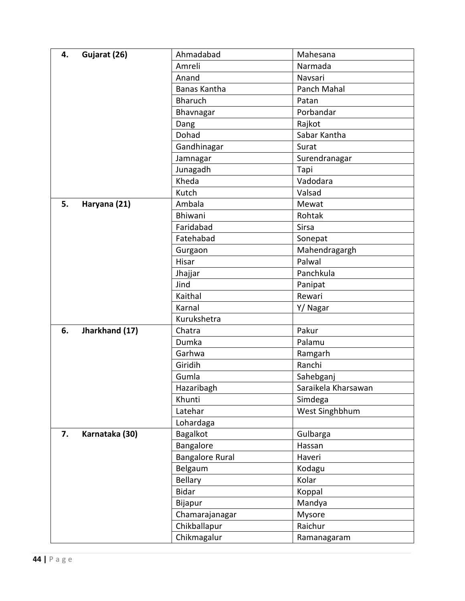| 4. | Gujarat (26)   | Ahmadabad              | Mahesana            |
|----|----------------|------------------------|---------------------|
|    |                | Amreli                 | Narmada             |
|    |                | Anand                  | Navsari             |
|    |                | Banas Kantha           | Panch Mahal         |
|    |                | <b>Bharuch</b>         | Patan               |
|    |                | Bhavnagar              | Porbandar           |
|    |                | Dang                   | Rajkot              |
|    |                | Dohad                  | Sabar Kantha        |
|    |                | Gandhinagar            | Surat               |
|    |                | Jamnagar               | Surendranagar       |
|    |                | Junagadh               | Tapi                |
|    |                | Kheda                  | Vadodara            |
|    |                | Kutch                  | Valsad              |
| 5. | Haryana (21)   | Ambala                 | Mewat               |
|    |                | Bhiwani                | Rohtak              |
|    |                | Faridabad              | Sirsa               |
|    |                | Fatehabad              | Sonepat             |
|    |                | Gurgaon                | Mahendragargh       |
|    |                | Hisar                  | Palwal              |
|    |                | Jhajjar                | Panchkula           |
|    |                | Jind                   | Panipat             |
|    |                | Kaithal                | Rewari              |
|    |                | Karnal                 | Y/ Nagar            |
|    |                | Kurukshetra            |                     |
| 6. | Jharkhand (17) | Chatra                 | Pakur               |
|    |                | Dumka                  | Palamu              |
|    |                | Garhwa                 | Ramgarh             |
|    |                | Giridih                | Ranchi              |
|    |                | Gumla                  | Sahebganj           |
|    |                | Hazaribagh             | Saraikela Kharsawan |
|    |                | Khunti                 | Simdega             |
|    |                | Latehar                | West Singhbhum      |
|    |                | Lohardaga              |                     |
| 7. | Karnataka (30) | <b>Bagalkot</b>        | Gulbarga            |
|    |                | Bangalore              | Hassan              |
|    |                | <b>Bangalore Rural</b> | Haveri              |
|    |                | Belgaum                | Kodagu              |
|    |                | <b>Bellary</b>         | Kolar               |
|    |                | <b>Bidar</b>           | Koppal              |
|    |                | Bijapur                | Mandya              |
|    |                | Chamarajanagar         | Mysore              |
|    |                | Chikballapur           | Raichur             |
|    |                | Chikmagalur            | Ramanagaram         |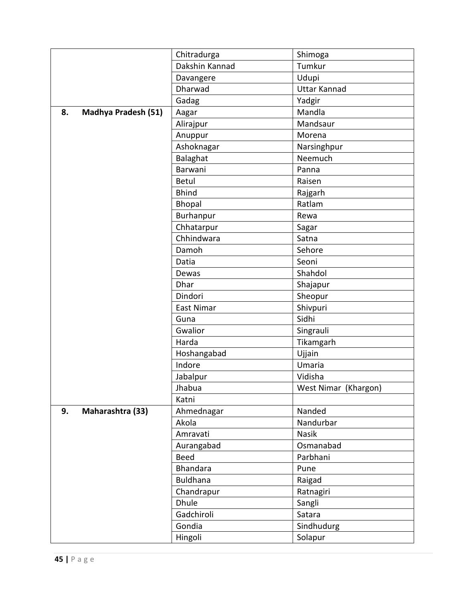|    |                            | Chitradurga     | Shimoga              |
|----|----------------------------|-----------------|----------------------|
|    |                            | Dakshin Kannad  | Tumkur               |
|    |                            | Davangere       | Udupi                |
|    |                            | Dharwad         | <b>Uttar Kannad</b>  |
|    |                            | Gadag           | Yadgir               |
| 8. | <b>Madhya Pradesh (51)</b> | Aagar           | Mandla               |
|    |                            | Alirajpur       | Mandsaur             |
|    |                            | Anuppur         | Morena               |
|    |                            | Ashoknagar      | Narsinghpur          |
|    |                            | Balaghat        | Neemuch              |
|    |                            | Barwani         | Panna                |
|    |                            | Betul           | Raisen               |
|    |                            | <b>Bhind</b>    | Rajgarh              |
|    |                            | Bhopal          | Ratlam               |
|    |                            | Burhanpur       | Rewa                 |
|    |                            | Chhatarpur      | Sagar                |
|    |                            | Chhindwara      | Satna                |
|    |                            | Damoh           | Sehore               |
|    |                            | Datia           | Seoni                |
|    |                            | Dewas           | Shahdol              |
|    |                            | Dhar            | Shajapur             |
|    |                            | Dindori         | Sheopur              |
|    |                            | East Nimar      | Shivpuri             |
|    |                            | Guna            | Sidhi                |
|    |                            | Gwalior         | Singrauli            |
|    |                            | Harda           | Tikamgarh            |
|    |                            | Hoshangabad     | Ujjain               |
|    |                            | Indore          | Umaria               |
|    |                            | Jabalpur        | Vidisha              |
|    |                            | Jhabua          | West Nimar (Khargon) |
|    |                            | Katni           |                      |
| 9. | Maharashtra (33)           | Ahmednagar      | Nanded               |
|    |                            | Akola           | Nandurbar            |
|    |                            | Amravati        | Nasik                |
|    |                            | Aurangabad      | Osmanabad            |
|    |                            | <b>Beed</b>     | Parbhani             |
|    |                            | <b>Bhandara</b> | Pune                 |
|    |                            | <b>Buldhana</b> | Raigad               |
|    |                            | Chandrapur      | Ratnagiri            |
|    |                            | <b>Dhule</b>    | Sangli               |
|    |                            | Gadchiroli      | Satara               |
|    |                            | Gondia          | Sindhudurg           |
|    |                            | Hingoli         | Solapur              |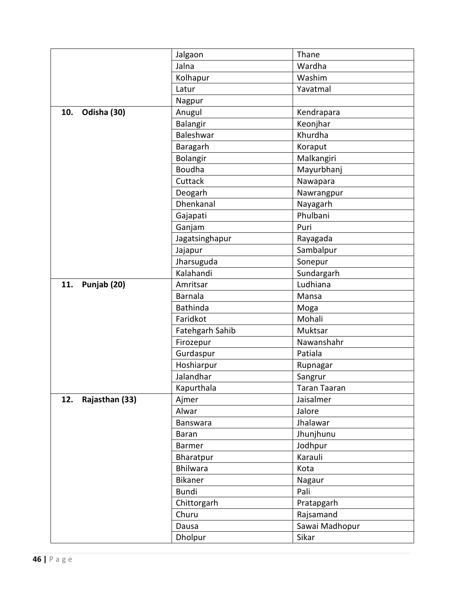|                       | Jalgaon         | Thane               |
|-----------------------|-----------------|---------------------|
|                       | Jalna           | Wardha              |
|                       | Kolhapur        | Washim              |
|                       | Latur           | Yavatmal            |
|                       | Nagpur          |                     |
| 10.<br>Odisha (30)    | Anugul          | Kendrapara          |
|                       | Balangir        | Keonjhar            |
|                       | Baleshwar       | Khurdha             |
|                       | Baragarh        | Koraput             |
|                       | Bolangir        | Malkangiri          |
|                       | <b>Boudha</b>   | Mayurbhanj          |
|                       | Cuttack         | Nawapara            |
|                       | Deogarh         | Nawrangpur          |
|                       | Dhenkanal       | Nayagarh            |
|                       | Gajapati        | Phulbani            |
|                       | Ganjam          | Puri                |
|                       | Jagatsinghapur  | Rayagada            |
|                       | Jajapur         | Sambalpur           |
|                       | Jharsuguda      | Sonepur             |
|                       | Kalahandi       | Sundargarh          |
| Punjab (20)<br>11.    | Amritsar        | Ludhiana            |
|                       | <b>Barnala</b>  | Mansa               |
|                       | <b>Bathinda</b> | Moga                |
|                       | Faridkot        | Mohali              |
|                       | Fatehgarh Sahib | Muktsar             |
|                       | Firozepur       | Nawanshahr          |
|                       | Gurdaspur       | Patiala             |
|                       | Hoshiarpur      | Rupnagar            |
|                       | Jalandhar       | Sangrur             |
|                       | Kapurthala      | <b>Taran Taaran</b> |
| Rajasthan (33)<br>12. | Ajmer           | Jaisalmer           |
|                       | Alwar           | Jalore              |
|                       | Banswara        | Jhalawar            |
|                       | <b>Baran</b>    | Jhunjhunu           |
|                       | Barmer          | Jodhpur             |
|                       | Bharatpur       | Karauli             |
|                       | Bhilwara        | Kota                |
|                       | Bikaner         | Nagaur              |
|                       | <b>Bundi</b>    | Pali                |
|                       | Chittorgarh     | Pratapgarh          |
|                       | Churu           | Rajsamand           |
|                       | Dausa           | Sawai Madhopur      |
|                       | Dholpur         | Sikar               |
|                       |                 |                     |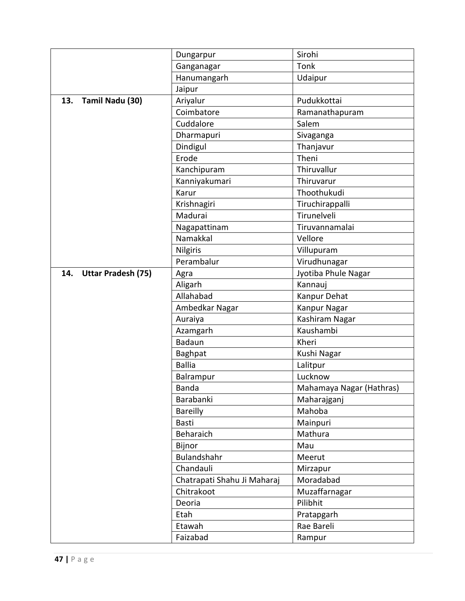|                                  | Dungarpur                   | Sirohi                   |  |  |  |  |
|----------------------------------|-----------------------------|--------------------------|--|--|--|--|
|                                  | Ganganagar                  | Tonk                     |  |  |  |  |
|                                  | Hanumangarh                 | Udaipur                  |  |  |  |  |
|                                  | Jaipur                      |                          |  |  |  |  |
| 13.<br>Tamil Nadu (30)           | Ariyalur                    | Pudukkottai              |  |  |  |  |
|                                  | Coimbatore                  | Ramanathapuram           |  |  |  |  |
|                                  | Cuddalore                   | Salem                    |  |  |  |  |
|                                  | Dharmapuri                  | Sivaganga                |  |  |  |  |
|                                  | Dindigul                    | Thanjavur                |  |  |  |  |
|                                  | Erode                       | Theni                    |  |  |  |  |
|                                  | Kanchipuram                 | Thiruvallur              |  |  |  |  |
|                                  | Kanniyakumari               | Thiruvarur               |  |  |  |  |
|                                  | Karur                       | Thoothukudi              |  |  |  |  |
|                                  | Krishnagiri                 | Tiruchirappalli          |  |  |  |  |
|                                  | Madurai                     | Tirunelveli              |  |  |  |  |
|                                  | Nagapattinam                | Tiruvannamalai           |  |  |  |  |
|                                  | Namakkal                    | Vellore                  |  |  |  |  |
|                                  | <b>Nilgiris</b>             | Villupuram               |  |  |  |  |
|                                  | Perambalur                  | Virudhunagar             |  |  |  |  |
| 14.<br><b>Uttar Pradesh (75)</b> | Agra                        | Jyotiba Phule Nagar      |  |  |  |  |
|                                  | Aligarh                     | Kannauj                  |  |  |  |  |
|                                  | Allahabad                   | Kanpur Dehat             |  |  |  |  |
|                                  | Ambedkar Nagar              | Kanpur Nagar             |  |  |  |  |
|                                  | Auraiya                     | Kashiram Nagar           |  |  |  |  |
|                                  | Azamgarh                    | Kaushambi                |  |  |  |  |
|                                  | <b>Badaun</b>               | Kheri                    |  |  |  |  |
|                                  | <b>Baghpat</b>              | Kushi Nagar              |  |  |  |  |
|                                  | <b>Ballia</b>               | Lalitpur                 |  |  |  |  |
|                                  | Balrampur                   | Lucknow                  |  |  |  |  |
|                                  | Banda                       | Mahamaya Nagar (Hathras) |  |  |  |  |
|                                  | Barabanki                   | Maharajganj              |  |  |  |  |
|                                  | <b>Bareilly</b>             | Mahoba                   |  |  |  |  |
|                                  | Basti                       | Mainpuri                 |  |  |  |  |
|                                  | Beharaich                   | Mathura                  |  |  |  |  |
|                                  | Bijnor                      | Mau                      |  |  |  |  |
|                                  | Bulandshahr                 | Meerut                   |  |  |  |  |
|                                  | Chandauli                   | Mirzapur                 |  |  |  |  |
|                                  | Chatrapati Shahu Ji Maharaj | Moradabad                |  |  |  |  |
|                                  | Chitrakoot                  | Muzaffarnagar            |  |  |  |  |
|                                  | Deoria                      | Pilibhit                 |  |  |  |  |
|                                  | Etah                        | Pratapgarh               |  |  |  |  |
|                                  | Etawah                      | Rae Bareli               |  |  |  |  |
|                                  | Faizabad                    | Rampur                   |  |  |  |  |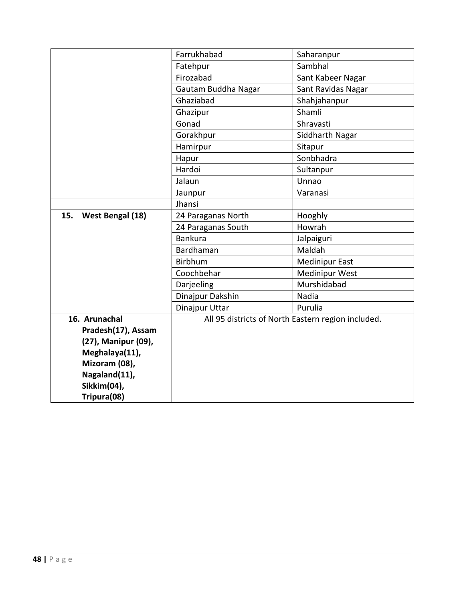|                         | Farrukhabad         | Saharanpur                                         |  |  |  |  |  |
|-------------------------|---------------------|----------------------------------------------------|--|--|--|--|--|
|                         | Fatehpur            | Sambhal                                            |  |  |  |  |  |
|                         | Firozabad           | Sant Kabeer Nagar                                  |  |  |  |  |  |
|                         | Gautam Buddha Nagar | Sant Ravidas Nagar                                 |  |  |  |  |  |
|                         | Ghaziabad           | Shahjahanpur                                       |  |  |  |  |  |
|                         | Ghazipur            | Shamli                                             |  |  |  |  |  |
|                         | Gonad               | Shravasti                                          |  |  |  |  |  |
|                         | Gorakhpur           | Siddharth Nagar                                    |  |  |  |  |  |
|                         | Hamirpur            | Sitapur                                            |  |  |  |  |  |
|                         | Hapur               | Sonbhadra                                          |  |  |  |  |  |
|                         | Hardoi              | Sultanpur                                          |  |  |  |  |  |
|                         | Jalaun              | Unnao                                              |  |  |  |  |  |
|                         | Jaunpur             | Varanasi                                           |  |  |  |  |  |
|                         | Jhansi              |                                                    |  |  |  |  |  |
| 15.<br>West Bengal (18) | 24 Paraganas North  | Hooghly                                            |  |  |  |  |  |
|                         | 24 Paraganas South  | Howrah                                             |  |  |  |  |  |
|                         | <b>Bankura</b>      | Jalpaiguri                                         |  |  |  |  |  |
|                         | Bardhaman           | Maldah                                             |  |  |  |  |  |
|                         | Birbhum             | <b>Medinipur East</b>                              |  |  |  |  |  |
|                         | Coochbehar          | <b>Medinipur West</b>                              |  |  |  |  |  |
|                         | Darjeeling          | Murshidabad                                        |  |  |  |  |  |
|                         | Dinajpur Dakshin    | Nadia                                              |  |  |  |  |  |
|                         | Dinajpur Uttar      | Purulia                                            |  |  |  |  |  |
| 16. Arunachal           |                     | All 95 districts of North Eastern region included. |  |  |  |  |  |
| Pradesh(17), Assam      |                     |                                                    |  |  |  |  |  |
| (27), Manipur (09),     |                     |                                                    |  |  |  |  |  |
| Meghalaya(11),          |                     |                                                    |  |  |  |  |  |
| Mizoram (08),           |                     |                                                    |  |  |  |  |  |
| Nagaland(11),           |                     |                                                    |  |  |  |  |  |
| Sikkim(04),             |                     |                                                    |  |  |  |  |  |
| Tripura(08)             |                     |                                                    |  |  |  |  |  |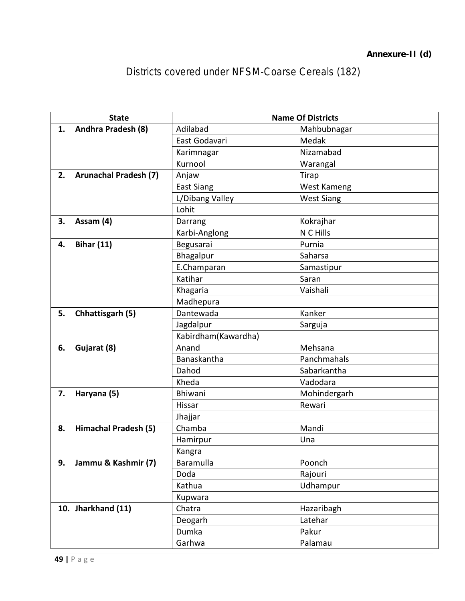Districts covered under NFSM-Coarse Cereals (182)

|    | <b>State</b>                 |                     | <b>Name Of Districts</b> |  |  |  |  |
|----|------------------------------|---------------------|--------------------------|--|--|--|--|
| 1. | Andhra Pradesh (8)           | Adilabad            | Mahbubnagar              |  |  |  |  |
|    |                              | East Godavari       | Medak                    |  |  |  |  |
|    |                              | Karimnagar          | Nizamabad                |  |  |  |  |
|    |                              | Kurnool             | Warangal                 |  |  |  |  |
| 2. | <b>Arunachal Pradesh (7)</b> | Anjaw               | <b>Tirap</b>             |  |  |  |  |
|    |                              | <b>East Siang</b>   | West Kameng              |  |  |  |  |
|    |                              | L/Dibang Valley     | <b>West Siang</b>        |  |  |  |  |
|    |                              | Lohit               |                          |  |  |  |  |
| 3. | Assam (4)                    | Darrang             | Kokrajhar                |  |  |  |  |
|    |                              | Karbi-Anglong       | N C Hills                |  |  |  |  |
| 4. | <b>Bihar (11)</b>            | Begusarai           | Purnia                   |  |  |  |  |
|    |                              | Bhagalpur           | Saharsa                  |  |  |  |  |
|    |                              | E.Champaran         | Samastipur               |  |  |  |  |
|    |                              | Katihar             | Saran                    |  |  |  |  |
|    |                              | Khagaria            | Vaishali                 |  |  |  |  |
|    |                              | Madhepura           |                          |  |  |  |  |
| 5. | Chhattisgarh (5)             | Dantewada           | Kanker                   |  |  |  |  |
|    |                              | Jagdalpur           | Sarguja                  |  |  |  |  |
|    |                              | Kabirdham(Kawardha) |                          |  |  |  |  |
| 6. | Gujarat (8)                  | Anand               | Mehsana                  |  |  |  |  |
|    |                              | Banaskantha         | Panchmahals              |  |  |  |  |
|    |                              | Dahod               | Sabarkantha              |  |  |  |  |
|    |                              | Kheda               | Vadodara                 |  |  |  |  |
| 7. | Haryana (5)                  | Bhiwani             | Mohindergarh             |  |  |  |  |
|    |                              | Hissar              | Rewari                   |  |  |  |  |
|    |                              | Jhajjar             |                          |  |  |  |  |
| 8. | <b>Himachal Pradesh (5)</b>  | Chamba              | Mandi                    |  |  |  |  |
|    |                              | Hamirpur            | Una                      |  |  |  |  |
|    |                              | Kangra              |                          |  |  |  |  |
| 9. | Jammu & Kashmir (7)          | Baramulla           | Poonch                   |  |  |  |  |
|    |                              | Doda                | Rajouri                  |  |  |  |  |
|    |                              | Kathua              | Udhampur                 |  |  |  |  |
|    |                              | Kupwara             |                          |  |  |  |  |
|    | 10. Jharkhand (11)           | Chatra              | Hazaribagh               |  |  |  |  |
|    |                              | Deogarh             | Latehar                  |  |  |  |  |
|    |                              | Dumka               | Pakur                    |  |  |  |  |
|    |                              | Garhwa              | Palamau                  |  |  |  |  |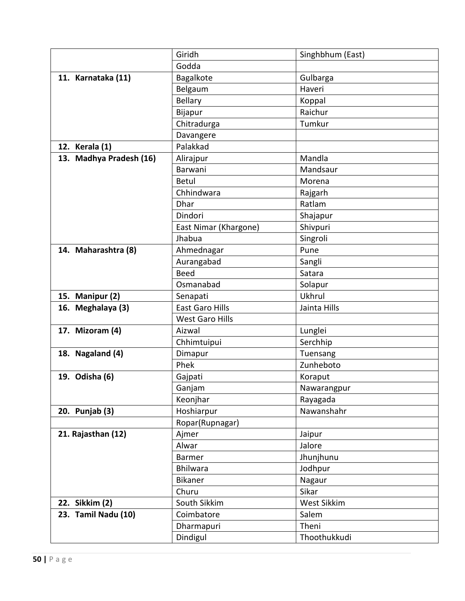|                         | Giridh                 | Singhbhum (East)   |
|-------------------------|------------------------|--------------------|
|                         | Godda                  |                    |
| 11. Karnataka (11)      | Bagalkote              | Gulbarga           |
|                         | Belgaum                | Haveri             |
|                         | <b>Bellary</b>         | Koppal             |
|                         | Bijapur                | Raichur            |
|                         | Chitradurga            | Tumkur             |
|                         | Davangere              |                    |
| 12. Kerala (1)          | Palakkad               |                    |
| 13. Madhya Pradesh (16) | Alirajpur              | Mandla             |
|                         | Barwani                | Mandsaur           |
|                         | <b>Betul</b>           | Morena             |
|                         | Chhindwara             | Rajgarh            |
|                         | <b>Dhar</b>            | Ratlam             |
|                         | Dindori                | Shajapur           |
|                         | East Nimar (Khargone)  | Shivpuri           |
|                         | Jhabua                 | Singroli           |
| 14. Maharashtra (8)     | Ahmednagar             | Pune               |
|                         | Aurangabad             | Sangli             |
|                         | <b>Beed</b>            | Satara             |
|                         | Osmanabad              | Solapur            |
| 15. Manipur (2)         | Senapati               | Ukhrul             |
| 16. Meghalaya (3)       | <b>East Garo Hills</b> | Jainta Hills       |
|                         | <b>West Garo Hills</b> |                    |
| 17. Mizoram (4)         | Aizwal                 | Lunglei            |
|                         | Chhimtuipui            | Serchhip           |
| 18. Nagaland (4)        | Dimapur                | Tuensang           |
|                         | Phek                   | Zunheboto          |
| 19. Odisha (6)          | Gajpati                | Koraput            |
|                         | Ganjam                 | Nawarangpur        |
|                         | Keonjhar               | Rayagada           |
| 20. Punjab (3)          | Hoshiarpur             | Nawanshahr         |
|                         | Ropar(Rupnagar)        |                    |
| 21. Rajasthan (12)      | Ajmer                  | Jaipur             |
|                         | Alwar                  | Jalore             |
|                         | Barmer                 | Jhunjhunu          |
|                         | <b>Bhilwara</b>        | Jodhpur            |
|                         | Bikaner                | Nagaur             |
|                         | Churu                  | Sikar              |
| 22. Sikkim (2)          | South Sikkim           | <b>West Sikkim</b> |
| 23. Tamil Nadu (10)     | Coimbatore             | Salem<br>Theni     |
|                         | Dharmapuri             |                    |
|                         | Dindigul               | Thoothukkudi       |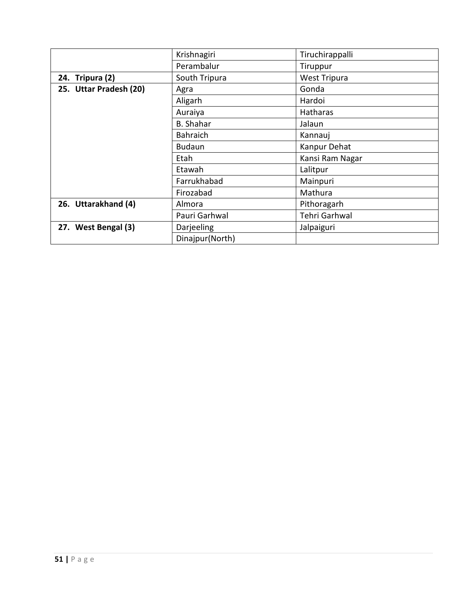|                        | Krishnagiri      | Tiruchirappalli     |
|------------------------|------------------|---------------------|
|                        | Perambalur       | Tiruppur            |
| 24. Tripura (2)        | South Tripura    | <b>West Tripura</b> |
| 25. Uttar Pradesh (20) | Agra             | Gonda               |
|                        | Aligarh          | Hardoi              |
|                        | Auraiya          | Hatharas            |
|                        | <b>B.</b> Shahar | Jalaun              |
|                        | <b>Bahraich</b>  | Kannauj             |
|                        | <b>Budaun</b>    | Kanpur Dehat        |
|                        | Etah             | Kansi Ram Nagar     |
|                        | Etawah           | Lalitpur            |
|                        | Farrukhabad      | Mainpuri            |
|                        | Firozabad        | Mathura             |
| 26. Uttarakhand (4)    | Almora           | Pithoragarh         |
|                        | Pauri Garhwal    | Tehri Garhwal       |
| 27. West Bengal (3)    | Darjeeling       | Jalpaiguri          |
|                        | Dinajpur(North)  |                     |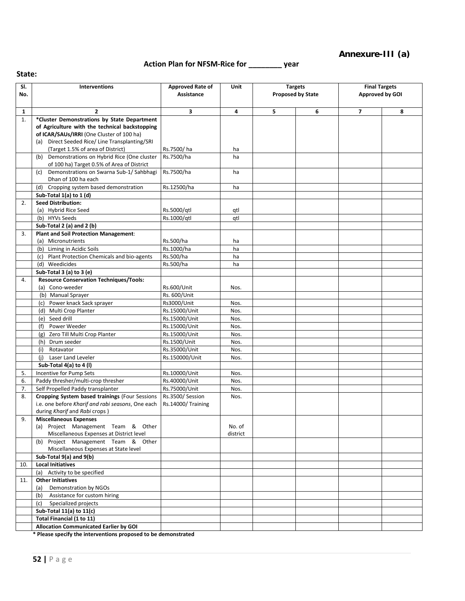### **Annexure-III (a)**

**Action Plan for NFSM-Rice for \_\_\_\_\_\_\_\_ year**

|     | State:                                            |                         |          |   |                          |                         |   |  |  |  |
|-----|---------------------------------------------------|-------------------------|----------|---|--------------------------|-------------------------|---|--|--|--|
| SI. | Interventions                                     | <b>Approved Rate of</b> | Unit     |   | <b>Targets</b>           | <b>Final Targets</b>    |   |  |  |  |
| No. |                                                   | Assistance              |          |   | <b>Proposed by State</b> | Approved by GOI         |   |  |  |  |
|     |                                                   |                         |          |   |                          |                         |   |  |  |  |
| 1   | $\overline{2}$                                    | 3                       | 4        | 5 | 6                        | $\overline{\mathbf{z}}$ | 8 |  |  |  |
| 1.  | *Cluster Demonstrations by State Department       |                         |          |   |                          |                         |   |  |  |  |
|     | of Agriculture with the technical backstopping    |                         |          |   |                          |                         |   |  |  |  |
|     | of ICAR/SAUs/IRRI (One Cluster of 100 ha)         |                         |          |   |                          |                         |   |  |  |  |
|     | (a) Direct Seeded Rice/ Line Transplanting/SRI    |                         |          |   |                          |                         |   |  |  |  |
|     | (Target 1.5% of area of District)                 | Rs.7500/ha              | ha       |   |                          |                         |   |  |  |  |
|     | (b) Demonstrations on Hybrid Rice (One cluster    | Rs.7500/ha              | ha       |   |                          |                         |   |  |  |  |
|     | of 100 ha) Target 0.5% of Area of District        |                         |          |   |                          |                         |   |  |  |  |
|     | Demonstrations on Swarna Sub-1/Sahbhagi<br>(c)    | Rs.7500/ha              | ha       |   |                          |                         |   |  |  |  |
|     | Dhan of 100 ha each                               |                         |          |   |                          |                         |   |  |  |  |
|     | (d) Cropping system based demonstration           | Rs.12500/ha             | ha       |   |                          |                         |   |  |  |  |
|     | Sub-Total 1(a) to 1 (d)                           |                         |          |   |                          |                         |   |  |  |  |
| 2.  | <b>Seed Distribution:</b>                         |                         |          |   |                          |                         |   |  |  |  |
|     | (a) Hybrid Rice Seed                              | Rs.5000/qtl             | qtl      |   |                          |                         |   |  |  |  |
|     | (b) HYVs Seeds                                    | Rs.1000/gtl             | qtl      |   |                          |                         |   |  |  |  |
|     | Sub-Total 2 (a) and 2 (b)                         |                         |          |   |                          |                         |   |  |  |  |
| 3.  | <b>Plant and Soil Protection Management:</b>      |                         |          |   |                          |                         |   |  |  |  |
|     | (a) Micronutrients                                | Rs.500/ha               | ha       |   |                          |                         |   |  |  |  |
|     | (b) Liming in Acidic Soils                        | Rs.1000/ha              | ha       |   |                          |                         |   |  |  |  |
|     | Plant Protection Chemicals and bio-agents<br>(c)  | Rs.500/ha               | ha       |   |                          |                         |   |  |  |  |
|     | (d) Weedicides                                    | Rs.500/ha               | ha       |   |                          |                         |   |  |  |  |
|     | Sub-Total 3 (a) to 3 (e)                          |                         |          |   |                          |                         |   |  |  |  |
| 4.  | <b>Resource Conservation Techniques/Tools:</b>    |                         |          |   |                          |                         |   |  |  |  |
|     | (a) Cono-weeder                                   | Rs.600/Unit             | Nos.     |   |                          |                         |   |  |  |  |
|     | (b) Manual Sprayer                                | Rs. 600/Unit            |          |   |                          |                         |   |  |  |  |
|     |                                                   |                         |          |   |                          |                         |   |  |  |  |
|     | (c) Power knack Sack sprayer                      | Rs3000/Unit             | Nos.     |   |                          |                         |   |  |  |  |
|     | (d) Multi Crop Planter                            | Rs.15000/Unit           | Nos.     |   |                          |                         |   |  |  |  |
|     | (e) Seed drill                                    | Rs.15000/Unit           | Nos.     |   |                          |                         |   |  |  |  |
|     | Power Weeder<br>(f)                               | Rs.15000/Unit           | Nos.     |   |                          |                         |   |  |  |  |
|     | Zero Till Multi Crop Planter<br>(g)               | Rs.15000/Unit           | Nos.     |   |                          |                         |   |  |  |  |
|     | (h) Drum seeder                                   | Rs.1500/Unit            | Nos.     |   |                          |                         |   |  |  |  |
|     | (i)<br>Rotavator                                  | Rs.35000/Unit           | Nos.     |   |                          |                         |   |  |  |  |
|     | (i)<br>Laser Land Leveler                         | Rs.150000/Unit          | Nos.     |   |                          |                         |   |  |  |  |
|     | Sub-Total 4(a) to 4 (I)                           |                         |          |   |                          |                         |   |  |  |  |
| 5.  | Incentive for Pump Sets                           | Rs.10000/Unit           | Nos.     |   |                          |                         |   |  |  |  |
| 6.  | Paddy thresher/multi-crop thresher                | Rs.40000/Unit           | Nos.     |   |                          |                         |   |  |  |  |
| 7.  | Self Propelled Paddy transplanter                 | Rs.75000/Unit           | Nos.     |   |                          |                         |   |  |  |  |
| 8.  | Cropping System based trainings (Four Sessions    | Rs.3500/Session         | Nos.     |   |                          |                         |   |  |  |  |
|     | i.e. one before Kharif and rabi seasons, One each | Rs.14000/Training       |          |   |                          |                         |   |  |  |  |
|     | during <i>Kharif</i> and <i>Rabi</i> crops )      |                         |          |   |                          |                         |   |  |  |  |
| 9.  | <b>Miscellaneous Expenses</b>                     |                         |          |   |                          |                         |   |  |  |  |
|     | (a) Project Management Team & Other               |                         | No. of   |   |                          |                         |   |  |  |  |
|     | Miscellaneous Expenses at District level          |                         | district |   |                          |                         |   |  |  |  |
|     | (b) Project Management Team & Other               |                         |          |   |                          |                         |   |  |  |  |
|     | Miscellaneous Expenses at State level             |                         |          |   |                          |                         |   |  |  |  |
|     | Sub-Total 9(a) and 9(b)                           |                         |          |   |                          |                         |   |  |  |  |
| 10. | <b>Local Initiatives</b>                          |                         |          |   |                          |                         |   |  |  |  |
|     | Activity to be specified<br>(a)                   |                         |          |   |                          |                         |   |  |  |  |
| 11. | <b>Other Initiatives</b>                          |                         |          |   |                          |                         |   |  |  |  |
|     | Demonstration by NGOs<br>(a)                      |                         |          |   |                          |                         |   |  |  |  |
|     | Assistance for custom hiring<br>(b)               |                         |          |   |                          |                         |   |  |  |  |
|     | Specialized projects<br>(c)                       |                         |          |   |                          |                         |   |  |  |  |
|     | Sub-Total 11(a) to 11(c)                          |                         |          |   |                          |                         |   |  |  |  |
|     | Total Financial (1 to 11)                         |                         |          |   |                          |                         |   |  |  |  |
|     | <b>Allocation Communicated Earlier by GOI</b>     |                         |          |   |                          |                         |   |  |  |  |

**\* Please specify the interventions proposed to be demonstrated**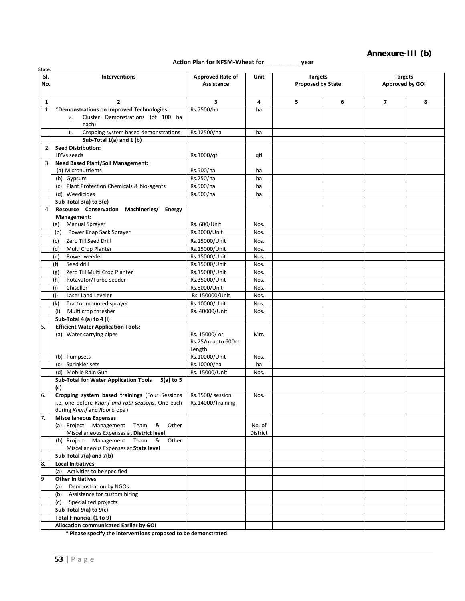#### **Annexure-III (b)**

**Targets Approved by GOI**

#### **Action Plan for NFSM-Wheat for \_\_\_\_\_\_\_\_\_\_ year**

**Unit Targets** 

**Proposed by State**

**Assistance**

**Interventions Approved Rate of Approved Rate of** 

| $\mathbf{1}$ | $\mathbf{z}$                                                         | 3                              | 4                  | 5 | 6 | 7 | 8 |
|--------------|----------------------------------------------------------------------|--------------------------------|--------------------|---|---|---|---|
| 1.           | *Demonstrations on Improved Technologies:                            | Rs.7500/ha                     | ha                 |   |   |   |   |
|              | Cluster Demonstrations (of 100 ha<br>a.                              |                                |                    |   |   |   |   |
|              | each)                                                                |                                |                    |   |   |   |   |
|              | Cropping system based demonstrations<br>b.                           | Rs.12500/ha                    | ha                 |   |   |   |   |
|              | Sub-Total 1(a) and 1 (b)                                             |                                |                    |   |   |   |   |
| 2.           | <b>Seed Distribution:</b>                                            |                                |                    |   |   |   |   |
|              | HYVs seeds                                                           | Rs.1000/gtl                    | qtl                |   |   |   |   |
| 3.           | <b>Need Based Plant/Soil Management:</b>                             |                                |                    |   |   |   |   |
|              | (a) Micronutrients                                                   | Rs.500/ha                      | ha                 |   |   |   |   |
|              | (b) Gypsum                                                           | Rs.750/ha                      | ha                 |   |   |   |   |
|              | (c) Plant Protection Chemicals & bio-agents                          | Rs.500/ha                      | ha                 |   |   |   |   |
|              | (d) Weedicides                                                       | Rs.500/ha                      | ha                 |   |   |   |   |
|              | Sub-Total 3(a) to 3(e)                                               |                                |                    |   |   |   |   |
| 4.           | Resource Conservation Machineries/<br><b>Energy</b>                  |                                |                    |   |   |   |   |
|              | Management:<br><b>Manual Sprayer</b>                                 | Rs. 600/Unit                   |                    |   |   |   |   |
|              | (a)<br>Power Knap Sack Sprayer<br>(b)                                | Rs.3000/Unit                   | Nos.<br>Nos.       |   |   |   |   |
|              |                                                                      |                                |                    |   |   |   |   |
|              | Zero Till Seed Drill<br>(c)<br>Multi Crop Planter                    | Rs.15000/Unit                  | Nos.               |   |   |   |   |
|              | (d)                                                                  | Rs.15000/Unit<br>Rs.15000/Unit | Nos.               |   |   |   |   |
|              | Power weeder<br>(e)<br>(f)<br>Seed drill                             | Rs.15000/Unit                  | Nos.<br>Nos.       |   |   |   |   |
|              | Zero Till Multi Crop Planter                                         | Rs.15000/Unit                  | Nos.               |   |   |   |   |
|              | (g)<br>(h)<br>Rotavator/Turbo seeder                                 | Rs.35000/Unit                  | Nos.               |   |   |   |   |
|              | Chiseller<br>(i)                                                     | Rs.8000/Unit                   | Nos.               |   |   |   |   |
|              | Laser Land Leveler<br>(i)                                            | Rs.150000/Unit                 | Nos.               |   |   |   |   |
|              | (k)<br>Tractor mounted sprayer                                       | Rs.10000/Unit                  | Nos.               |   |   |   |   |
|              | Multi crop thresher<br>(1)                                           | Rs. 40000/Unit                 | Nos.               |   |   |   |   |
|              | Sub-Total 4 (a) to 4 (l)                                             |                                |                    |   |   |   |   |
| 5.           | <b>Efficient Water Application Tools:</b>                            |                                |                    |   |   |   |   |
|              | (a) Water carrying pipes                                             | Rs. 15000/ or                  | Mtr.               |   |   |   |   |
|              |                                                                      | Rs.25/m upto 600m              |                    |   |   |   |   |
|              |                                                                      | Length                         |                    |   |   |   |   |
|              | (b) Pumpsets                                                         | Rs.10000/Unit                  | Nos.               |   |   |   |   |
|              | (c) Sprinkler sets                                                   | Rs.10000/ha                    | ha                 |   |   |   |   |
|              | (d) Mobile Rain Gun                                                  | Rs. 15000/Unit                 | Nos.               |   |   |   |   |
|              | Sub-Total for Water Application Tools<br>$5(a)$ to $5$               |                                |                    |   |   |   |   |
|              | (c)                                                                  |                                |                    |   |   |   |   |
| 6.           | Cropping system based trainings (Four Sessions                       | Rs.3500/ session               | Nos.               |   |   |   |   |
|              | i.e. one before Kharif and rabi seasons. One each                    | Rs.14000/Training              |                    |   |   |   |   |
|              | during Kharif and Rabi crops)                                        |                                |                    |   |   |   |   |
| 7.           | <b>Miscellaneous Expenses</b><br>(a) Project Management Team & Other |                                |                    |   |   |   |   |
|              | Miscellaneous Expenses at District level                             |                                | No. of<br>District |   |   |   |   |
|              | (b) Project Management Team &<br>Other                               |                                |                    |   |   |   |   |
|              | Miscellaneous Expenses at State level                                |                                |                    |   |   |   |   |
|              | Sub-Total 7(a) and 7(b)                                              |                                |                    |   |   |   |   |
| 8.           | <b>Local Initiatives</b>                                             |                                |                    |   |   |   |   |
|              | (a) Activities to be specified                                       |                                |                    |   |   |   |   |
| 9            | <b>Other Initiatives</b>                                             |                                |                    |   |   |   |   |
|              | Demonstration by NGOs<br>(a)                                         |                                |                    |   |   |   |   |
|              | Assistance for custom hiring<br>(b)                                  |                                |                    |   |   |   |   |
|              | (c) Specialized projects                                             |                                |                    |   |   |   |   |
|              | Sub-Total 9(a) to 9(c)                                               |                                |                    |   |   |   |   |
|              | Total Financial (1 to 9)                                             |                                |                    |   |   |   |   |

**Allocation communicated Earlier by GOI**

**\* Please specify the interventions proposed to be demonstrated**

**State: Sl. No.**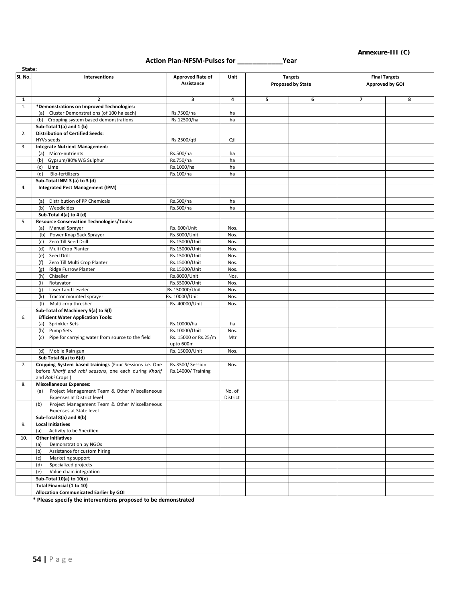#### **Annexure-III (C)**

## **Action Plan-NFSM-Pulses for \_\_\_\_\_\_\_\_\_\_\_\_Year**

| State:       |                                                                                        |                               |          |   |                          |                         |                      |  |
|--------------|----------------------------------------------------------------------------------------|-------------------------------|----------|---|--------------------------|-------------------------|----------------------|--|
| Sl. No.      | Interventions                                                                          | Approved Rate of              | Unit     |   | <b>Targets</b>           |                         | <b>Final Targets</b> |  |
|              |                                                                                        | Assistance                    |          |   | <b>Proposed by State</b> |                         | Approved by GOI      |  |
|              |                                                                                        |                               |          |   |                          |                         |                      |  |
|              |                                                                                        |                               |          |   |                          |                         |                      |  |
| $\mathbf{1}$ | $\overline{2}$<br>*Demonstrations on Improved Technologies:                            | 3                             | 4        | 5 | 6                        | $\overline{\mathbf{z}}$ | 8                    |  |
| 1.           | (a) Cluster Demonstrations (of 100 ha each)                                            | Rs.7500/ha                    | ha       |   |                          |                         |                      |  |
|              | (b) Cropping system based demonstrations                                               | Rs.12500/ha                   | ha       |   |                          |                         |                      |  |
|              | Sub-Total 1(a) and 1 (b)                                                               |                               |          |   |                          |                         |                      |  |
| 2.           | <b>Distribution of Certified Seeds:</b>                                                |                               |          |   |                          |                         |                      |  |
|              | HYVs seeds                                                                             | Rs.2500/qtl                   | Qtl      |   |                          |                         |                      |  |
| 3.           | <b>Integrate Nutrient Management:</b>                                                  |                               |          |   |                          |                         |                      |  |
|              | (a) Micro-nutrients                                                                    | Rs.500/ha                     | ha       |   |                          |                         |                      |  |
|              | Gypsum/80% WG Sulphur<br>(b)                                                           | Rs.750/ha                     | ha       |   |                          |                         |                      |  |
|              | Lime<br>(c)                                                                            | Rs.1000/ha                    | ha       |   |                          |                         |                      |  |
|              | <b>Bio-fertilizers</b><br>(d)                                                          | Rs.100/ha                     | ha       |   |                          |                         |                      |  |
|              | Sub-Total INM 3 (a) to 3 (d)                                                           |                               |          |   |                          |                         |                      |  |
| 4.           | <b>Integrated Pest Management (IPM)</b>                                                |                               |          |   |                          |                         |                      |  |
|              |                                                                                        |                               |          |   |                          |                         |                      |  |
|              | Distribution of PP Chemicals<br>(a)                                                    | Rs.500/ha                     | ha       |   |                          |                         |                      |  |
|              | (b)<br>Weedicides                                                                      | Rs.500/ha                     | ha       |   |                          |                         |                      |  |
|              | Sub-Total 4(a) to 4 (d)                                                                |                               |          |   |                          |                         |                      |  |
| 5.           | <b>Resource Conservation Technologies/Tools:</b>                                       |                               |          |   |                          |                         |                      |  |
|              | (a) Manual Sprayer                                                                     | Rs. 600/Unit                  | Nos.     |   |                          |                         |                      |  |
|              | (b) Power Knap Sack Sprayer                                                            | Rs.3000/Unit                  | Nos.     |   |                          |                         |                      |  |
|              | Zero Till Seed Drill<br>(c)                                                            | Rs.15000/Unit                 | Nos.     |   |                          |                         |                      |  |
|              | Multi Crop Planter<br>(d)                                                              | Rs.15000/Unit                 | Nos.     |   |                          |                         |                      |  |
|              | Seed Drill<br>(e)                                                                      | Rs.15000/Unit                 | Nos.     |   |                          |                         |                      |  |
|              | Zero Till Multi Crop Planter<br>(f)                                                    | Rs.15000/Unit                 | Nos.     |   |                          |                         |                      |  |
|              | <b>Ridge Furrow Planter</b>                                                            | Rs.15000/Unit                 | Nos.     |   |                          |                         |                      |  |
|              | (g)<br>(h)<br>Chiseller                                                                |                               | Nos.     |   |                          |                         |                      |  |
|              | Rotavator                                                                              | Rs.8000/Unit<br>Rs.35000/Unit | Nos.     |   |                          |                         |                      |  |
|              | (i)                                                                                    |                               |          |   |                          |                         |                      |  |
|              | (i)<br>Laser Land Leveler                                                              | Rs.150000/Unit                | Nos.     |   |                          |                         |                      |  |
|              | (k)<br>Tractor mounted sprayer                                                         | Rs. 10000/Unit                | Nos.     |   |                          |                         |                      |  |
|              | Multi crop thresher<br>(1)                                                             | Rs. 40000/Unit                | Nos.     |   |                          |                         |                      |  |
|              | Sub-Total of Machinery 5(a) to 5(I)                                                    |                               |          |   |                          |                         |                      |  |
| 6.           | <b>Efficient Water Application Tools:</b>                                              |                               |          |   |                          |                         |                      |  |
|              | (a) Sprinkler Sets                                                                     | Rs.10000/ha                   | ha       |   |                          |                         |                      |  |
|              | Pump Sets<br>(b)                                                                       | Rs.10000/Unit                 | Nos.     |   |                          |                         |                      |  |
|              | Pipe for carrying water from source to the field<br>(c)                                | Rs. 15000 or Rs.25/m          | Mtr      |   |                          |                         |                      |  |
|              |                                                                                        | upto 600m                     |          |   |                          |                         |                      |  |
|              | (d) Mobile Rain gun                                                                    | Rs. 15000/Unit                | Nos.     |   |                          |                         |                      |  |
|              | Sub Total 6(a) to 6(d)                                                                 |                               |          |   |                          |                         |                      |  |
| 7.           | Cropping System based trainings (Four Sessions i.e. One                                | Rs.3500/Session               | Nos.     |   |                          |                         |                      |  |
|              | before Kharif and rabi seasons, one each during Kharif<br>and Rabi Crops)              | Rs.14000/Training             |          |   |                          |                         |                      |  |
|              |                                                                                        |                               |          |   |                          |                         |                      |  |
| 8.           | <b>Miscellaneous Expenses:</b><br>Project Management Team & Other Miscellaneous<br>(a) |                               | No. of   |   |                          |                         |                      |  |
|              | Expenses at District level                                                             |                               | District |   |                          |                         |                      |  |
|              | Project Management Team & Other Miscellaneous<br>(b)                                   |                               |          |   |                          |                         |                      |  |
|              | Expenses at State level                                                                |                               |          |   |                          |                         |                      |  |
|              | Sub-Total 8(a) and 8(b)                                                                |                               |          |   |                          |                         |                      |  |
| 9.           | <b>Local Initiatives</b>                                                               |                               |          |   |                          |                         |                      |  |
|              | Activity to be Specified<br>(a)                                                        |                               |          |   |                          |                         |                      |  |
| 10.          | <b>Other Initiatives</b>                                                               |                               |          |   |                          |                         |                      |  |
|              | Demonstration by NGOs<br>(a)                                                           |                               |          |   |                          |                         |                      |  |
|              | Assistance for custom hiring<br>(b)                                                    |                               |          |   |                          |                         |                      |  |
|              | Marketing support<br>(c)                                                               |                               |          |   |                          |                         |                      |  |
|              | Specialized projects<br>(d)                                                            |                               |          |   |                          |                         |                      |  |
|              | Value chain integration<br>(e)                                                         |                               |          |   |                          |                         |                      |  |
|              | Sub-Total 10(a) to 10(e)                                                               |                               |          |   |                          |                         |                      |  |
|              | <b>Total Financial (1 to 10)</b>                                                       |                               |          |   |                          |                         |                      |  |
|              | <b>Allocation Communicated Earlier by GOI</b>                                          |                               |          |   |                          |                         |                      |  |
|              |                                                                                        |                               |          |   |                          |                         |                      |  |

**\* Please specify the interventions proposed to be demonstrated**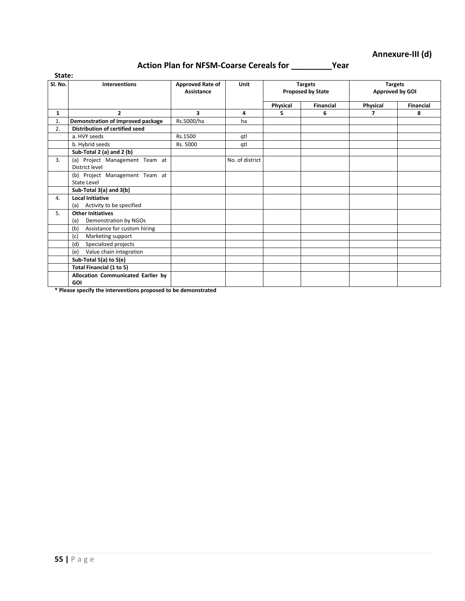### **Action Plan for NFSM-Coarse Cereals for \_\_\_\_\_\_\_\_\_Year**

| State:  |                                                          |                                       |                 |          |                                            |                                   |                  |  |
|---------|----------------------------------------------------------|---------------------------------------|-----------------|----------|--------------------------------------------|-----------------------------------|------------------|--|
| SI. No. | <b>Interventions</b>                                     | <b>Approved Rate of</b><br>Assistance | Unit            |          | <b>Targets</b><br><b>Proposed by State</b> | <b>Targets</b><br>Approved by GOI |                  |  |
|         |                                                          |                                       |                 | Physical | Financial                                  | Physical                          | <b>Financial</b> |  |
| 1       | $\overline{2}$                                           | 3                                     | 4               | 5        | 6                                          | 7                                 | 8                |  |
| 1.      | Demonstration of Improved package                        | Rs.5000/ha                            | ha              |          |                                            |                                   |                  |  |
| 2.      | Distribution of certified seed                           |                                       |                 |          |                                            |                                   |                  |  |
|         | a. HVY seeds                                             | Rs.1500                               | qtl             |          |                                            |                                   |                  |  |
|         | b. Hybrid seeds                                          | Rs. 5000                              | atl             |          |                                            |                                   |                  |  |
|         | Sub-Total 2 (a) and 2 (b)                                |                                       |                 |          |                                            |                                   |                  |  |
| 3.      | (a) Project Management Team at<br>District level         |                                       | No. of district |          |                                            |                                   |                  |  |
|         | (b) Project Management Team at<br>State Level            |                                       |                 |          |                                            |                                   |                  |  |
|         | Sub-Total 3(a) and 3(b)                                  |                                       |                 |          |                                            |                                   |                  |  |
| 4.      | Local Initiative<br>Activity to be specified<br>(a)      |                                       |                 |          |                                            |                                   |                  |  |
| 5.      | <b>Other Initiatives</b><br>Demonstration by NGOs<br>(a) |                                       |                 |          |                                            |                                   |                  |  |
|         | Assistance for custom hiring<br>(b)                      |                                       |                 |          |                                            |                                   |                  |  |
|         | Marketing support<br>(c)                                 |                                       |                 |          |                                            |                                   |                  |  |
|         | Specialized projects<br>(d)                              |                                       |                 |          |                                            |                                   |                  |  |
|         | Value chain integration<br>(e)                           |                                       |                 |          |                                            |                                   |                  |  |
|         | Sub-Total 5(a) to 5(e)                                   |                                       |                 |          |                                            |                                   |                  |  |
|         | Total Financial (1 to 5)                                 |                                       |                 |          |                                            |                                   |                  |  |
|         | Allocation Communicated Earlier by<br><b>GOI</b>         |                                       |                 |          |                                            |                                   |                  |  |

**\* Please specify the interventions proposed to be demonstrated**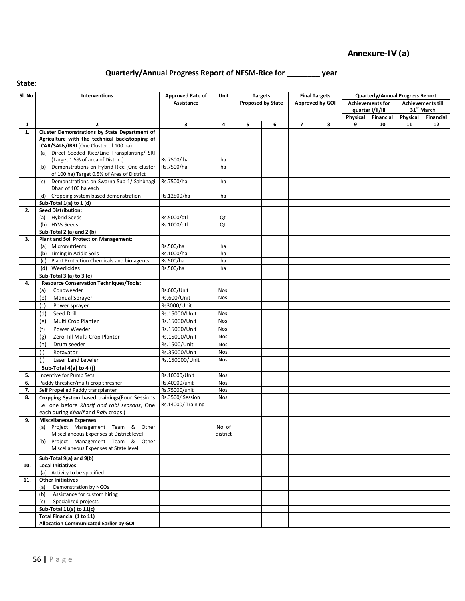## **Quarterly/Annual Progress Report of NFSM-Rice for \_\_\_\_\_\_\_\_ year**

| Sl. No.      | Interventions                                                                                   | <b>Approved Rate of</b>    | Unit         |   | <b>Targets</b>           |                | <b>Final Targets</b> |          | <b>Quarterly/Annual Progress Report</b>     |          |                                             |
|--------------|-------------------------------------------------------------------------------------------------|----------------------------|--------------|---|--------------------------|----------------|----------------------|----------|---------------------------------------------|----------|---------------------------------------------|
|              |                                                                                                 | Assistance                 |              |   | <b>Proposed by State</b> |                | Approved by GOI      |          | <b>Achievements for</b><br>quarter I/II/III |          | <b>Achievements till</b><br>$31^{st}$ March |
|              |                                                                                                 |                            |              |   |                          |                |                      | Physical | Financial                                   | Physical | Financial                                   |
| $\mathbf{1}$ | $\overline{2}$                                                                                  | 3                          | 4            | 5 | 6                        | $\overline{7}$ | 8                    | 9        | 10                                          | 11       | 12                                          |
| 1.           | Cluster Demonstrations by State Department of                                                   |                            |              |   |                          |                |                      |          |                                             |          |                                             |
|              | Agriculture with the technical backstopping of                                                  |                            |              |   |                          |                |                      |          |                                             |          |                                             |
|              | ICAR/SAUs/IRRI (One Cluster of 100 ha)                                                          |                            |              |   |                          |                |                      |          |                                             |          |                                             |
|              | (a) Direct Seeded Rice/Line Transplanting/ SRI                                                  |                            |              |   |                          |                |                      |          |                                             |          |                                             |
|              | (Target 1.5% of area of District)                                                               | Rs.7500/ha                 | ha           |   |                          |                |                      |          |                                             |          |                                             |
|              | Demonstrations on Hybrid Rice (One cluster<br>(b)<br>of 100 ha) Target 0.5% of Area of District | Rs.7500/ha                 | ha           |   |                          |                |                      |          |                                             |          |                                             |
|              | Demonstrations on Swarna Sub-1/ Sahbhagi<br>(c)<br>Dhan of 100 ha each                          | Rs.7500/ha                 | ha           |   |                          |                |                      |          |                                             |          |                                             |
|              | Cropping system based demonstration<br>(d)                                                      | Rs.12500/ha                | ha           |   |                          |                |                      |          |                                             |          |                                             |
|              | Sub-Total 1(a) to 1 (d)                                                                         |                            |              |   |                          |                |                      |          |                                             |          |                                             |
| 2.           | <b>Seed Distribution:</b>                                                                       |                            |              |   |                          |                |                      |          |                                             |          |                                             |
|              | (a) Hybrid Seeds                                                                                | Rs.5000/gtl                | Qtl          |   |                          |                |                      |          |                                             |          |                                             |
|              | (b) HYVs Seeds                                                                                  | Rs.1000/gtl                | Qtl          |   |                          |                |                      |          |                                             |          |                                             |
|              | Sub-Total 2 (a) and 2 (b)                                                                       |                            |              |   |                          |                |                      |          |                                             |          |                                             |
| 3.           | <b>Plant and Soil Protection Management:</b>                                                    |                            |              |   |                          |                |                      |          |                                             |          |                                             |
|              | (a) Micronutrients                                                                              | Rs.500/ha                  | ha           |   |                          |                |                      |          |                                             |          |                                             |
|              | (b) Liming in Acidic Soils                                                                      | Rs.1000/ha                 | ha           |   |                          |                |                      |          |                                             |          |                                             |
|              | (c) Plant Protection Chemicals and bio-agents                                                   | Rs.500/ha                  | ha           |   |                          |                |                      |          |                                             |          |                                             |
|              | (d) Weedicides                                                                                  | Rs.500/ha                  | ha           |   |                          |                |                      |          |                                             |          |                                             |
|              | Sub-Total 3 (a) to 3 (e)                                                                        |                            |              |   |                          |                |                      |          |                                             |          |                                             |
| 4.           | <b>Resource Conservation Techniques/Tools:</b><br>Conoweeder                                    |                            |              |   |                          |                |                      |          |                                             |          |                                             |
|              | (a)                                                                                             | Rs.600/Unit<br>Rs.600/Unit | Nos.<br>Nos. |   |                          |                |                      |          |                                             |          |                                             |
|              | <b>Manual Sprayer</b><br>(b)                                                                    |                            |              |   |                          |                |                      |          |                                             |          |                                             |
|              | Power sprayer<br>(c)                                                                            | Rs3000/Unit                |              |   |                          |                |                      |          |                                             |          |                                             |
|              | Seed Drill<br>(d)                                                                               | Rs.15000/Unit              | Nos.         |   |                          |                |                      |          |                                             |          |                                             |
|              | Multi Crop Planter<br>(e)                                                                       | Rs.15000/Unit              | Nos.         |   |                          |                |                      |          |                                             |          |                                             |
|              | Power Weeder<br>(f)                                                                             | Rs.15000/Unit              | Nos.         |   |                          |                |                      |          |                                             |          |                                             |
|              | Zero Till Multi Crop Planter<br>(g)                                                             | Rs.15000/Unit              | Nos.         |   |                          |                |                      |          |                                             |          |                                             |
|              | Drum seeder<br>(h)                                                                              | Rs.1500/Unit               | Nos.         |   |                          |                |                      |          |                                             |          |                                             |
|              | (i)<br>Rotavator                                                                                | Rs.35000/Unit              | Nos.         |   |                          |                |                      |          |                                             |          |                                             |
|              | (i)<br>Laser Land Leveler                                                                       | Rs.150000/Unit             | Nos.         |   |                          |                |                      |          |                                             |          |                                             |
|              | Sub-Total 4(a) to 4 (j)                                                                         |                            |              |   |                          |                |                      |          |                                             |          |                                             |
| 5.           | <b>Incentive for Pump Sets</b>                                                                  | Rs.10000/Unit              | Nos.         |   |                          |                |                      |          |                                             |          |                                             |
| 6.           | Paddy thresher/multi-crop thresher                                                              | Rs.40000/unit              | Nos.         |   |                          |                |                      |          |                                             |          |                                             |
| 7.           | Self Propelled Paddy transplanter                                                               | Rs.75000/unit              | Nos.         |   |                          |                |                      |          |                                             |          |                                             |
| 8.           | Cropping System based trainings(Four Sessions                                                   | Rs.3500/Session            | Nos.         |   |                          |                |                      |          |                                             |          |                                             |
|              | i.e. one before Kharif and rabi seasons, One                                                    | Rs.14000/Training          |              |   |                          |                |                      |          |                                             |          |                                             |
|              | each during Kharif and Rabi crops)                                                              |                            |              |   |                          |                |                      |          |                                             |          |                                             |
| 9.           | <b>Miscellaneous Expenses</b>                                                                   |                            |              |   |                          |                |                      |          |                                             |          |                                             |
|              | (a) Project Management Team & Other                                                             |                            | No. of       |   |                          |                |                      |          |                                             |          |                                             |
|              | Miscellaneous Expenses at District level<br>(b) Project Management Team & Other                 |                            | district     |   |                          |                |                      |          |                                             |          |                                             |
|              | Miscellaneous Expenses at State level                                                           |                            |              |   |                          |                |                      |          |                                             |          |                                             |
|              | Sub-Total 9(a) and 9(b)                                                                         |                            |              |   |                          |                |                      |          |                                             |          |                                             |
| 10.          | <b>Local Initiatives</b>                                                                        |                            |              |   |                          |                |                      |          |                                             |          |                                             |
|              | (a) Activity to be specified                                                                    |                            |              |   |                          |                |                      |          |                                             |          |                                             |
| 11.          | <b>Other Initiatives</b><br>Demonstration by NGOs<br>(a)                                        |                            |              |   |                          |                |                      |          |                                             |          |                                             |
|              | (b) Assistance for custom hiring                                                                |                            |              |   |                          |                |                      |          |                                             |          |                                             |
|              | (c) Specialized projects                                                                        |                            |              |   |                          |                |                      |          |                                             |          |                                             |
|              | Sub-Total 11(a) to 11(c)                                                                        |                            |              |   |                          |                |                      |          |                                             |          |                                             |
|              | Total Financial (1 to 11)                                                                       |                            |              |   |                          |                |                      |          |                                             |          |                                             |
|              | <b>Allocation Communicated Earlier by GOI</b>                                                   |                            |              |   |                          |                |                      |          |                                             |          |                                             |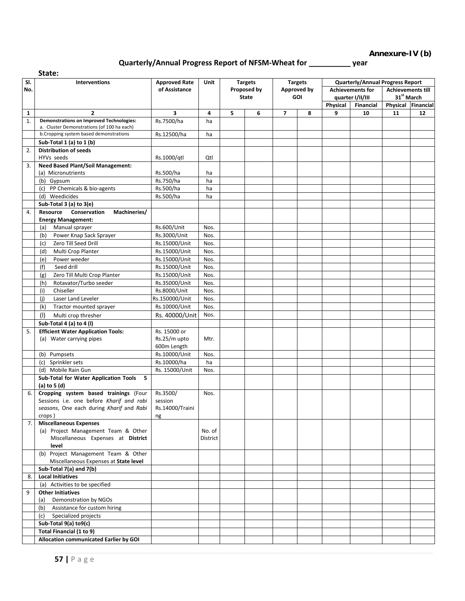### **Annexure-IV (b)**

### **Quarterly/Annual Progress Report of NFSM-Wheat for \_\_\_\_\_\_\_\_\_\_ year**

| State: |                                                                           |                                |                    |              |                |                |                    |               |                                         |                                              |    |
|--------|---------------------------------------------------------------------------|--------------------------------|--------------------|--------------|----------------|----------------|--------------------|---------------|-----------------------------------------|----------------------------------------------|----|
| SI.    | <b>Interventions</b>                                                      | <b>Approved Rate</b>           | Unit               |              | <b>Targets</b> |                | <b>Targets</b>     |               | <b>Quarterly/Annual Progress Report</b> |                                              |    |
| No.    |                                                                           | of Assistance                  |                    |              | Proposed by    |                | <b>Approved by</b> |               | <b>Achievements for</b>                 | <b>Achievements till</b>                     |    |
|        |                                                                           |                                |                    | <b>State</b> |                |                | <b>GOI</b>         |               | quarter I/II/III                        | 31 <sup>st</sup> March<br>Physical Financial |    |
| 1      | $\overline{2}$                                                            | 3                              | 4                  | 5            | 6              | $\overline{ }$ | 8                  | Physical<br>9 | Financial<br>10                         | 11                                           | 12 |
| 1.     | <b>Demonstrations on Improved Technologies:</b>                           | Rs.7500/ha                     | ha                 |              |                |                |                    |               |                                         |                                              |    |
|        | a. Cluster Demonstrations (of 100 ha each)                                |                                |                    |              |                |                |                    |               |                                         |                                              |    |
|        | b. Cropping system based demonstrations                                   | Rs.12500/ha                    | ha                 |              |                |                |                    |               |                                         |                                              |    |
|        | Sub-Total 1 (a) to 1 (b)                                                  |                                |                    |              |                |                |                    |               |                                         |                                              |    |
| 2.     | <b>Distribution of seeds</b><br>HYVs seeds                                | Rs.1000/gtl                    | Qtl                |              |                |                |                    |               |                                         |                                              |    |
| 3.     | <b>Need Based Plant/Soil Management:</b>                                  |                                |                    |              |                |                |                    |               |                                         |                                              |    |
|        | (a) Micronutrients                                                        | Rs.500/ha                      | ha                 |              |                |                |                    |               |                                         |                                              |    |
|        | (b) Gypsum                                                                | Rs.750/ha                      | ha                 |              |                |                |                    |               |                                         |                                              |    |
|        | PP Chemicals & bio-agents<br>(c)                                          | Rs.500/ha                      | ha                 |              |                |                |                    |               |                                         |                                              |    |
|        | (d) Weedicides                                                            | Rs.500/ha                      | ha                 |              |                |                |                    |               |                                         |                                              |    |
|        | Sub-Total 3 (a) to 3(e)                                                   |                                |                    |              |                |                |                    |               |                                         |                                              |    |
| 4.     | Machineries/<br><b>Resource</b><br>Conservation                           |                                |                    |              |                |                |                    |               |                                         |                                              |    |
|        | <b>Energy Management:</b>                                                 |                                |                    |              |                |                |                    |               |                                         |                                              |    |
|        | Manual sprayer<br>(a)                                                     | Rs.600/Unit                    | Nos.               |              |                |                |                    |               |                                         |                                              |    |
|        | (b)<br>Power Knap Sack Sprayer                                            | Rs.3000/Unit                   | Nos.               |              |                |                |                    |               |                                         |                                              |    |
|        | Zero Till Seed Drill<br>(c)                                               | Rs.15000/Unit                  | Nos.               |              |                |                |                    |               |                                         |                                              |    |
|        | Multi Crop Planter<br>(d)<br>Power weeder                                 | Rs.15000/Unit<br>Rs.15000/Unit | Nos.<br>Nos.       |              |                |                |                    |               |                                         |                                              |    |
|        | (e)<br>(f)<br>Seed drill                                                  | Rs.15000/Unit                  | Nos.               |              |                |                |                    |               |                                         |                                              |    |
|        | Zero Till Multi Crop Planter<br>(g)                                       | Rs.15000/Unit                  | Nos.               |              |                |                |                    |               |                                         |                                              |    |
|        | Rotavator/Turbo seeder<br>(h)                                             | Rs.35000/Unit                  | Nos.               |              |                |                |                    |               |                                         |                                              |    |
|        | Chiseller<br>(i)                                                          | Rs.8000/Unit                   | Nos.               |              |                |                |                    |               |                                         |                                              |    |
|        | (i)<br>Laser Land Leveler                                                 | Rs.150000/Unit                 | Nos.               |              |                |                |                    |               |                                         |                                              |    |
|        | (k)<br>Tractor mounted sprayer                                            | Rs.10000/Unit                  | Nos.               |              |                |                |                    |               |                                         |                                              |    |
|        | (1)<br>Multi crop thresher                                                | Rs. 40000/Unit                 | Nos.               |              |                |                |                    |               |                                         |                                              |    |
|        | Sub-Total 4 (a) to 4 (l)                                                  |                                |                    |              |                |                |                    |               |                                         |                                              |    |
| 5.     | <b>Efficient Water Application Tools:</b>                                 | Rs. 15000 or                   |                    |              |                |                |                    |               |                                         |                                              |    |
|        | (a) Water carrying pipes                                                  | Rs.25/m upto                   | Mtr.               |              |                |                |                    |               |                                         |                                              |    |
|        |                                                                           | 600m Length                    |                    |              |                |                |                    |               |                                         |                                              |    |
|        | (b) Pumpsets                                                              | Rs.10000/Unit                  | Nos.               |              |                |                |                    |               |                                         |                                              |    |
|        | Sprinkler sets<br>(c)                                                     | Rs.10000/ha                    | ha                 |              |                |                |                    |               |                                         |                                              |    |
|        | (d) Mobile Rain Gun<br>Sub-Total for Water Application Tools<br>-5        | Rs. 15000/Unit                 | Nos.               |              |                |                |                    |               |                                         |                                              |    |
|        | (a) to $5$ (d)                                                            |                                |                    |              |                |                |                    |               |                                         |                                              |    |
| 6.     | Cropping system based trainings (Four                                     | Rs.3500/                       | Nos.               |              |                |                |                    |               |                                         |                                              |    |
|        | Sessions i.e. one before Kharif and rabi                                  | session                        |                    |              |                |                |                    |               |                                         |                                              |    |
|        | seasons, One each during Kharif and Rabi                                  | Rs.14000/Traini                |                    |              |                |                |                    |               |                                         |                                              |    |
|        | crops)                                                                    | ng                             |                    |              |                |                |                    |               |                                         |                                              |    |
| 7.     | <b>Miscellaneous Expenses</b>                                             |                                |                    |              |                |                |                    |               |                                         |                                              |    |
|        | (a) Project Management Team & Other<br>Miscellaneous Expenses at District |                                | No. of<br>District |              |                |                |                    |               |                                         |                                              |    |
|        | level                                                                     |                                |                    |              |                |                |                    |               |                                         |                                              |    |
|        | (b) Project Management Team & Other                                       |                                |                    |              |                |                |                    |               |                                         |                                              |    |
|        | Miscellaneous Expenses at State level                                     |                                |                    |              |                |                |                    |               |                                         |                                              |    |
|        | Sub-Total 7(a) and 7(b)                                                   |                                |                    |              |                |                |                    |               |                                         |                                              |    |
| 8.     | <b>Local Initiatives</b>                                                  |                                |                    |              |                |                |                    |               |                                         |                                              |    |
|        | (a) Activities to be specified                                            |                                |                    |              |                |                |                    |               |                                         |                                              |    |
| 9      | <b>Other Initiatives</b>                                                  |                                |                    |              |                |                |                    |               |                                         |                                              |    |
|        | Demonstration by NGOs<br>(a)                                              |                                |                    |              |                |                |                    |               |                                         |                                              |    |
|        | Assistance for custom hiring<br>(b)                                       |                                |                    |              |                |                |                    |               |                                         |                                              |    |
|        | (c) Specialized projects<br>Sub-Total 9(a) to9(c)                         |                                |                    |              |                |                |                    |               |                                         |                                              |    |
|        | Total Financial (1 to 9)                                                  |                                |                    |              |                |                |                    |               |                                         |                                              |    |
|        | Allocation communicated Earlier by GOI                                    |                                |                    |              |                |                |                    |               |                                         |                                              |    |
|        |                                                                           |                                |                    |              |                |                |                    |               |                                         |                                              |    |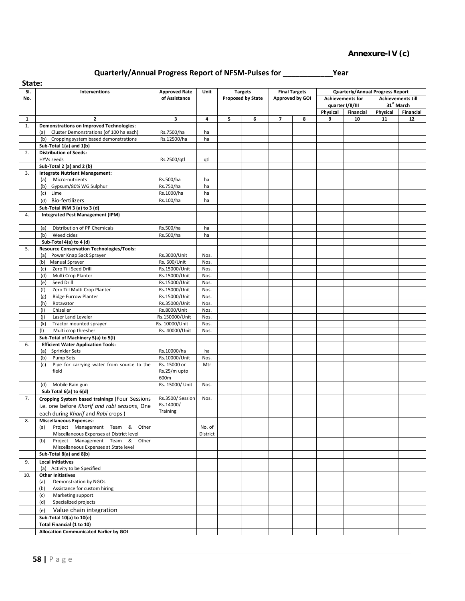### **Annexure-IV (c)**

## **Quarterly/Annual Progress Report of NFSM-Pulses for \_\_\_\_\_\_\_\_\_\_\_\_Year**

| State:       |                                                                  |                                |              |   |                          |                          |                      |                         |                                         |                                                    |           |
|--------------|------------------------------------------------------------------|--------------------------------|--------------|---|--------------------------|--------------------------|----------------------|-------------------------|-----------------------------------------|----------------------------------------------------|-----------|
| SI.          | Interventions                                                    | <b>Approved Rate</b>           | Unit         |   | <b>Targets</b>           |                          | <b>Final Targets</b> |                         | <b>Quarterly/Annual Progress Report</b> |                                                    |           |
| No.          |                                                                  | of Assistance                  |              |   | <b>Proposed by State</b> | Approved by GOI          |                      | <b>Achievements for</b> |                                         | <b>Achievements till</b><br>31 <sup>st</sup> March |           |
|              |                                                                  |                                |              |   |                          |                          |                      | Physical                | quarter I/II/III<br>Financial           | Physical                                           | Financial |
| $\mathbf{1}$ | $\mathbf{2}$                                                     | 3                              | 4            | 5 | 6                        | $\overline{\phantom{a}}$ | 8                    | 9                       | 10                                      | 11                                                 | 12        |
| 1.           | <b>Demonstrations on Improved Technologies:</b>                  |                                |              |   |                          |                          |                      |                         |                                         |                                                    |           |
|              | Cluster Demonstrations (of 100 ha each)<br>(a)                   | Rs.7500/ha                     | ha           |   |                          |                          |                      |                         |                                         |                                                    |           |
|              | (b) Cropping system based demonstrations                         | Rs.12500/ha                    | ha           |   |                          |                          |                      |                         |                                         |                                                    |           |
|              | Sub-Total 1(a) and 1(b)                                          |                                |              |   |                          |                          |                      |                         |                                         |                                                    |           |
| 2.           | <b>Distribution of Seeds:</b>                                    |                                |              |   |                          |                          |                      |                         |                                         |                                                    |           |
|              | HYVs seeds                                                       | Rs.2500/qtl                    | qtl          |   |                          |                          |                      |                         |                                         |                                                    |           |
|              | Sub-Total 2 (a) and 2 (b)                                        |                                |              |   |                          |                          |                      |                         |                                         |                                                    |           |
| 3.           | <b>Integrate Nutrient Management:</b><br>(a) Micro-nutrients     | Rs.500/ha                      | ha           |   |                          |                          |                      |                         |                                         |                                                    |           |
|              | Gypsum/80% WG Sulphur<br>(b)                                     | Rs.750/ha                      | ha           |   |                          |                          |                      |                         |                                         |                                                    |           |
|              | (c)<br>Lime                                                      | Rs.1000/ha                     | ha           |   |                          |                          |                      |                         |                                         |                                                    |           |
|              | <b>Bio-fertilizers</b><br>(d)                                    | Rs.100/ha                      | ha           |   |                          |                          |                      |                         |                                         |                                                    |           |
|              | Sub-Total INM 3 (a) to 3 (d)                                     |                                |              |   |                          |                          |                      |                         |                                         |                                                    |           |
| 4.           | <b>Integrated Pest Management (IPM)</b>                          |                                |              |   |                          |                          |                      |                         |                                         |                                                    |           |
|              |                                                                  |                                |              |   |                          |                          |                      |                         |                                         |                                                    |           |
|              | Distribution of PP Chemicals<br>(a)                              | Rs.500/ha                      | ha           |   |                          |                          |                      |                         |                                         |                                                    |           |
|              | (b)<br>Weedicides                                                | Rs.500/ha                      | ha           |   |                          |                          |                      |                         |                                         |                                                    |           |
|              | Sub-Total 4(a) to 4 (d)                                          |                                |              |   |                          |                          |                      |                         |                                         |                                                    |           |
| 5.           | <b>Resource Conservation Technologies/Tools:</b>                 |                                |              |   |                          |                          |                      |                         |                                         |                                                    |           |
|              | (a) Power Knap Sack Sprayer                                      | Rs.3000/Unit                   | Nos.         |   |                          |                          |                      |                         |                                         |                                                    |           |
|              | <b>Manual Sprayer</b><br>(b)                                     | Rs. 600/Unit                   | Nos.         |   |                          |                          |                      |                         |                                         |                                                    |           |
|              | Zero Till Seed Drill<br>(c)                                      | Rs.15000/Unit                  | Nos.         |   |                          |                          |                      |                         |                                         |                                                    |           |
|              | Multi Crop Planter<br>(d)<br>Seed Drill<br>(e)                   | Rs.15000/Unit<br>Rs.15000/Unit | Nos.<br>Nos. |   |                          |                          |                      |                         |                                         |                                                    |           |
|              | Zero Till Multi Crop Planter<br>(f)                              | Rs.15000/Unit                  | Nos.         |   |                          |                          |                      |                         |                                         |                                                    |           |
|              | <b>Ridge Furrow Planter</b><br>(g)                               | Rs.15000/Unit                  | Nos.         |   |                          |                          |                      |                         |                                         |                                                    |           |
|              | Rotavator<br>(h)                                                 | Rs.35000/Unit                  | Nos.         |   |                          |                          |                      |                         |                                         |                                                    |           |
|              | (i)<br>Chiseller                                                 | Rs.8000/Unit                   | Nos.         |   |                          |                          |                      |                         |                                         |                                                    |           |
|              | (j)<br>Laser Land Leveler                                        | Rs.150000/Unit                 | Nos.         |   |                          |                          |                      |                         |                                         |                                                    |           |
|              | (k)<br>Tractor mounted sprayer                                   | Rs. 10000/Unit                 | Nos.         |   |                          |                          |                      |                         |                                         |                                                    |           |
|              | (1)<br>Multi crop thresher                                       | Rs. 40000/Unit                 | Nos.         |   |                          |                          |                      |                         |                                         |                                                    |           |
|              | Sub-Total of Machinery 5(a) to 5(I)                              |                                |              |   |                          |                          |                      |                         |                                         |                                                    |           |
| 6.           | <b>Efficient Water Application Tools:</b>                        |                                |              |   |                          |                          |                      |                         |                                         |                                                    |           |
|              | (a) Sprinkler Sets                                               | Rs.10000/ha                    | ha           |   |                          |                          |                      |                         |                                         |                                                    |           |
|              | (b)<br>Pump Sets<br>Pipe for carrying water from source to the   | Rs.10000/Unit                  | Nos.<br>Mtr  |   |                          |                          |                      |                         |                                         |                                                    |           |
|              | (c)<br>field                                                     | Rs. 15000 or<br>Rs.25/m upto   |              |   |                          |                          |                      |                         |                                         |                                                    |           |
|              |                                                                  | 600m                           |              |   |                          |                          |                      |                         |                                         |                                                    |           |
|              | Mobile Rain gun<br>(d)                                           | Rs. 15000/ Unit                | Nos.         |   |                          |                          |                      |                         |                                         |                                                    |           |
|              | Sub Total 6(a) to 6(d)                                           |                                |              |   |                          |                          |                      |                         |                                         |                                                    |           |
| 7.           | Cropping System based trainings (Four Sessions                   | Rs.3500/Session                | Nos.         |   |                          |                          |                      |                         |                                         |                                                    |           |
|              | i.e. one before Kharif and rabi seasons, One                     | Rs.14000/                      |              |   |                          |                          |                      |                         |                                         |                                                    |           |
|              | each during Kharif and Rabi crops)                               | Training                       |              |   |                          |                          |                      |                         |                                         |                                                    |           |
| 8.           | <b>Miscellaneous Expenses:</b>                                   |                                |              |   |                          |                          |                      |                         |                                         |                                                    |           |
|              | Project Management Team & Other<br>(a)                           |                                | No. of       |   |                          |                          |                      |                         |                                         |                                                    |           |
|              | Miscellaneous Expenses at District level                         |                                | District     |   |                          |                          |                      |                         |                                         |                                                    |           |
|              | Project Management Team & Other<br>(b)                           |                                |              |   |                          |                          |                      |                         |                                         |                                                    |           |
|              | Miscellaneous Expenses at State level<br>Sub-Total 8(a) and 8(b) |                                |              |   |                          |                          |                      |                         |                                         |                                                    |           |
| 9.           | <b>Local Initiatives</b>                                         |                                |              |   |                          |                          |                      |                         |                                         |                                                    |           |
|              | (a) Activity to be Specified                                     |                                |              |   |                          |                          |                      |                         |                                         |                                                    |           |
| 10.          | <b>Other Initiatives</b>                                         |                                |              |   |                          |                          |                      |                         |                                         |                                                    |           |
|              | Demonstration by NGOs<br>(a)                                     |                                |              |   |                          |                          |                      |                         |                                         |                                                    |           |
|              | Assistance for custom hiring<br>(b)                              |                                |              |   |                          |                          |                      |                         |                                         |                                                    |           |
|              | Marketing support<br>(c)                                         |                                |              |   |                          |                          |                      |                         |                                         |                                                    |           |
|              | Specialized projects<br>(d)                                      |                                |              |   |                          |                          |                      |                         |                                         |                                                    |           |
|              | Value chain integration<br>(e)                                   |                                |              |   |                          |                          |                      |                         |                                         |                                                    |           |
|              | Sub-Total 10(a) to 10(e)                                         |                                |              |   |                          |                          |                      |                         |                                         |                                                    |           |
|              | Total Financial (1 to 10)                                        |                                |              |   |                          |                          |                      |                         |                                         |                                                    |           |
|              | <b>Allocation Communicated Earlier by GOI</b>                    |                                |              |   |                          |                          |                      |                         |                                         |                                                    |           |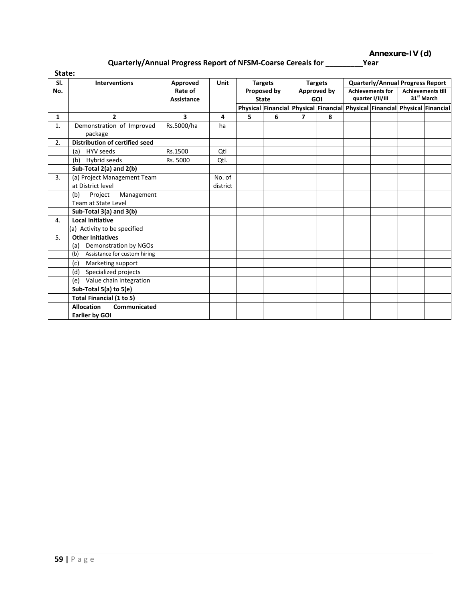**Annexure-IV (d)**

### **Quarterly/Annual Progress Report of NFSM-Coarse Cereals for \_\_\_\_\_\_\_\_\_Year**

| State:       |                                       |                   |             |   |                |                |                           |                                             |                                                                             |                                                    |  |
|--------------|---------------------------------------|-------------------|-------------|---|----------------|----------------|---------------------------|---------------------------------------------|-----------------------------------------------------------------------------|----------------------------------------------------|--|
| SI.          | <b>Interventions</b>                  | Approved          | <b>Unit</b> |   | <b>Targets</b> | <b>Targets</b> |                           |                                             |                                                                             | <b>Quarterly/Annual Progress Report</b>            |  |
| No.          |                                       | Rate of           |             |   | Proposed by    |                | Approved by<br><b>GOI</b> | <b>Achievements for</b><br>quarter I/II/III |                                                                             | <b>Achievements till</b><br>31 <sup>st</sup> March |  |
|              |                                       | <b>Assistance</b> |             |   | <b>State</b>   |                |                           |                                             | Physical Financial Physical Financial Physical Financial Physical Financial |                                                    |  |
| $\mathbf{1}$ | $\overline{2}$                        | 3                 | 4           | 5 | 6              | $\overline{ }$ | 8                         |                                             |                                                                             |                                                    |  |
| 1.           | Demonstration of Improved             | Rs.5000/ha        | ha          |   |                |                |                           |                                             |                                                                             |                                                    |  |
|              | package                               |                   |             |   |                |                |                           |                                             |                                                                             |                                                    |  |
| 2.           | <b>Distribution of certified seed</b> |                   |             |   |                |                |                           |                                             |                                                                             |                                                    |  |
|              | HYV seeds<br>(a)                      | Rs.1500           | Qtl         |   |                |                |                           |                                             |                                                                             |                                                    |  |
|              | (b) Hybrid seeds                      | Rs. 5000          | Qtl.        |   |                |                |                           |                                             |                                                                             |                                                    |  |
|              | Sub-Total 2(a) and 2(b)               |                   |             |   |                |                |                           |                                             |                                                                             |                                                    |  |
| 3.           | (a) Project Management Team           |                   | No. of      |   |                |                |                           |                                             |                                                                             |                                                    |  |
|              | at District level                     |                   | district    |   |                |                |                           |                                             |                                                                             |                                                    |  |
|              | (b)<br>Project<br>Management          |                   |             |   |                |                |                           |                                             |                                                                             |                                                    |  |
|              | Team at State Level                   |                   |             |   |                |                |                           |                                             |                                                                             |                                                    |  |
|              | Sub-Total $3(a)$ and $3(b)$           |                   |             |   |                |                |                           |                                             |                                                                             |                                                    |  |
| 4.           | <b>Local Initiative</b>               |                   |             |   |                |                |                           |                                             |                                                                             |                                                    |  |
|              | (a) Activity to be specified          |                   |             |   |                |                |                           |                                             |                                                                             |                                                    |  |
| 5.           | <b>Other Initiatives</b>              |                   |             |   |                |                |                           |                                             |                                                                             |                                                    |  |
|              | Demonstration by NGOs<br>(a)          |                   |             |   |                |                |                           |                                             |                                                                             |                                                    |  |
|              | Assistance for custom hiring<br>(b)   |                   |             |   |                |                |                           |                                             |                                                                             |                                                    |  |
|              | (c)<br>Marketing support              |                   |             |   |                |                |                           |                                             |                                                                             |                                                    |  |
|              | Specialized projects<br>(d)           |                   |             |   |                |                |                           |                                             |                                                                             |                                                    |  |
|              | Value chain integration<br>(e)        |                   |             |   |                |                |                           |                                             |                                                                             |                                                    |  |
|              | Sub-Total 5(a) to 5(e)                |                   |             |   |                |                |                           |                                             |                                                                             |                                                    |  |
|              | Total Financial (1 to 5)              |                   |             |   |                |                |                           |                                             |                                                                             |                                                    |  |
|              | <b>Allocation</b><br>Communicated     |                   |             |   |                |                |                           |                                             |                                                                             |                                                    |  |
|              | Earlier by GOI                        |                   |             |   |                |                |                           |                                             |                                                                             |                                                    |  |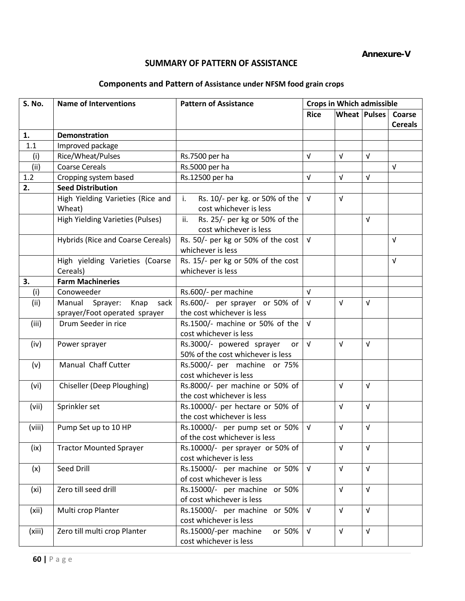**Annexure-V**

### **SUMMARY OF PATTERN OF ASSISTANCE**

### **Components and Pattern of Assistance under NFSM food grain crops**

| <b>S. No.</b>     | <b>Name of Interventions</b>                | <b>Pattern of Assistance</b>                                   | <b>Crops in Which admissible</b> |                     |            |                |
|-------------------|---------------------------------------------|----------------------------------------------------------------|----------------------------------|---------------------|------------|----------------|
|                   |                                             |                                                                | <b>Rice</b>                      | <b>Wheat Pulses</b> |            | Coarse         |
|                   |                                             |                                                                |                                  |                     |            | <b>Cereals</b> |
| 1.                | <b>Demonstration</b>                        |                                                                |                                  |                     |            |                |
| 1.1               | Improved package                            |                                                                |                                  |                     |            |                |
| (i)               | Rice/Wheat/Pulses                           | Rs.7500 per ha                                                 | $\sqrt{ }$                       | $\sqrt{ }$          | $\sqrt{ }$ |                |
| (i)               | <b>Coarse Cereals</b>                       | Rs.5000 per ha                                                 |                                  |                     |            | $\sqrt{ }$     |
| 1.2               | Cropping system based                       | Rs.12500 per ha                                                | $\sqrt{ }$                       | $\sqrt{ }$          | $\sqrt{ }$ |                |
| 2.                | <b>Seed Distribution</b>                    |                                                                |                                  |                     |            |                |
|                   | High Yielding Varieties (Rice and<br>Wheat) | Rs. 10/- per kg. or 50% of the<br>i.<br>cost whichever is less | $\sqrt{ }$                       | $\sqrt{ }$          |            |                |
|                   | <b>High Yielding Varieties (Pulses)</b>     | ii.<br>Rs. 25/- per kg or 50% of the<br>cost whichever is less |                                  |                     | $\sqrt{ }$ |                |
|                   | <b>Hybrids (Rice and Coarse Cereals)</b>    | Rs. 50/- per kg or 50% of the cost<br>whichever is less        | $\sqrt{ }$                       |                     |            | $\sqrt{ }$     |
|                   | High yielding Varieties (Coarse<br>Cereals) | Rs. 15/- per kg or 50% of the cost<br>whichever is less        |                                  |                     |            | $\sqrt{ }$     |
| 3.                | <b>Farm Machineries</b>                     |                                                                |                                  |                     |            |                |
| (i)               | Conoweeder                                  | Rs.600/- per machine                                           | $\sqrt{ }$                       |                     |            |                |
| (iii)             | Manual Sprayer:<br>Knap<br>sack             | Rs.600/- per sprayer or 50% of                                 | $\sqrt{ }$                       | $\sqrt{ }$          | $\sqrt{ }$ |                |
|                   | sprayer/Foot operated sprayer               | the cost whichever is less                                     |                                  |                     |            |                |
| (iii)             | Drum Seeder in rice                         | Rs.1500/- machine or 50% of the                                | $\sqrt{ }$                       |                     |            |                |
|                   |                                             | cost whichever is less                                         |                                  |                     |            |                |
| (iv)              | Power sprayer                               | Rs.3000/- powered sprayer<br>or                                | $\sqrt{ }$                       | $\sqrt{ }$          | $\sqrt{ }$ |                |
|                   |                                             | 50% of the cost whichever is less                              |                                  |                     |            |                |
| (v)               | Manual Chaff Cutter                         | Rs.5000/- per machine or 75%                                   |                                  |                     |            |                |
|                   |                                             | cost whichever is less                                         |                                  |                     |            |                |
| (vi)              | Chiseller (Deep Ploughing)                  | Rs.8000/- per machine or 50% of                                |                                  | $\sqrt{ }$          | $\sqrt{ }$ |                |
|                   |                                             | the cost whichever is less                                     |                                  |                     |            |                |
| (vii)             | Sprinkler set                               | Rs.10000/- per hectare or 50% of                               |                                  | $\sqrt{ }$          | $\sqrt{ }$ |                |
|                   |                                             | the cost whichever is less                                     |                                  |                     |            |                |
| (viii)            | Pump Set up to 10 HP                        | Rs.10000/- per pump set or 50%                                 | $\sqrt{ }$                       | $\sqrt{ }$          | $\sqrt{ }$ |                |
|                   |                                             | of the cost whichever is less                                  |                                  |                     |            |                |
| (ix)              | <b>Tractor Mounted Sprayer</b>              | Rs.10000/- per sprayer or 50% of                               |                                  | $\sqrt{ }$          | $\sqrt{ }$ |                |
|                   |                                             | cost whichever is less                                         |                                  | $\sqrt{ }$          | $\sqrt{ }$ |                |
| (x)               | Seed Drill                                  | Rs.15000/- per machine or 50%<br>of cost whichever is less     | $\sqrt{ }$                       |                     |            |                |
| (x <sub>i</sub> ) | Zero till seed drill                        | Rs.15000/- per machine or 50%                                  |                                  | $\sqrt{ }$          | $\sqrt{ }$ |                |
|                   |                                             | of cost whichever is less                                      |                                  |                     |            |                |
| (xii)             | Multi crop Planter                          | Rs.15000/- per machine or 50%                                  | $\sqrt{ }$                       | $\sqrt{ }$          | $\sqrt{ }$ |                |
|                   |                                             | cost whichever is less                                         |                                  |                     |            |                |
| (xiii)            | Zero till multi crop Planter                | Rs.15000/-per machine<br>or 50%                                | $\sqrt{ }$                       | $\sqrt{ }$          | $\sqrt{ }$ |                |
|                   |                                             | cost whichever is less                                         |                                  |                     |            |                |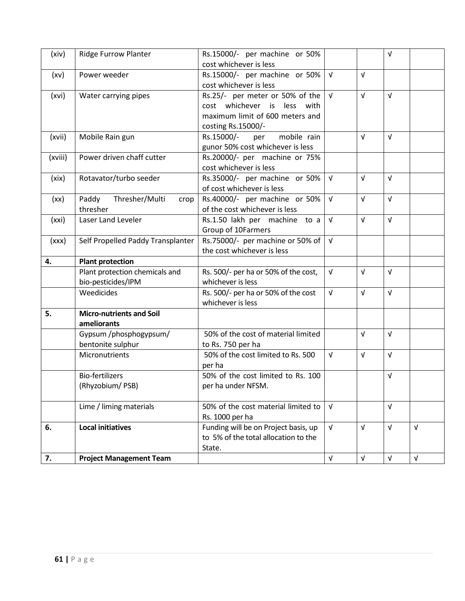| (xiv)   | Ridge Furrow Planter                           | Rs.15000/- per machine or 50%<br>cost whichever is less                                                                                |            |            | $\sqrt{ }$ |            |
|---------|------------------------------------------------|----------------------------------------------------------------------------------------------------------------------------------------|------------|------------|------------|------------|
| (xv)    | Power weeder                                   | Rs.15000/- per machine or 50%                                                                                                          | $\sqrt{ }$ | $\sqrt{ }$ |            |            |
| (xvi)   | Water carrying pipes                           | cost whichever is less<br>Rs.25/- per meter or 50% of the $\sqrt{v}$<br>cost whichever is less with<br>maximum limit of 600 meters and |            | $\sqrt{ }$ | $\sqrt{ }$ |            |
| (xvii)  | Mobile Rain gun                                | costing Rs.15000/-<br>mobile rain<br>Rs.15000/-<br>per<br>gunor 50% cost whichever is less                                             |            | $\sqrt{ }$ | $\sqrt{ }$ |            |
| (xviii) | Power driven chaff cutter                      | Rs.20000/- per machine or 75%<br>cost whichever is less                                                                                |            |            |            |            |
| (xix)   | Rotavator/turbo seeder                         | Rs.35000/- per machine or 50%<br>of cost whichever is less                                                                             | $\sqrt{ }$ | $\sqrt{ }$ | $\sqrt{ }$ |            |
| (xx)    | Paddy<br>Thresher/Multi<br>crop<br>thresher    | Rs.40000/- per machine or 50%<br>of the cost whichever is less                                                                         | $\sqrt{ }$ | $\sqrt{ }$ | $\sqrt{ }$ |            |
| (xxi)   | Laser Land Leveler                             | Rs.1.50 lakh per machine to a<br>Group of 10Farmers                                                                                    | $\sqrt{ }$ | $\sqrt{ }$ | $\sqrt{ }$ |            |
| (xxx)   | Self Propelled Paddy Transplanter              | Rs.75000/- per machine or 50% of<br>the cost whichever is less                                                                         | $\sqrt{ }$ |            |            |            |
|         |                                                |                                                                                                                                        |            |            |            |            |
| 4.      | <b>Plant protection</b>                        |                                                                                                                                        |            |            |            |            |
|         | Plant protection chemicals and                 | Rs. 500/- per ha or 50% of the cost,<br>whichever is less                                                                              | $\sqrt{ }$ | $\sqrt{ }$ | $\sqrt{ }$ |            |
|         | bio-pesticides/IPM<br>Weedicides               | Rs. 500/- per ha or 50% of the cost<br>whichever is less                                                                               | $\sqrt{ }$ | $\sqrt{ }$ | $\sqrt{ }$ |            |
| 5.      | <b>Micro-nutrients and Soil</b><br>ameliorants |                                                                                                                                        |            |            |            |            |
|         | Gypsum /phosphogypsum/<br>bentonite sulphur    | 50% of the cost of material limited<br>to Rs. 750 per ha                                                                               |            | $\sqrt{ }$ | $\sqrt{ }$ |            |
|         | Micronutrients                                 | 50% of the cost limited to Rs. 500<br>per ha                                                                                           | $\sqrt{ }$ | $\sqrt{ }$ | $\sqrt{ }$ |            |
|         | <b>Bio-fertilizers</b><br>(Rhyzobium/PSB)      | 50% of the cost limited to Rs. 100<br>per ha under NFSM.                                                                               |            |            | $\sqrt{ }$ |            |
|         | Lime / liming materials                        | 50% of the cost material limited to<br>Rs. 1000 per ha                                                                                 | $\sqrt{ }$ |            | $\sqrt{ }$ |            |
| 6.      | <b>Local initiatives</b>                       | Funding will be on Project basis, up<br>to 5% of the total allocation to the<br>State.                                                 | $\sqrt{ }$ | $\sqrt{ }$ | $\sqrt{ }$ | $\sqrt{ }$ |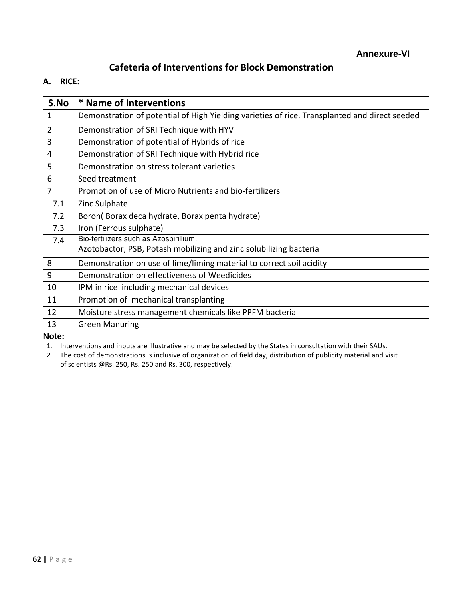## **Cafeteria of Interventions for Block Demonstration**

**A. RICE:**

| S.No           | * Name of Interventions                                                                       |
|----------------|-----------------------------------------------------------------------------------------------|
| 1              | Demonstration of potential of High Yielding varieties of rice. Transplanted and direct seeded |
| 2              | Demonstration of SRI Technique with HYV                                                       |
| 3              | Demonstration of potential of Hybrids of rice                                                 |
| $\overline{4}$ | Demonstration of SRI Technique with Hybrid rice                                               |
| 5.             | Demonstration on stress tolerant varieties                                                    |
| 6              | Seed treatment                                                                                |
| $\overline{7}$ | Promotion of use of Micro Nutrients and bio-fertilizers                                       |
| 7.1            | Zinc Sulphate                                                                                 |
| 7.2            | Boron(Borax deca hydrate, Borax penta hydrate)                                                |
| 7.3            | Iron (Ferrous sulphate)                                                                       |
| 7.4            | Bio-fertilizers such as Azospirillium,                                                        |
|                | Azotobactor, PSB, Potash mobilizing and zinc solubilizing bacteria                            |
| 8              | Demonstration on use of lime/liming material to correct soil acidity                          |
| 9              | Demonstration on effectiveness of Weedicides                                                  |
| 10             | IPM in rice including mechanical devices                                                      |
| 11             | Promotion of mechanical transplanting                                                         |
| 12             | Moisture stress management chemicals like PPFM bacteria                                       |
| 13             | <b>Green Manuring</b>                                                                         |

**Note:** 

1. Interventions and inputs are illustrative and may be selected by the States in consultation with their SAUs.

*2.* The cost of demonstrations is inclusive of organization of field day, distribution of publicity material and visit of scientists @Rs. 250, Rs. 250 and Rs. 300, respectively.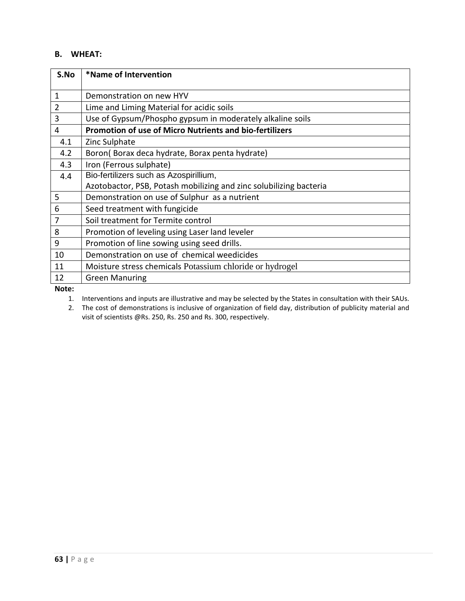### **B. WHEAT:**

| S.No         | *Name of Intervention                                              |
|--------------|--------------------------------------------------------------------|
| $\mathbf{1}$ | Demonstration on new HYV                                           |
| 2            | Lime and Liming Material for acidic soils                          |
| 3            | Use of Gypsum/Phospho gypsum in moderately alkaline soils          |
| 4            | Promotion of use of Micro Nutrients and bio-fertilizers            |
| 4.1          | Zinc Sulphate                                                      |
| 4.2          | Boron(Borax deca hydrate, Borax penta hydrate)                     |
| 4.3          | Iron (Ferrous sulphate)                                            |
| 4.4          | Bio-fertilizers such as Azospirillium,                             |
|              | Azotobactor, PSB, Potash mobilizing and zinc solubilizing bacteria |
| 5            | Demonstration on use of Sulphur as a nutrient                      |
| 6            | Seed treatment with fungicide                                      |
| 7            | Soil treatment for Termite control                                 |
| 8            | Promotion of leveling using Laser land leveler                     |
| 9            | Promotion of line sowing using seed drills.                        |
| 10           | Demonstration on use of chemical weedicides                        |
| 11           | Moisture stress chemicals Potassium chloride or hydrogel           |
| 12           | <b>Green Manuring</b>                                              |

**Note:** 

1. Interventions and inputs are illustrative and may be selected by the States in consultation with their SAUs.

2. The cost of demonstrations is inclusive of organization of field day, distribution of publicity material and visit of scientists @Rs. 250, Rs. 250 and Rs. 300, respectively.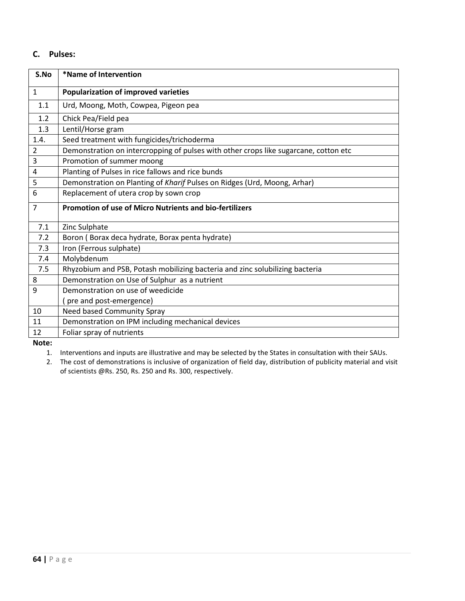### **C. Pulses:**

| S.No         | *Name of Intervention                                                                |
|--------------|--------------------------------------------------------------------------------------|
| $\mathbf{1}$ | <b>Popularization of improved varieties</b>                                          |
| 1.1          | Urd, Moong, Moth, Cowpea, Pigeon pea                                                 |
| 1.2          | Chick Pea/Field pea                                                                  |
| 1.3          | Lentil/Horse gram                                                                    |
| 1.4.         | Seed treatment with fungicides/trichoderma                                           |
| 2            | Demonstration on intercropping of pulses with other crops like sugarcane, cotton etc |
| 3            | Promotion of summer moong                                                            |
| 4            | Planting of Pulses in rice fallows and rice bunds                                    |
| 5            | Demonstration on Planting of Kharif Pulses on Ridges (Urd, Moong, Arhar)             |
| 6            | Replacement of utera crop by sown crop                                               |
| 7            | <b>Promotion of use of Micro Nutrients and bio-fertilizers</b>                       |
| 7.1          | Zinc Sulphate                                                                        |
| 7.2          | Boron (Borax deca hydrate, Borax penta hydrate)                                      |
| 7.3          | Iron (Ferrous sulphate)                                                              |
| 7.4          | Molybdenum                                                                           |
| 7.5          | Rhyzobium and PSB, Potash mobilizing bacteria and zinc solubilizing bacteria         |
| 8            | Demonstration on Use of Sulphur as a nutrient                                        |
| 9            | Demonstration on use of weedicide                                                    |
|              | (pre and post-emergence)                                                             |
| 10           | Need based Community Spray                                                           |
| 11           | Demonstration on IPM including mechanical devices                                    |
| 12           | Foliar spray of nutrients                                                            |

**Note:**

1. Interventions and inputs are illustrative and may be selected by the States in consultation with their SAUs.

2. The cost of demonstrations is inclusive of organization of field day, distribution of publicity material and visit of scientists @Rs. 250, Rs. 250 and Rs. 300, respectively.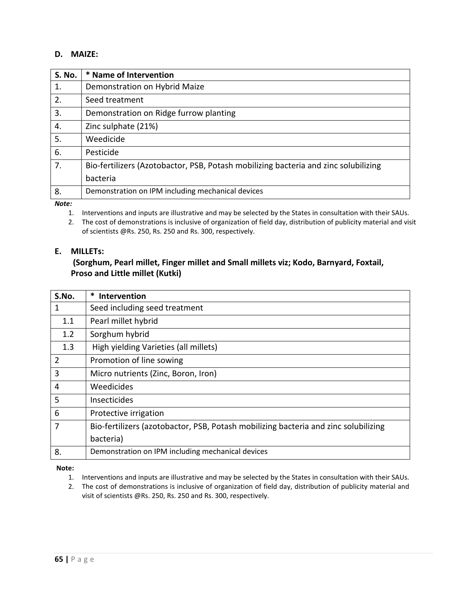### **D. MAIZE:**

| <b>S. No.</b> | * Name of Intervention                                                              |
|---------------|-------------------------------------------------------------------------------------|
| 1.            | Demonstration on Hybrid Maize                                                       |
| 2.            | Seed treatment                                                                      |
| 3.            | Demonstration on Ridge furrow planting                                              |
| 4.            | Zinc sulphate (21%)                                                                 |
| 5.            | Weedicide                                                                           |
| 6.            | Pesticide                                                                           |
| 7.            | Bio-fertilizers (Azotobactor, PSB, Potash mobilizing bacteria and zinc solubilizing |
|               | bacteria                                                                            |
| 8.            | Demonstration on IPM including mechanical devices                                   |
| $N = + -$     |                                                                                     |

*Note:* 

1. Interventions and inputs are illustrative and may be selected by the States in consultation with their SAUs.

2. The cost of demonstrations is inclusive of organization of field day, distribution of publicity material and visit of scientists @Rs. 250, Rs. 250 and Rs. 300, respectively.

#### **E. MILLETs:**

### **(Sorghum, Pearl millet, Finger millet and Small millets viz; Kodo, Barnyard, Foxtail, Proso and Little millet (Kutki)**

| S.No. | Intervention                                                                        |
|-------|-------------------------------------------------------------------------------------|
| 1     | Seed including seed treatment                                                       |
| 1.1   | Pearl millet hybrid                                                                 |
| 1.2   | Sorghum hybrid                                                                      |
| 1.3   | High yielding Varieties (all millets)                                               |
| 2     | Promotion of line sowing                                                            |
| 3     | Micro nutrients (Zinc, Boron, Iron)                                                 |
| 4     | Weedicides                                                                          |
| 5     | Insecticides                                                                        |
| 6     | Protective irrigation                                                               |
| 7     | Bio-fertilizers (azotobactor, PSB, Potash mobilizing bacteria and zinc solubilizing |
|       | bacteria)                                                                           |
| 8.    | Demonstration on IPM including mechanical devices                                   |

**Note:** 

- 1. Interventions and inputs are illustrative and may be selected by the States in consultation with their SAUs.
- 2. The cost of demonstrations is inclusive of organization of field day, distribution of publicity material and visit of scientists @Rs. 250, Rs. 250 and Rs. 300, respectively.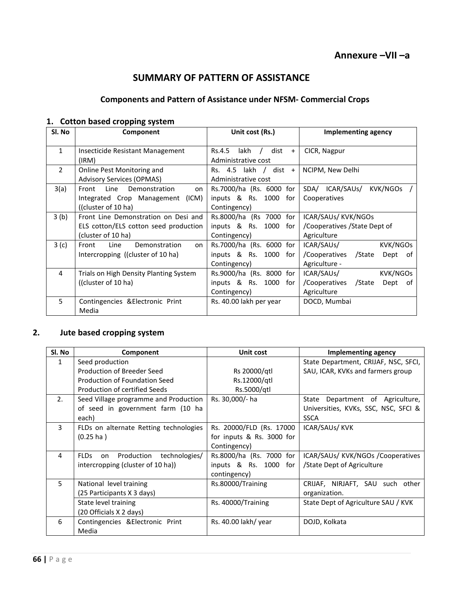## **SUMMARY OF PATTERN OF ASSISTANCE**

### **Components and Pattern of Assistance under NFSM- Commercial Crops**

### **1. Cotton based cropping system**

| Sl. No         | Component                                                                                           | Unit cost (Rs.)                                                         | Implementing agency                                                              |
|----------------|-----------------------------------------------------------------------------------------------------|-------------------------------------------------------------------------|----------------------------------------------------------------------------------|
| $\mathbf{1}$   | Insecticide Resistant Management<br>(IRM)                                                           | lakh $/$<br>dist<br>Rs.4.5<br>$+$<br>Administrative cost                | CICR, Nagpur                                                                     |
| $\overline{2}$ | Online Pest Monitoring and<br><b>Advisory Services (OPMAS)</b>                                      | dist<br>Rs. 4.5 lakh /<br>$+$<br>Administrative cost                    | NCIPM, New Delhi                                                                 |
| 3(a)           | Line<br>Demonstration<br>Front<br>on<br>Integrated Crop Management<br>(ICM)<br>((cluster of 10 ha)  | Rs.7000/ha (Rs. 6000 for<br>inputs & Rs. 1000<br>for<br>Contingency)    | ICAR/SAUs/<br>KVK/NGOs<br>SDA/<br>Cooperatives                                   |
| 3 (b)          | Front Line Demonstration on Desi and<br>ELS cotton/ELS cotton seed production<br>(cluster of 10 ha) | Rs.8000/ha (Rs 7000 for<br>inputs & Rs. 1000 for<br>Contingency)        | ICAR/SAUS/KVK/NGOS<br>/Cooperatives / State Dept of<br>Agriculture               |
| 3(c)           | Line<br>Demonstration<br>Front<br>on<br>Intercropping ((cluster of 10 ha)                           | Rs.7000/ha (Rs. 6000 for<br>inputs & Rs.<br>1000<br>for<br>Contingency) | ICAR/SAUs/<br>KVK/NGOs<br>/State<br>/Cooperatives<br>Dept<br>of<br>Agriculture - |
| 4              | Trials on High Density Planting System<br>((cluster of 10 ha)                                       | Rs.9000/ha (Rs. 8000 for<br>inputs $\&$ Rs. 1000<br>for<br>Contingency) | ICAR/SAUs/<br>KVK/NGOs<br>/Cooperatives<br>/State<br>Dept<br>. of<br>Agriculture |
| 5              | Contingencies & Electronic Print<br>Media                                                           | Rs. 40.00 lakh per year                                                 | DOCD, Mumbai                                                                     |

### **2. Jute based cropping system**

| Sl. No | Component                                     | Unit cost                 | <b>Implementing agency</b>           |
|--------|-----------------------------------------------|---------------------------|--------------------------------------|
| 1      | Seed production                               |                           | State Department, CRIJAF, NSC, SFCI, |
|        | Production of Breeder Seed                    | Rs 20000/atl              | SAU, ICAR, KVKs and farmers group    |
|        | Production of Foundation Seed                 | Rs.12000/gtl              |                                      |
|        | Production of certified Seeds                 | Rs.5000/qtl               |                                      |
| 2.     | Seed Village programme and Production         | Rs. 30,000/- ha           | State Department of Agriculture,     |
|        | of seed in government farm (10 ha             |                           | Universities, KVKs, SSC, NSC, SFCI & |
|        | each)                                         |                           | <b>SSCA</b>                          |
| 3      | FLDs on alternate Retting technologies        | Rs. 20000/FLD (Rs. 17000  | ICAR/SAUS/KVK                        |
|        | $(0.25 \text{ ha})$                           | for inputs & Rs. 3000 for |                                      |
|        |                                               | Contingency)              |                                      |
| 4      | <b>FLDs</b><br>Production technologies/<br>on | Rs.8000/ha (Rs. 7000 for  | ICAR/SAUs/ KVK/NGOs /Cooperatives    |
|        | intercropping (cluster of 10 ha))             | inputs & Rs. 1000<br>for  | /State Dept of Agriculture           |
|        |                                               | contingency)              |                                      |
| 5      | National level training                       | Rs.80000/Training         | CRIJAF, NIRJAFT, SAU such other      |
|        | (25 Participants X 3 days)                    |                           | organization.                        |
|        | State level training                          | Rs. 40000/Training        | State Dept of Agriculture SAU / KVK  |
|        | (20 Officials X 2 days)                       |                           |                                      |
| 6      | Contingencies & Electronic Print              | Rs. 40.00 lakh/ year      | DOJD, Kolkata                        |
|        | Media                                         |                           |                                      |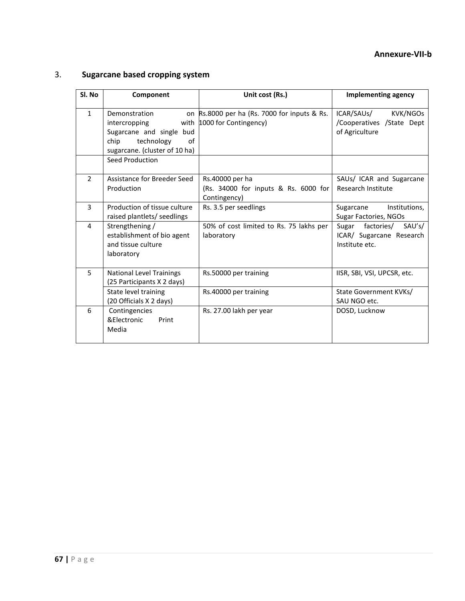### **Annexure-VII-b**

## 3. **Sugarcane based cropping system**

| Sl. No         | Component                                                                                                               | Unit cost (Rs.)                                                            | <b>Implementing agency</b>                                               |
|----------------|-------------------------------------------------------------------------------------------------------------------------|----------------------------------------------------------------------------|--------------------------------------------------------------------------|
| $\mathbf{1}$   | Demonstration<br>intercropping<br>Sugarcane and single bud<br>technology<br>chip<br>of<br>sugarcane. (cluster of 10 ha) | on Rs.8000 per ha (Rs. 7000 for inputs & Rs.<br>with 1000 for Contingency) | ICAR/SAUs/<br>KVK/NGOs<br>/Cooperatives /State Dept<br>of Agriculture    |
|                | Seed Production                                                                                                         |                                                                            |                                                                          |
| $\overline{2}$ | Assistance for Breeder Seed<br>Production                                                                               | Rs.40000 per ha<br>(Rs. 34000 for inputs & Rs. 6000 for<br>Contingency)    | SAUs/ ICAR and Sugarcane<br>Research Institute                           |
| 3              | Production of tissue culture<br>raised plantlets/ seedlings                                                             | Rs. 3.5 per seedlings                                                      | Sugarcane<br>Institutions,<br>Sugar Factories, NGOs                      |
| 4              | Strengthening /<br>establishment of bio agent<br>and tissue culture<br>laboratory                                       | 50% of cost limited to Rs. 75 lakhs per<br>laboratory                      | Sugar factories/<br>SAU's/<br>ICAR/ Sugarcane Research<br>Institute etc. |
| 5              | <b>National Level Trainings</b><br>(25 Participants X 2 days)                                                           | Rs.50000 per training                                                      | IISR, SBI, VSI, UPCSR, etc.                                              |
|                | State level training<br>(20 Officials X 2 days)                                                                         | Rs.40000 per training                                                      | State Government KVKs/<br>SAU NGO etc.                                   |
| 6              | Contingencies<br>&Electronic<br>Print<br>Media                                                                          | Rs. 27.00 lakh per year                                                    | DOSD, Lucknow                                                            |